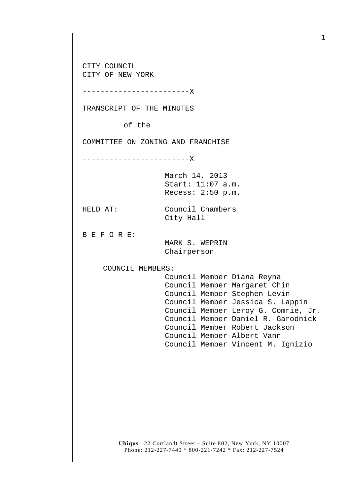CITY COUNCIL CITY OF NEW YORK

------------------------X

TRANSCRIPT OF THE MINUTES

of the

COMMITTEE ON ZONING AND FRANCHISE

------------------------X

March 14, 2013 Start: 11:07 a.m. Recess: 2:50 p.m.

HELD AT: Council Chambers City Hall

B E F O R E:

 MARK S. WEPRIN Chairperson

COUNCIL MEMBERS:

 Council Member Diana Reyna Council Member Margaret Chin Council Member Stephen Levin Council Member Jessica S. Lappin Council Member Leroy G. Comrie, Jr. Council Member Daniel R. Garodnick Council Member Robert Jackson Council Member Albert Vann Council Member Vincent M. Ignizio

**Ubiqus** 22 Cortlandt Street – Suite 802, New York, NY 10007 Phone: 212-227-7440 \* 800-221-7242 \* Fax: 212-227-7524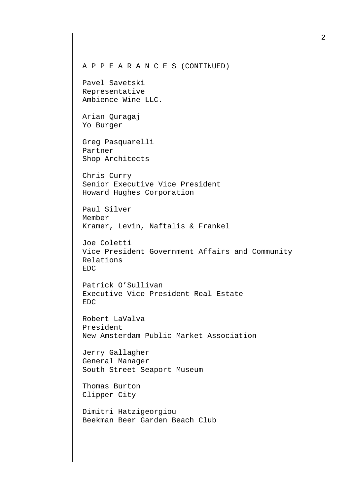Pavel Savetski Representative Ambience Wine LLC.

Arian Quragaj Yo Burger

Greg Pasquarelli Partner Shop Architects

Chris Curry Senior Executive Vice President Howard Hughes Corporation

Paul Silver Member Kramer, Levin, Naftalis & Frankel

Joe Coletti Vice President Government Affairs and Community Relations EDC

Patrick O'Sullivan Executive Vice President Real Estate EDC

Robert LaValva President New Amsterdam Public Market Association

Jerry Gallagher General Manager South Street Seaport Museum

Thomas Burton Clipper City

Dimitri Hatzigeorgiou Beekman Beer Garden Beach Club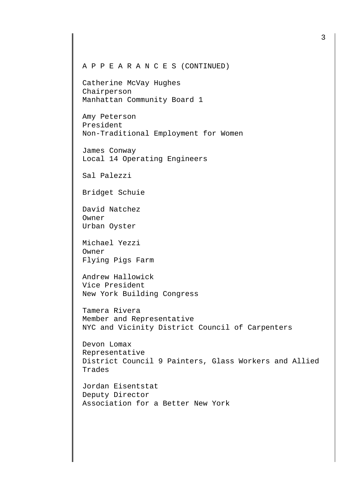Catherine McVay Hughes Chairperson Manhattan Community Board 1

Amy Peterson President Non-Traditional Employment for Women

James Conway Local 14 Operating Engineers

Sal Palezzi

Bridget Schuie

David Natchez Owner Urban Oyster

Michael Yezzi Owner Flying Pigs Farm

Andrew Hallowick Vice President New York Building Congress

Tamera Rivera Member and Representative NYC and Vicinity District Council of Carpenters

Devon Lomax Representative District Council 9 Painters, Glass Workers and Allied Trades

Jordan Eisentstat Deputy Director Association for a Better New York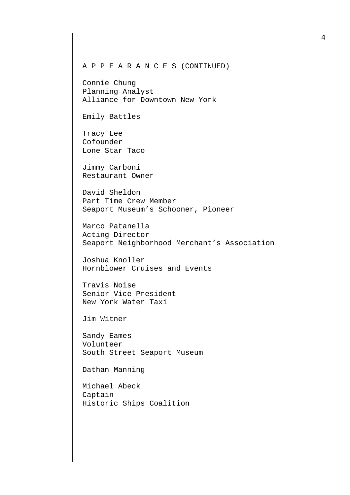Connie Chung Planning Analyst Alliance for Downtown New York

Emily Battles

Tracy Lee Cofounder Lone Star Taco

Jimmy Carboni Restaurant Owner

David Sheldon Part Time Crew Member Seaport Museum's Schooner, Pioneer

Marco Patanella Acting Director Seaport Neighborhood Merchant's Association

Joshua Knoller Hornblower Cruises and Events

Travis Noise Senior Vice President New York Water Taxi

Jim Witner

Sandy Eames Volunteer South Street Seaport Museum

Dathan Manning

Michael Abeck Captain Historic Ships Coalition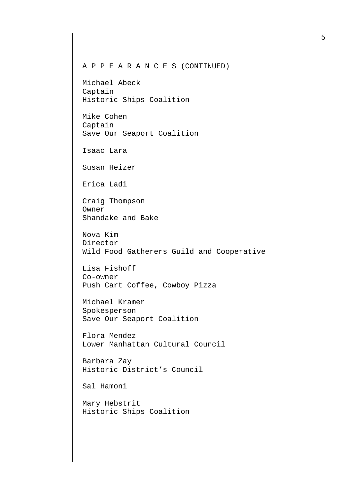Michael Abeck Captain Historic Ships Coalition

Mike Cohen Captain Save Our Seaport Coalition

Isaac Lara

Susan Heizer

Erica Ladi

Craig Thompson Owner Shandake and Bake

Nova Kim Director Wild Food Gatherers Guild and Cooperative

Lisa Fishoff Co-owner Push Cart Coffee, Cowboy Pizza

Michael Kramer Spokesperson Save Our Seaport Coalition

Flora Mendez Lower Manhattan Cultural Council

Barbara Zay Historic District's Council

Sal Hamoni

Mary Hebstrit Historic Ships Coalition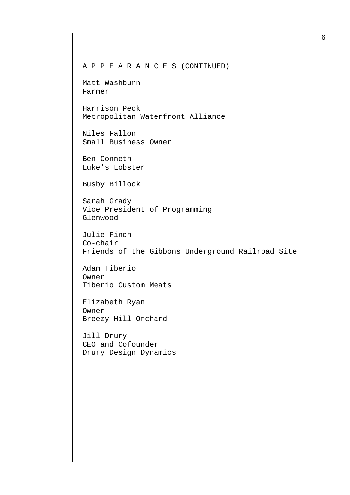Matt Washburn Farmer

Harrison Peck Metropolitan Waterfront Alliance

Niles Fallon Small Business Owner

Ben Conneth Luke's Lobster

Busby Billock

Sarah Grady Vice President of Programming Glenwood

Julie Finch Co-chair Friends of the Gibbons Underground Railroad Site

Adam Tiberio Owner Tiberio Custom Meats

Elizabeth Ryan Owner Breezy Hill Orchard

Jill Drury CEO and Cofounder Drury Design Dynamics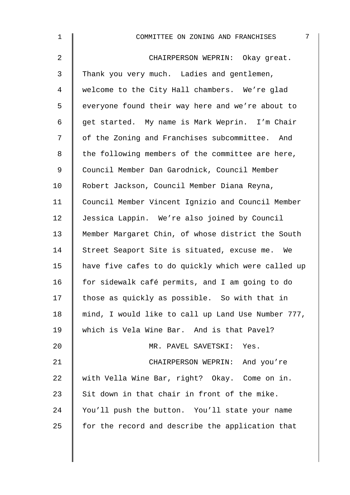| $\mathbf 1$ | 7<br>COMMITTEE ON ZONING AND FRANCHISES            |
|-------------|----------------------------------------------------|
| 2           | CHAIRPERSON WEPRIN: Okay great.                    |
| 3           | Thank you very much. Ladies and gentlemen,         |
| 4           | welcome to the City Hall chambers. We're glad      |
| 5           | everyone found their way here and we're about to   |
| 6           | get started. My name is Mark Weprin. I'm Chair     |
| 7           | of the Zoning and Franchises subcommittee. And     |
| 8           | the following members of the committee are here,   |
| $\mathsf 9$ | Council Member Dan Garodnick, Council Member       |
| 10          | Robert Jackson, Council Member Diana Reyna,        |
| 11          | Council Member Vincent Ignizio and Council Member  |
| 12          | Jessica Lappin. We're also joined by Council       |
| 13          | Member Margaret Chin, of whose district the South  |
| 14          | Street Seaport Site is situated, excuse me. We     |
| 15          | have five cafes to do quickly which were called up |
| 16          | for sidewalk café permits, and I am going to do    |
| 17          | those as quickly as possible. So with that in      |
| 18          | mind, I would like to call up Land Use Number 777, |
| 19          | which is Vela Wine Bar. And is that Pavel?         |
| 20          | MR. PAVEL SAVETSKI: Yes.                           |
| 21          | CHAIRPERSON WEPRIN: And you're                     |
| 22          | with Vella Wine Bar, right? Okay. Come on in.      |
| 23          | Sit down in that chair in front of the mike.       |
| 24          | You'll push the button. You'll state your name     |
| 25          | for the record and describe the application that   |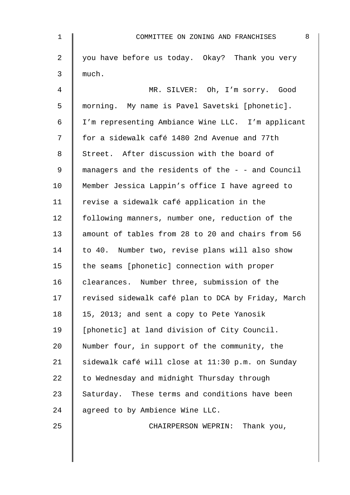| 1              | 8<br>COMMITTEE ON ZONING AND FRANCHISES            |
|----------------|----------------------------------------------------|
| $\overline{a}$ | you have before us today. Okay? Thank you very     |
| 3              | much.                                              |
| 4              | MR. SILVER: Oh, I'm sorry. Good                    |
| 5              | morning. My name is Pavel Savetski [phonetic].     |
| 6              | I'm representing Ambiance Wine LLC. I'm applicant  |
| 7              | for a sidewalk café 1480 2nd Avenue and 77th       |
| 8              | Street. After discussion with the board of         |
| 9              | managers and the residents of the - - and Council  |
| 10             | Member Jessica Lappin's office I have agreed to    |
| 11             | revise a sidewalk café application in the          |
| 12             | following manners, number one, reduction of the    |
| 13             | amount of tables from 28 to 20 and chairs from 56  |
| 14             | to 40. Number two, revise plans will also show     |
| 15             | the seams [phonetic] connection with proper        |
| 16             | clearances. Number three, submission of the        |
| 17             | revised sidewalk café plan to DCA by Friday, March |
| 18             | 15, 2013; and sent a copy to Pete Yanosik          |
| 19             | [phonetic] at land division of City Council.       |
| 20             | Number four, in support of the community, the      |
| 21             | sidewalk café will close at 11:30 p.m. on Sunday   |
| 22             | to Wednesday and midnight Thursday through         |
| 23             | Saturday. These terms and conditions have been     |
| 24             | agreed to by Ambience Wine LLC.                    |
| 25             | CHAIRPERSON WEPRIN: Thank you,                     |
|                |                                                    |
|                |                                                    |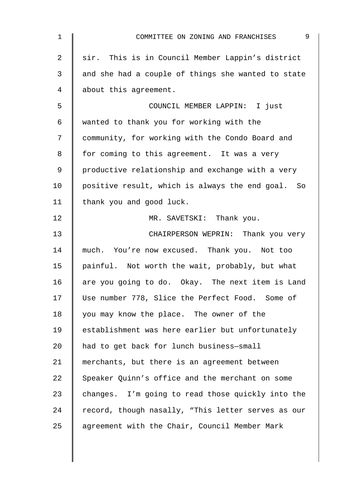| 1  | 9<br>COMMITTEE ON ZONING AND FRANCHISES            |
|----|----------------------------------------------------|
| 2  | sir. This is in Council Member Lappin's district   |
| 3  | and she had a couple of things she wanted to state |
| 4  | about this agreement.                              |
| 5  | COUNCIL MEMBER LAPPIN: I just                      |
| 6  | wanted to thank you for working with the           |
| 7  | community, for working with the Condo Board and    |
| 8  | for coming to this agreement. It was a very        |
| 9  | productive relationship and exchange with a very   |
| 10 | positive result, which is always the end goal. So  |
| 11 | thank you and good luck.                           |
| 12 | MR. SAVETSKI: Thank you.                           |
| 13 | CHAIRPERSON WEPRIN: Thank you very                 |
| 14 | much. You're now excused. Thank you. Not too       |
| 15 | painful. Not worth the wait, probably, but what    |
| 16 | are you going to do. Okay. The next item is Land   |
| 17 | Use number 778, Slice the Perfect Food. Some of    |
| 18 | you may know the place. The owner of the           |
| 19 | establishment was here earlier but unfortunately   |
| 20 | had to get back for lunch business-small           |
| 21 | merchants, but there is an agreement between       |
| 22 | Speaker Quinn's office and the merchant on some    |
| 23 | changes. I'm going to read those quickly into the  |
| 24 | record, though nasally, "This letter serves as our |
| 25 | agreement with the Chair, Council Member Mark      |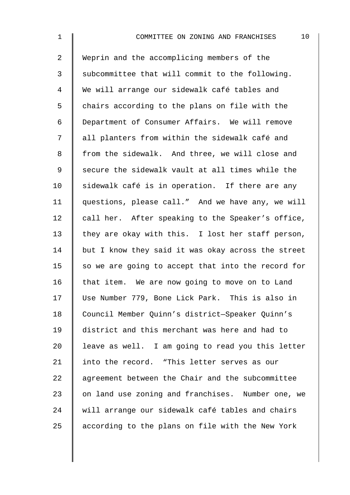2 Weprin and the accomplicing members of the 3 Subcommittee that will commit to the following. 4 We will arrange our sidewalk café tables and  $5 \parallel$  chairs according to the plans on file with the 6 Department of Consumer Affairs. We will remove 7 || all planters from within the sidewalk café and 8 from the sidewalk. And three, we will close and 9 Secure the sidewalk vault at all times while the  $10$  sidewalk café is in operation. If there are any 11 | questions, please call." And we have any, we will 12  $\parallel$  call her. After speaking to the Speaker's office, 13 they are okay with this. I lost her staff person,  $14$  but I know they said it was okay across the street 15  $\parallel$  so we are going to accept that into the record for 16 that item. We are now going to move on to Land 17 Use Number 779, Bone Lick Park. This is also in 18 | Council Member Quinn's district-Speaker Quinn's 19 district and this merchant was here and had to 20  $\parallel$  leave as well. I am going to read you this letter 21 into the record. "This letter serves as our 22 agreement between the Chair and the subcommittee 23 | on land use zoning and franchises. Number one, we 24 will arrange our sidewalk café tables and chairs  $25$  according to the plans on file with the New York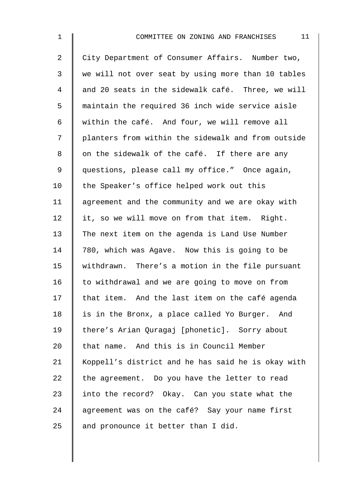| $\mathbf 1$    | 11<br>COMMITTEE ON ZONING AND FRANCHISES           |
|----------------|----------------------------------------------------|
| $\overline{2}$ | City Department of Consumer Affairs. Number two,   |
| 3              | we will not over seat by using more than 10 tables |
| 4              | and 20 seats in the sidewalk café. Three, we will  |
| 5              | maintain the required 36 inch wide service aisle   |
| 6              | within the café. And four, we will remove all      |
| 7              | planters from within the sidewalk and from outside |
| 8              | on the sidewalk of the café. If there are any      |
| 9              | questions, please call my office." Once again,     |
| 10             | the Speaker's office helped work out this          |
| 11             | agreement and the community and we are okay with   |
| 12             | it, so we will move on from that item. Right.      |
| 13             | The next item on the agenda is Land Use Number     |
| 14             | 780, which was Agave. Now this is going to be      |
| 15             | withdrawn. There's a motion in the file pursuant   |
| 16             | to withdrawal and we are going to move on from     |
| 17             | that item. And the last item on the café agenda    |
| 18             | is in the Bronx, a place called Yo Burger. And     |
| 19             | there's Arian Quragaj [phonetic]. Sorry about      |
| 20             | that name. And this is in Council Member           |
| 21             | Koppell's district and he has said he is okay with |
| 22             | the agreement. Do you have the letter to read      |
| 23             | into the record? Okay. Can you state what the      |
| 24             | agreement was on the café? Say your name first     |
| 25             | and pronounce it better than I did.                |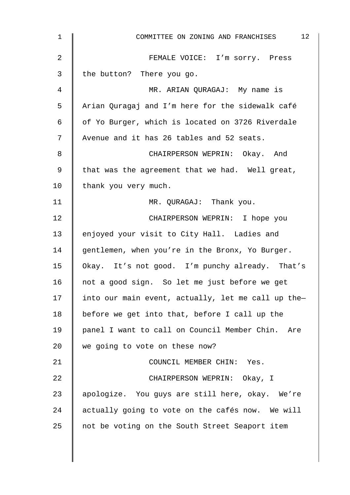| 12 <sub>2</sub><br>COMMITTEE ON ZONING AND FRANCHISES |
|-------------------------------------------------------|
| FEMALE VOICE: I'm sorry. Press                        |
| the button? There you go.                             |
| MR. ARIAN QURAGAJ: My name is                         |
| Arian Quragaj and I'm here for the sidewalk café      |
| of Yo Burger, which is located on 3726 Riverdale      |
| Avenue and it has 26 tables and 52 seats.             |
| CHAIRPERSON WEPRIN: Okay. And                         |
| that was the agreement that we had. Well great,       |
| thank you very much.                                  |
| MR. QURAGAJ: Thank you.                               |
| CHAIRPERSON WEPRIN: I hope you                        |
| enjoyed your visit to City Hall. Ladies and           |
| gentlemen, when you're in the Bronx, Yo Burger.       |
| Okay. It's not good. I'm punchy already. That's       |
| not a good sign. So let me just before we get         |
| into our main event, actually, let me call up the-    |
| before we get into that, before I call up the         |
| panel I want to call on Council Member Chin. Are      |
| we going to vote on these now?                        |
| COUNCIL MEMBER CHIN: Yes.                             |
| CHAIRPERSON WEPRIN: Okay, I                           |
| apologize. You guys are still here, okay. We're       |
| actually going to vote on the cafés now. We will      |
| not be voting on the South Street Seaport item        |
|                                                       |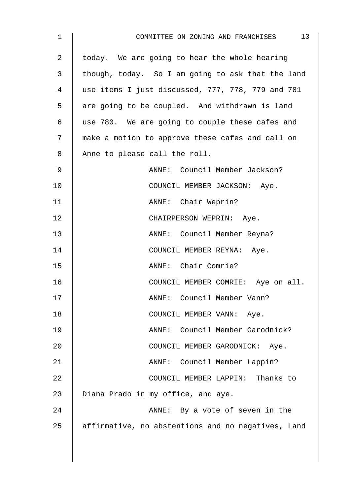| $\mathbf 1$ | 13<br>COMMITTEE ON ZONING AND FRANCHISES           |
|-------------|----------------------------------------------------|
| 2           | today. We are going to hear the whole hearing      |
| 3           | though, today. So I am going to ask that the land  |
| 4           | use items I just discussed, 777, 778, 779 and 781  |
| 5           | are going to be coupled. And withdrawn is land     |
| 6           | use 780. We are going to couple these cafes and    |
| 7           | make a motion to approve these cafes and call on   |
| 8           | Anne to please call the roll.                      |
| $\mathsf 9$ | ANNE: Council Member Jackson?                      |
| 10          | COUNCIL MEMBER JACKSON: Aye.                       |
| 11          | ANNE: Chair Weprin?                                |
| 12          | CHAIRPERSON WEPRIN: Aye.                           |
| 13          | ANNE: Council Member Reyna?                        |
| 14          | COUNCIL MEMBER REYNA: Aye.                         |
| 15          | ANNE: Chair Comrie?                                |
| 16          | COUNCIL MEMBER COMRIE: Aye on all.                 |
| 17          | Council Member Vann?<br>ANDE:                      |
| 18          | COUNCIL MEMBER VANN: Aye.                          |
| 19          | Council Member Garodnick?<br>ANNE:                 |
| 20          | COUNCIL MEMBER GARODNICK: Aye.                     |
| 21          | ANNE: Council Member Lappin?                       |
| 22          | COUNCIL MEMBER LAPPIN:<br>Thanks to                |
| 23          | Diana Prado in my office, and aye.                 |
| 24          | ANNE: By a vote of seven in the                    |
| 25          | affirmative, no abstentions and no negatives, Land |
|             |                                                    |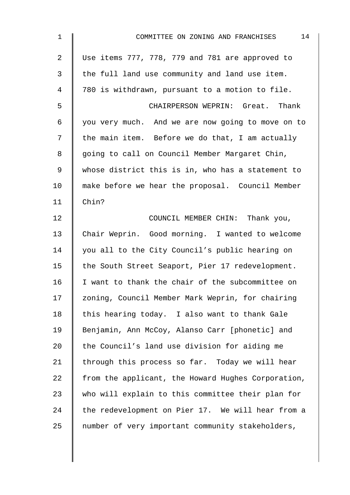| $\mathbf 1$    | 14<br>COMMITTEE ON ZONING AND FRANCHISES           |
|----------------|----------------------------------------------------|
| $\overline{2}$ | Use items 777, 778, 779 and 781 are approved to    |
| 3              | the full land use community and land use item.     |
| $\overline{4}$ | 780 is withdrawn, pursuant to a motion to file.    |
| 5              | CHAIRPERSON WEPRIN: Great. Thank                   |
| $\epsilon$     | you very much. And we are now going to move on to  |
| 7              | the main item. Before we do that, I am actually    |
| 8              | going to call on Council Member Margaret Chin,     |
| $\mathsf 9$    | whose district this is in, who has a statement to  |
| 10             | make before we hear the proposal. Council Member   |
| 11             | Chin?                                              |
| 12             | COUNCIL MEMBER CHIN: Thank you,                    |
| 13             | Chair Weprin. Good morning. I wanted to welcome    |
| 14             | you all to the City Council's public hearing on    |
| 15             | the South Street Seaport, Pier 17 redevelopment.   |
| 16             | I want to thank the chair of the subcommittee on   |
| 17             | zoning, Council Member Mark Weprin, for chairing   |
| 18             | this hearing today. I also want to thank Gale      |
| 19             | Benjamin, Ann McCoy, Alanso Carr [phonetic] and    |
| 20             | the Council's land use division for aiding me      |
| 21             | through this process so far. Today we will hear    |
| 22             | from the applicant, the Howard Hughes Corporation, |
| 23             | who will explain to this committee their plan for  |
| 24             | the redevelopment on Pier 17. We will hear from a  |
| 25             | number of very important community stakeholders,   |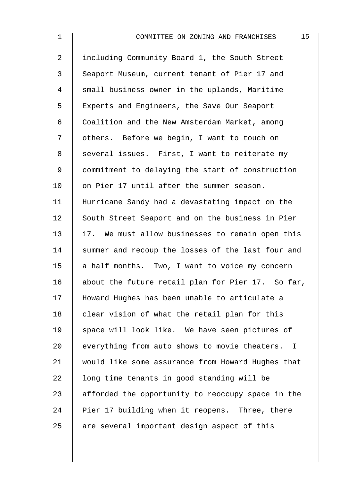| $\mathbf 1$    | 15<br>COMMITTEE ON ZONING AND FRANCHISES                        |
|----------------|-----------------------------------------------------------------|
| $\overline{2}$ | including Community Board 1, the South Street                   |
| 3              | Seaport Museum, current tenant of Pier 17 and                   |
| 4              | small business owner in the uplands, Maritime                   |
| 5              | Experts and Engineers, the Save Our Seaport                     |
| 6              | Coalition and the New Amsterdam Market, among                   |
| 7              | others. Before we begin, I want to touch on                     |
| 8              | several issues. First, I want to reiterate my                   |
| 9              | commitment to delaying the start of construction                |
| 10             | on Pier 17 until after the summer season.                       |
| 11             | Hurricane Sandy had a devastating impact on the                 |
| 12             | South Street Seaport and on the business in Pier                |
| 13             | 17. We must allow businesses to remain open this                |
| 14             | summer and recoup the losses of the last four and               |
| 15             | a half months. Two, I want to voice my concern                  |
| 16             | about the future retail plan for Pier 17. So far,               |
| 17             | Howard Hughes has been unable to articulate a                   |
| 18             | clear vision of what the retail plan for this                   |
| 19             | space will look like. We have seen pictures of                  |
| 20             | everything from auto shows to movie theaters.<br>$\blacksquare$ |
| 21             | would like some assurance from Howard Hughes that               |
| 22             | long time tenants in good standing will be                      |
| 23             | afforded the opportunity to reoccupy space in the               |
| 24             | Pier 17 building when it reopens. Three, there                  |
| 25             | are several important design aspect of this                     |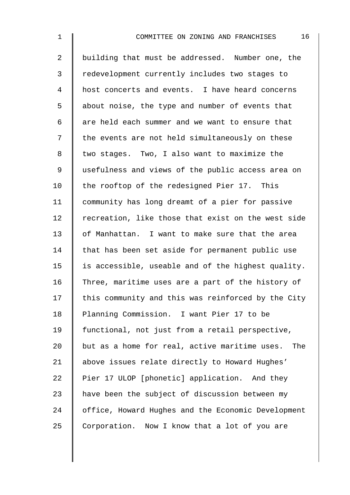| $\mathbf 1$    | 16<br>COMMITTEE ON ZONING AND FRANCHISES           |
|----------------|----------------------------------------------------|
| $\overline{a}$ | building that must be addressed. Number one, the   |
| 3              | redevelopment currently includes two stages to     |
| 4              | host concerts and events. I have heard concerns    |
| 5              | about noise, the type and number of events that    |
| 6              | are held each summer and we want to ensure that    |
| 7              | the events are not held simultaneously on these    |
| 8              | two stages. Two, I also want to maximize the       |
| 9              | usefulness and views of the public access area on  |
| 10             | the rooftop of the redesigned Pier 17. This        |
| 11             | community has long dreamt of a pier for passive    |
| 12             | recreation, like those that exist on the west side |
| 13             | of Manhattan. I want to make sure that the area    |
| 14             | that has been set aside for permanent public use   |
| 15             | is accessible, useable and of the highest quality. |
| 16             | Three, maritime uses are a part of the history of  |
| 17             | this community and this was reinforced by the City |
| 18             | Planning Commission. I want Pier 17 to be          |
| 19             | functional, not just from a retail perspective,    |
| 20             | but as a home for real, active maritime uses. The  |
| 21             | above issues relate directly to Howard Hughes'     |
| 22             | Pier 17 ULOP [phonetic] application. And they      |
| 23             | have been the subject of discussion between my     |
| 24             | office, Howard Hughes and the Economic Development |

25 Corporation. Now I know that a lot of you are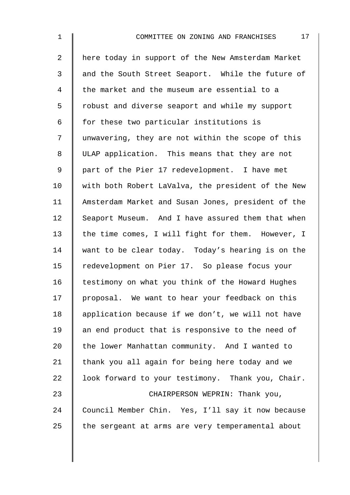2 | here today in support of the New Amsterdam Market 3 and the South Street Seaport. While the future of 4 the market and the museum are essential to a 5 | robust and diverse seaport and while my support  $6 \parallel$  for these two particular institutions is 7 I unwavering, they are not within the scope of this 8 ULAP application. This means that they are not 9 | part of the Pier 17 redevelopment. I have met 10 | with both Robert LaValva, the president of the New 11 Amsterdam Market and Susan Jones, president of the 12 Seaport Museum. And I have assured them that when 13  $\parallel$  the time comes, I will fight for them. However, I 14 want to be clear today. Today's hearing is on the 15 | redevelopment on Pier 17. So please focus your 16 | testimony on what you think of the Howard Hughes 17 proposal. We want to hear your feedback on this 18 | application because if we don't, we will not have  $19$  an end product that is responsive to the need of 20  $\parallel$  the lower Manhattan community. And I wanted to 21  $\parallel$  thank you all again for being here today and we 22  $\parallel$  look forward to your testimony. Thank you, Chair. 23 CHAIRPERSON WEPRIN: Thank you, 24 Council Member Chin. Yes, I'll say it now because  $25$  the sergeant at arms are very temperamental about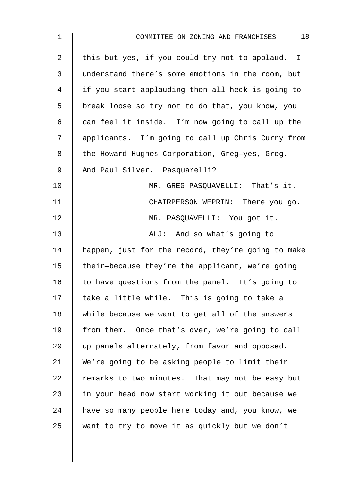| $\mathbf 1$    | 18<br>COMMITTEE ON ZONING AND FRANCHISES           |
|----------------|----------------------------------------------------|
| $\overline{2}$ | this but yes, if you could try not to applaud. I   |
| 3              | understand there's some emotions in the room, but  |
| 4              | if you start applauding then all heck is going to  |
| 5              | break loose so try not to do that, you know, you   |
| 6              | can feel it inside. I'm now going to call up the   |
| 7              | applicants. I'm going to call up Chris Curry from  |
| 8              | the Howard Hughes Corporation, Greg-yes, Greg.     |
| 9              | And Paul Silver. Pasquarelli?                      |
| 10             | MR. GREG PASQUAVELLI: That's it.                   |
| 11             | CHAIRPERSON WEPRIN: There you go.                  |
| 12             | MR. PASQUAVELLI: You got it.                       |
| 13             | ALJ: And so what's going to                        |
| 14             | happen, just for the record, they're going to make |
| 15             | their-because they're the applicant, we're going   |
| 16             | to have questions from the panel. It's going to    |
| 17             | take a little while. This is going to take a       |
| 18             | while because we want to get all of the answers    |
| 19             | from them. Once that's over, we're going to call   |
| 20             | up panels alternately, from favor and opposed.     |
| 21             | We're going to be asking people to limit their     |
| 22             | remarks to two minutes. That may not be easy but   |
| 23             | in your head now start working it out because we   |
| 24             | have so many people here today and, you know, we   |
| 25             | want to try to move it as quickly but we don't     |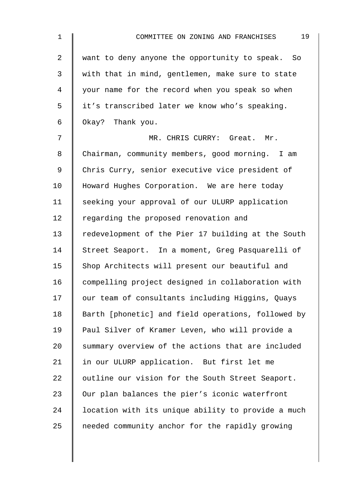| $\mathbf 1$    | 19<br>COMMITTEE ON ZONING AND FRANCHISES           |
|----------------|----------------------------------------------------|
| $\overline{a}$ | want to deny anyone the opportunity to speak. So   |
| 3              | with that in mind, gentlemen, make sure to state   |
| $\overline{4}$ | your name for the record when you speak so when    |
| 5              | it's transcribed later we know who's speaking.     |
| 6              | Okay? Thank you.                                   |
| 7              | MR. CHRIS CURRY: Great. Mr.                        |
| 8              | Chairman, community members, good morning. I am    |
| $\mathsf 9$    | Chris Curry, senior executive vice president of    |
| 10             | Howard Hughes Corporation. We are here today       |
| 11             | seeking your approval of our ULURP application     |
| 12             | regarding the proposed renovation and              |
| 13             | redevelopment of the Pier 17 building at the South |
| 14             | Street Seaport. In a moment, Greg Pasquarelli of   |
| 15             | Shop Architects will present our beautiful and     |
| 16             | compelling project designed in collaboration with  |
| 17             | our team of consultants including Higgins, Quays   |
| 18             | Barth [phonetic] and field operations, followed by |
| 19             | Paul Silver of Kramer Leven, who will provide a    |
| 20             | summary overview of the actions that are included  |
| 21             | in our ULURP application. But first let me         |
| 22             | outline our vision for the South Street Seaport.   |
| 23             | Our plan balances the pier's iconic waterfront     |
| 24             | location with its unique ability to provide a much |
| 25             | needed community anchor for the rapidly growing    |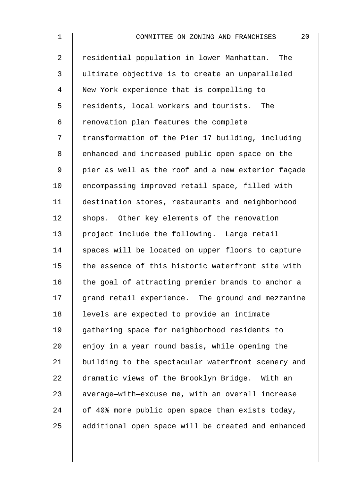2 Tesidential population in lower Manhattan. The 3 ultimate objective is to create an unparalleled 4 New York experience that is compelling to 5 Tesidents, local workers and tourists. The  $6 \parallel$  renovation plan features the complete 7 | transformation of the Pier 17 building, including 8 | enhanced and increased public open space on the 9 | pier as well as the roof and a new exterior façade 10 | encompassing improved retail space, filled with 11 destination stores, restaurants and neighborhood 12 shops. Other key elements of the renovation 13 project include the following. Large retail  $14$  spaces will be located on upper floors to capture  $15$  the essence of this historic waterfront site with 16  $\parallel$  the goal of attracting premier brands to anchor a  $17$   $\parallel$  grand retail experience. The ground and mezzanine 18 | levels are expected to provide an intimate 19 gathering space for neighborhood residents to 20  $\parallel$  enjoy in a year round basis, while opening the 21 | building to the spectacular waterfront scenery and 22 dramatic views of the Brooklyn Bridge. With an 23 | average-with-excuse me, with an overall increase 24  $\parallel$  of 40% more public open space than exists today, 25 additional open space will be created and enhanced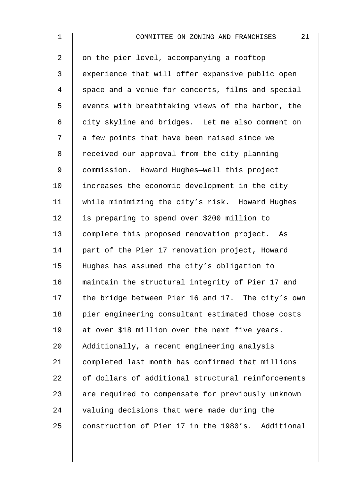| $\mathbf 1$ | 21<br>COMMITTEE ON ZONING AND FRANCHISES           |
|-------------|----------------------------------------------------|
| 2           | on the pier level, accompanying a rooftop          |
| 3           | experience that will offer expansive public open   |
| 4           | space and a venue for concerts, films and special  |
| 5           | events with breathtaking views of the harbor, the  |
| 6           | city skyline and bridges. Let me also comment on   |
| 7           | a few points that have been raised since we        |
| 8           | received our approval from the city planning       |
| 9           | commission. Howard Hughes-well this project        |
| 10          | increases the economic development in the city     |
| 11          | while minimizing the city's risk. Howard Hughes    |
| 12          | is preparing to spend over \$200 million to        |
| 13          | complete this proposed renovation project.<br>As   |
| 14          | part of the Pier 17 renovation project, Howard     |
| 15          | Hughes has assumed the city's obligation to        |
| 16          | maintain the structural integrity of Pier 17 and   |
| 17          | the bridge between Pier 16 and 17. The city's own  |
| 18          | pier engineering consultant estimated those costs  |
| 19          | at over \$18 million over the next five years.     |
| 20          | Additionally, a recent engineering analysis        |
| 21          | completed last month has confirmed that millions   |
| 22          | of dollars of additional structural reinforcements |
| 23          | are required to compensate for previously unknown  |
| 24          | valuing decisions that were made during the        |
| 25          | construction of Pier 17 in the 1980's. Additional  |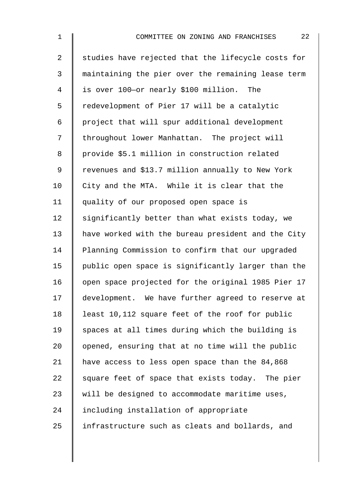2 Studies have rejected that the lifecycle costs for 3 maintaining the pier over the remaining lease term 4 is over 100—or nearly \$100 million. The 5 | redevelopment of Pier 17 will be a catalytic  $6 \parallel$  project that will spur additional development 7 | throughout lower Manhattan. The project will 8 | provide \$5.1 million in construction related 9 | revenues and \$13.7 million annually to New York  $10$  | City and the MTA. While it is clear that the 11 quality of our proposed open space is 12  $\parallel$  significantly better than what exists today, we 13 have worked with the bureau president and the City 14 Planning Commission to confirm that our upgraded 15 public open space is significantly larger than the 16 | open space projected for the original 1985 Pier 17 17 development. We have further agreed to reserve at 18 | least 10,112 square feet of the roof for public  $19$  spaces at all times during which the building is 20  $\parallel$  opened, ensuring that at no time will the public 21 | have access to less open space than the 84,868 22  $\parallel$  square feet of space that exists today. The pier

 $23$  will be designed to accommodate maritime uses,

24 I including installation of appropriate

25 | infrastructure such as cleats and bollards, and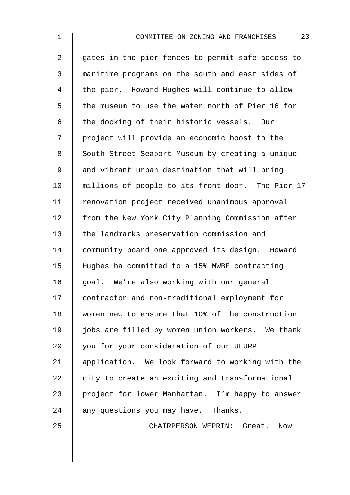| $\mathbf 1$ | 23<br>COMMITTEE ON ZONING AND FRANCHISES          |
|-------------|---------------------------------------------------|
| 2           | gates in the pier fences to permit safe access to |
| 3           | maritime programs on the south and east sides of  |
| 4           | the pier. Howard Hughes will continue to allow    |
| 5           | the museum to use the water north of Pier 16 for  |
| 6           | the docking of their historic vessels. Our        |
| 7           | project will provide an economic boost to the     |
| 8           | South Street Seaport Museum by creating a unique  |
| $\mathsf 9$ | and vibrant urban destination that will bring     |
| 10          | millions of people to its front door. The Pier 17 |
| 11          | renovation project received unanimous approval    |
| 12          | from the New York City Planning Commission after  |
| 13          | the landmarks preservation commission and         |
| 14          | community board one approved its design. Howard   |
| 15          | Hughes ha committed to a 15% MWBE contracting     |
| 16          | goal. We're also working with our general         |
| 17          | contractor and non-traditional employment for     |
| 18          | women new to ensure that 10% of the construction  |
| 19          | jobs are filled by women union workers. We thank  |
| 20          | you for your consideration of our ULURP           |
| 21          | application. We look forward to working with the  |
| 22          | city to create an exciting and transformational   |
| 23          | project for lower Manhattan. I'm happy to answer  |

24 any questions you may have. Thanks.

25 CHAIRPERSON WEPRIN: Great. Now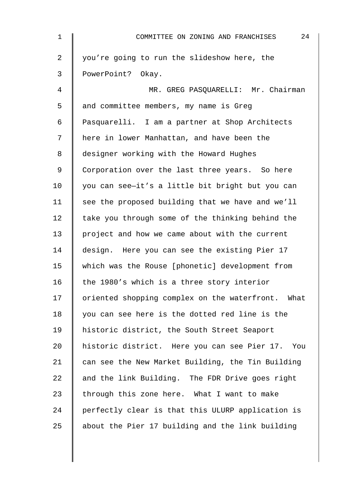| $\mathbf 1$    | 24<br>COMMITTEE ON ZONING AND FRANCHISES          |
|----------------|---------------------------------------------------|
| $\overline{2}$ | you're going to run the slideshow here, the       |
| 3              | PowerPoint? Okay.                                 |
| 4              | MR. GREG PASQUARELLI: Mr. Chairman                |
| 5              | and committee members, my name is Greg            |
| 6              | Pasquarelli. I am a partner at Shop Architects    |
| 7              | here in lower Manhattan, and have been the        |
| 8              | designer working with the Howard Hughes           |
| 9              | Corporation over the last three years. So here    |
| 10             | you can see-it's a little bit bright but you can  |
| 11             | see the proposed building that we have and we'll  |
| 12             | take you through some of the thinking behind the  |
| 13             | project and how we came about with the current    |
| 14             | design. Here you can see the existing Pier 17     |
| 15             | which was the Rouse [phonetic] development from   |
| 16             | the 1980's which is a three story interior        |
| 17             | oriented shopping complex on the waterfront. What |
| 18             | you can see here is the dotted red line is the    |
| 19             | historic district, the South Street Seaport       |
| 20             | historic district. Here you can see Pier 17. You  |
| 21             | can see the New Market Building, the Tin Building |
| 22             | and the link Building. The FDR Drive goes right   |
| 23             | through this zone here. What I want to make       |
| 24             | perfectly clear is that this ULURP application is |
| 25             | about the Pier 17 building and the link building  |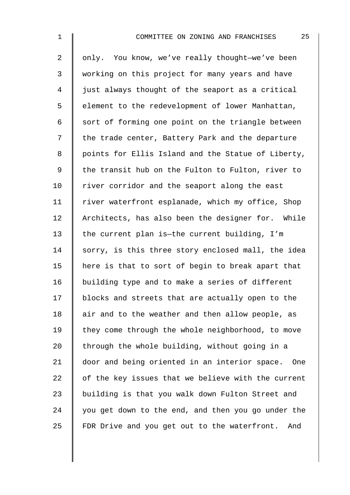| $\mathbf 1$    | 25<br>COMMITTEE ON ZONING AND FRANCHISES           |
|----------------|----------------------------------------------------|
| $\overline{2}$ | only. You know, we've really thought-we've been    |
| 3              | working on this project for many years and have    |
| $\overline{4}$ | just always thought of the seaport as a critical   |
| 5              | element to the redevelopment of lower Manhattan,   |
| 6              | sort of forming one point on the triangle between  |
| 7              | the trade center, Battery Park and the departure   |
| 8              | points for Ellis Island and the Statue of Liberty, |
| $\mathsf 9$    | the transit hub on the Fulton to Fulton, river to  |
| 10             | river corridor and the seaport along the east      |
| 11             | river waterfront esplanade, which my office, Shop  |
| 12             | Architects, has also been the designer for. While  |
| 13             | the current plan is-the current building, I'm      |
| 14             | sorry, is this three story enclosed mall, the idea |
| 15             | here is that to sort of begin to break apart that  |
| 16             | building type and to make a series of different    |
| 17             | blocks and streets that are actually open to the   |
| 18             | air and to the weather and then allow people, as   |
| 19             | they come through the whole neighborhood, to move  |
| 20             | through the whole building, without going in a     |
| 21             | door and being oriented in an interior space. One  |
| 22             | of the key issues that we believe with the current |
| 23             | building is that you walk down Fulton Street and   |
| 24             | you get down to the end, and then you go under the |

25 FDR Drive and you get out to the waterfront. And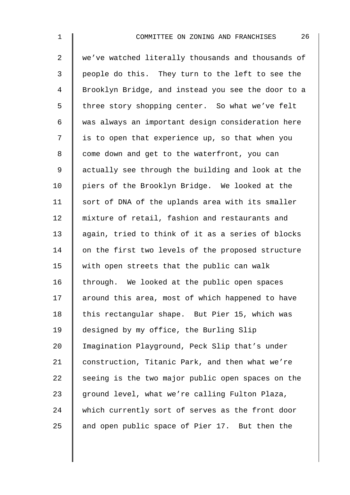2 We've watched literally thousands and thousands of 3 | people do this. They turn to the left to see the 4 Brooklyn Bridge, and instead you see the door to a 5 I three story shopping center. So what we've felt 6 was always an important design consideration here  $7 \parallel$  is to open that experience up, so that when you 8 | come down and get to the waterfront, you can 9 | actually see through the building and look at the 10 | piers of the Brooklyn Bridge. We looked at the 11 | sort of DNA of the uplands area with its smaller 12 | mixture of retail, fashion and restaurants and 13 again, tried to think of it as a series of blocks 14 on the first two levels of the proposed structure 15  $\parallel$  with open streets that the public can walk 16 | through. We looked at the public open spaces 17 around this area, most of which happened to have 18 this rectangular shape. But Pier 15, which was 19 designed by my office, the Burling Slip 20 Imagination Playground, Peck Slip that's under 21 construction, Titanic Park, and then what we're 22  $\parallel$  seeing is the two major public open spaces on the 23  $\parallel$  ground level, what we're calling Fulton Plaza, 24 which currently sort of serves as the front door 25  $\parallel$  and open public space of Pier 17. But then the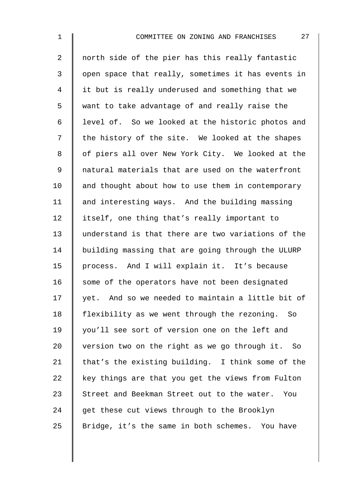2 || north side of the pier has this really fantastic 3 | open space that really, sometimes it has events in 4 I it but is really underused and something that we 5 want to take advantage of and really raise the 6 level of. So we looked at the historic photos and  $7 \parallel$  the history of the site. We looked at the shapes 8 | of piers all over New York City. We looked at the 9 || natural materials that are used on the waterfront  $10$  and thought about how to use them in contemporary 11 | and interesting ways. And the building massing 12 itself, one thing that's really important to 13 understand is that there are two variations of the 14 building massing that are going through the ULURP 15 | process. And I will explain it. It's because  $16$  some of the operators have not been designated  $17$   $\parallel$  yet. And so we needed to maintain a little bit of 18 | flexibility as we went through the rezoning. So 19 | you'll see sort of version one on the left and 20  $\parallel$  version two on the right as we go through it. So 21 | that's the existing building. I think some of the 22  $\parallel$  key things are that you get the views from Fulton 23 Street and Beekman Street out to the water. You  $24$  get these cut views through to the Brooklyn 25 Sridge, it's the same in both schemes. You have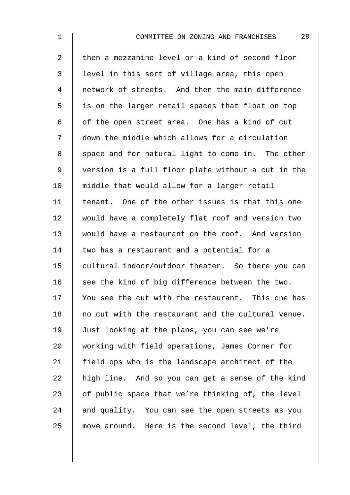| $\mathbf 1$    | 28<br>COMMITTEE ON ZONING AND FRANCHISES           |
|----------------|----------------------------------------------------|
| $\overline{2}$ | then a mezzanine level or a kind of second floor   |
| 3              | level in this sort of village area, this open      |
| 4              | network of streets. And then the main difference   |
| 5              | is on the larger retail spaces that float on top   |
| 6              | of the open street area. One has a kind of cut     |
| 7              | down the middle which allows for a circulation     |
| 8              | space and for natural light to come in. The other  |
| 9              | version is a full floor plate without a cut in the |
| 10             | middle that would allow for a larger retail        |
| 11             | tenant. One of the other issues is that this one   |
| 12             | would have a completely flat roof and version two  |
| 13             | would have a restaurant on the roof. And version   |
| 14             | two has a restaurant and a potential for a         |
| 15             | cultural indoor/outdoor theater. So there you can  |
| 16             | see the kind of big difference between the two.    |
| 17             | You see the cut with the restaurant. This one has  |
| 18             | no cut with the restaurant and the cultural venue. |
| 19             | Just looking at the plans, you can see we're       |
| 20             | working with field operations, James Corner for    |
| 21             | field ops who is the landscape architect of the    |
| 22             | high line. And so you can get a sense of the kind  |
| 23             | of public space that we're thinking of, the level  |
| 24             | and quality. You can see the open streets as you   |
| 25             | move around. Here is the second level, the third   |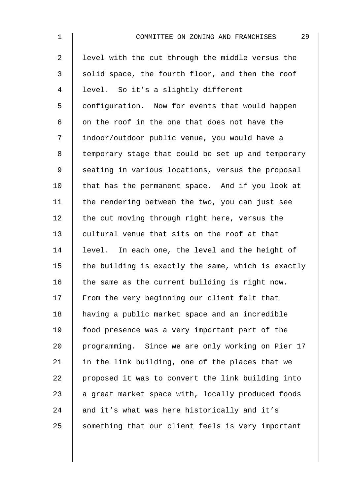| $\mathbf 1$    | 29<br>COMMITTEE ON ZONING AND FRANCHISES           |
|----------------|----------------------------------------------------|
| $\overline{2}$ | level with the cut through the middle versus the   |
| 3              | solid space, the fourth floor, and then the roof   |
| $\overline{4}$ | level. So it's a slightly different                |
| 5              | configuration. Now for events that would happen    |
| 6              | on the roof in the one that does not have the      |
| 7              | indoor/outdoor public venue, you would have a      |
| 8              | temporary stage that could be set up and temporary |
| $\mathsf 9$    | seating in various locations, versus the proposal  |
| 10             | that has the permanent space. And if you look at   |
| 11             | the rendering between the two, you can just see    |
| 12             | the cut moving through right here, versus the      |
| 13             | cultural venue that sits on the roof at that       |
| 14             | level. In each one, the level and the height of    |
| 15             | the building is exactly the same, which is exactly |
| 16             | the same as the current building is right now.     |
| 17             | From the very beginning our client felt that       |
| 18             | having a public market space and an incredible     |
| 19             | food presence was a very important part of the     |
| 20             | programming. Since we are only working on Pier 17  |
| 21             | in the link building, one of the places that we    |
| 22             | proposed it was to convert the link building into  |
| 23             | a great market space with, locally produced foods  |
| 24             | and it's what was here historically and it's       |
| 25             | something that our client feels is very important  |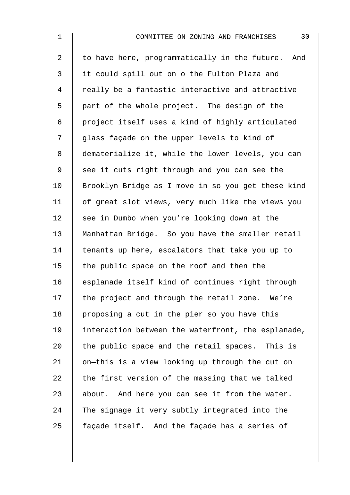| $\mathbf 1$    | 30<br>COMMITTEE ON ZONING AND FRANCHISES             |
|----------------|------------------------------------------------------|
| $\overline{2}$ | to have here, programmatically in the future.<br>And |
| $\mathfrak{Z}$ | it could spill out on o the Fulton Plaza and         |
| 4              | really be a fantastic interactive and attractive     |
| 5              | part of the whole project. The design of the         |
| 6              | project itself uses a kind of highly articulated     |
| 7              | glass façade on the upper levels to kind of          |
| 8              | dematerialize it, while the lower levels, you can    |
| 9              | see it cuts right through and you can see the        |
| 10             | Brooklyn Bridge as I move in so you get these kind   |
| 11             | of great slot views, very much like the views you    |
| 12             | see in Dumbo when you're looking down at the         |
| 13             | Manhattan Bridge. So you have the smaller retail     |
| 14             | tenants up here, escalators that take you up to      |
| 15             | the public space on the roof and then the            |
| 16             | esplanade itself kind of continues right through     |
| 17             | the project and through the retail zone. We're       |
| 18             | proposing a cut in the pier so you have this         |
| 19             | interaction between the waterfront, the esplanade,   |
| 20             | the public space and the retail spaces. This is      |
| 21             | on-this is a view looking up through the cut on      |
| 22             | the first version of the massing that we talked      |
| 23             | about. And here you can see it from the water.       |
| 24             | The signage it very subtly integrated into the       |
| 25             | façade itself. And the façade has a series of        |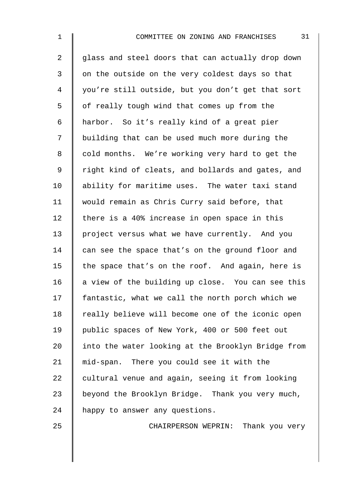2 glass and steel doors that can actually drop down 3 | on the outside on the very coldest days so that 4 you're still outside, but you don't get that sort 5 | of really tough wind that comes up from the 6 harbor. So it's really kind of a great pier 7 | building that can be used much more during the 8 | cold months. We're working very hard to get the 9 | right kind of cleats, and bollards and gates, and 10 ability for maritime uses. The water taxi stand 11 | would remain as Chris Curry said before, that 12 there is a 40% increase in open space in this 13 project versus what we have currently. And you 14 can see the space that's on the ground floor and 15  $\parallel$  the space that's on the roof. And again, here is 16  $\parallel$  a view of the building up close. You can see this 17 fantastic, what we call the north porch which we  $18$  | really believe will become one of the iconic open 19 | public spaces of New York, 400 or 500 feet out 20 I into the water looking at the Brooklyn Bridge from 21 mid-span. There you could see it with the  $22$  cultural venue and again, seeing it from looking 23 beyond the Brooklyn Bridge. Thank you very much, 24 | happy to answer any questions.

25 CHAIRPERSON WEPRIN: Thank you very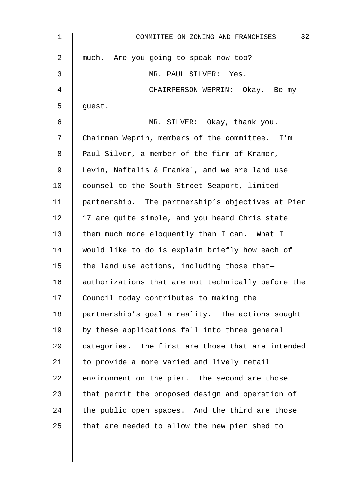| 1  | 32<br>COMMITTEE ON ZONING AND FRANCHISES           |
|----|----------------------------------------------------|
| 2  | much. Are you going to speak now too?              |
| 3  | MR. PAUL SILVER: Yes.                              |
| 4  | CHAIRPERSON WEPRIN: Okay. Be my                    |
| 5  | guest.                                             |
| 6  | MR. SILVER: Okay, thank you.                       |
| 7  | Chairman Weprin, members of the committee. I'm     |
| 8  | Paul Silver, a member of the firm of Kramer,       |
| 9  | Levin, Naftalis & Frankel, and we are land use     |
| 10 | counsel to the South Street Seaport, limited       |
| 11 | partnership. The partnership's objectives at Pier  |
| 12 | 17 are quite simple, and you heard Chris state     |
| 13 | them much more eloquently than I can. What I       |
| 14 | would like to do is explain briefly how each of    |
| 15 | the land use actions, including those that-        |
| 16 | authorizations that are not technically before the |
| 17 | Council today contributes to making the            |
| 18 | partnership's goal a reality. The actions sought   |
| 19 | by these applications fall into three general      |
| 20 | categories. The first are those that are intended  |
| 21 | to provide a more varied and lively retail         |
| 22 | environment on the pier. The second are those      |
| 23 | that permit the proposed design and operation of   |
| 24 | the public open spaces. And the third are those    |
| 25 | that are needed to allow the new pier shed to      |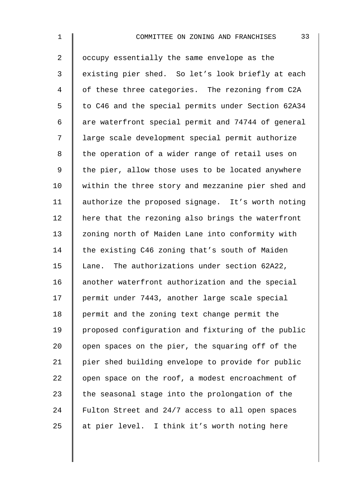2 | occupy essentially the same envelope as the 3 | existing pier shed. So let's look briefly at each 4 | of these three categories. The rezoning from C2A 5 | to C46 and the special permits under Section 62A34  $6 \parallel$  are waterfront special permit and 74744 of general 7 | large scale development special permit authorize 8 | the operation of a wider range of retail uses on 9  $\parallel$  the pier, allow those uses to be located anywhere 10 | within the three story and mezzanine pier shed and 11 | authorize the proposed signage. It's worth noting 12 here that the rezoning also brings the waterfront 13 | zoning north of Maiden Lane into conformity with 14  $\parallel$  the existing C46 zoning that's south of Maiden 15 | Lane. The authorizations under section 62A22, 16 another waterfront authorization and the special 17 permit under 7443, another large scale special 18 | permit and the zoning text change permit the 19 proposed configuration and fixturing of the public 20  $\parallel$  open spaces on the pier, the squaring off of the 21 | pier shed building envelope to provide for public  $22$  | open space on the roof, a modest encroachment of 23  $\parallel$  the seasonal stage into the prolongation of the 24 Fulton Street and 24/7 access to all open spaces 25  $\parallel$  at pier level. I think it's worth noting here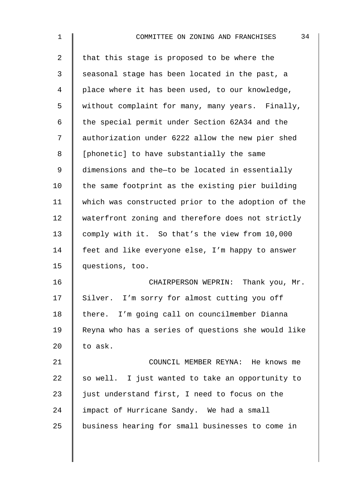| $\mathbf{1}$   | 34<br>COMMITTEE ON ZONING AND FRANCHISES           |
|----------------|----------------------------------------------------|
| $\overline{2}$ | that this stage is proposed to be where the        |
| 3              | seasonal stage has been located in the past, a     |
| 4              | place where it has been used, to our knowledge,    |
| 5              | without complaint for many, many years. Finally,   |
| 6              | the special permit under Section 62A34 and the     |
| 7              | authorization under 6222 allow the new pier shed   |
| 8              | [phonetic] to have substantially the same          |
| 9              | dimensions and the-to be located in essentially    |
| 10             | the same footprint as the existing pier building   |
| 11             | which was constructed prior to the adoption of the |
| 12             | waterfront zoning and therefore does not strictly  |
| 13             | comply with it. So that's the view from 10,000     |
| 14             | feet and like everyone else, I'm happy to answer   |
| 15             | questions, too.                                    |
| 16             | CHAIRPERSON WEPRIN: Thank you, Mr.                 |
| 17             | Silver. I'm sorry for almost cutting you off       |
| 18             | there. I'm going call on councilmember Dianna      |
| 19             | Reyna who has a series of questions she would like |
| 20             | to ask.                                            |
| 21             | COUNCIL MEMBER REYNA: He knows me                  |
| 22             | so well. I just wanted to take an opportunity to   |
| 23             | just understand first, I need to focus on the      |
| 24             | impact of Hurricane Sandy. We had a small          |
| 25             | business hearing for small businesses to come in   |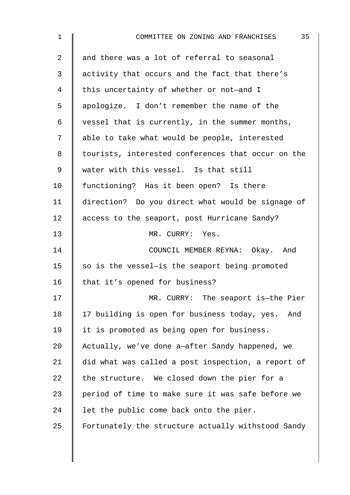| $\mathbf 1$    | 35<br>COMMITTEE ON ZONING AND FRANCHISES           |
|----------------|----------------------------------------------------|
| $\overline{a}$ | and there was a lot of referral to seasonal        |
| 3              | activity that occurs and the fact that there's     |
| $\overline{4}$ | this uncertainty of whether or not-and I           |
| 5              | apologize. I don't remember the name of the        |
| 6              | vessel that is currently, in the summer months,    |
| 7              | able to take what would be people, interested      |
| 8              | tourists, interested conferences that occur on the |
| 9              | water with this vessel. Is that still              |
| 10             | functioning? Has it been open? Is there            |
| 11             | direction? Do you direct what would be signage of  |
| 12             | access to the seaport, post Hurricane Sandy?       |
| 13             | MR. CURRY: Yes.                                    |
| 14             | COUNCIL MEMBER REYNA: Okay. And                    |
| 15             | so is the vessel-is the seaport being promoted     |
| 16             | that it's opened for business?                     |
| 17             | MR. CURRY: The seaport is-the Pier                 |
| 18             | 17 building is open for business today, yes. And   |
| 19             | it is promoted as being open for business.         |
| 20             | Actually, we've done a-after Sandy happened, we    |
| 21             | did what was called a post inspection, a report of |
| 22             | the structure. We closed down the pier for a       |
| 23             | period of time to make sure it was safe before we  |
| 24             | let the public come back onto the pier.            |
| 25             | Fortunately the structure actually withstood Sandy |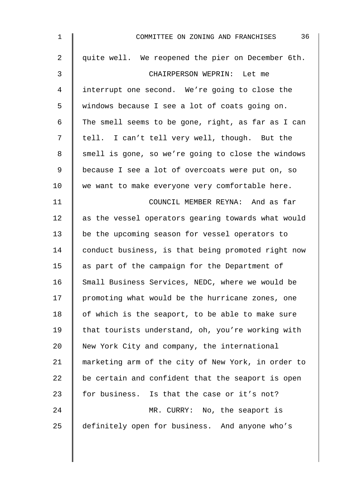| 1              | 36<br>COMMITTEE ON ZONING AND FRANCHISES           |
|----------------|----------------------------------------------------|
| $\overline{2}$ | quite well. We reopened the pier on December 6th.  |
| 3              | CHAIRPERSON WEPRIN: Let me                         |
| 4              | interrupt one second. We're going to close the     |
| 5              | windows because I see a lot of coats going on.     |
| 6              | The smell seems to be gone, right, as far as I can |
| 7              | tell. I can't tell very well, though. But the      |
| 8              | smell is gone, so we're going to close the windows |
| 9              | because I see a lot of overcoats were put on, so   |
| 10             | we want to make everyone very comfortable here.    |
| 11             | COUNCIL MEMBER REYNA: And as far                   |
| 12             | as the vessel operators gearing towards what would |
| 13             | be the upcoming season for vessel operators to     |
| 14             | conduct business, is that being promoted right now |
| 15             | as part of the campaign for the Department of      |
| 16             | Small Business Services, NEDC, where we would be   |
| 17             | promoting what would be the hurricane zones, one   |
| 18             | of which is the seaport, to be able to make sure   |
| 19             | that tourists understand, oh, you're working with  |
| 20             | New York City and company, the international       |
| 21             | marketing arm of the city of New York, in order to |
| 22             | be certain and confident that the seaport is open  |
| 23             | for business. Is that the case or it's not?        |
| 24             | MR. CURRY: No, the seaport is                      |
| 25             | definitely open for business. And anyone who's     |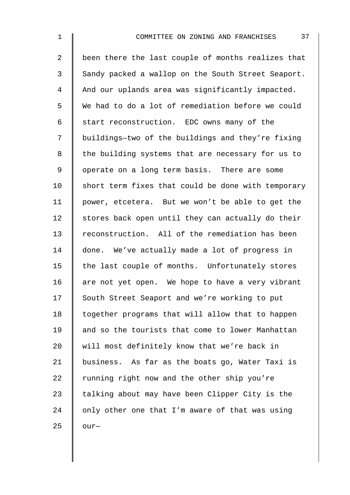2 | been there the last couple of months realizes that 3 Sandy packed a wallop on the South Street Seaport. 4 And our uplands area was significantly impacted. 5 We had to do a lot of remediation before we could 6 Start reconstruction. EDC owns many of the 7 | buildings-two of the buildings and they're fixing 8 | the building systems that are necessary for us to 9 | operate on a long term basis. There are some 10  $\parallel$  short term fixes that could be done with temporary 11 power, etcetera. But we won't be able to get the  $12$  stores back open until they can actually do their 13 reconstruction. All of the remediation has been 14 done. We've actually made a lot of progress in  $15$  the last couple of months. Unfortunately stores 16  $\parallel$  are not yet open. We hope to have a very vibrant 17 South Street Seaport and we're working to put 18 | together programs that will allow that to happen 19 and so the tourists that come to lower Manhattan 20 will most definitely know that we're back in 21 business. As far as the boats go, Water Taxi is 22  $\parallel$  running right now and the other ship you're 23  $\parallel$  talking about may have been Clipper City is the  $24$  | only other one that I'm aware of that was using 25  $\parallel$  our-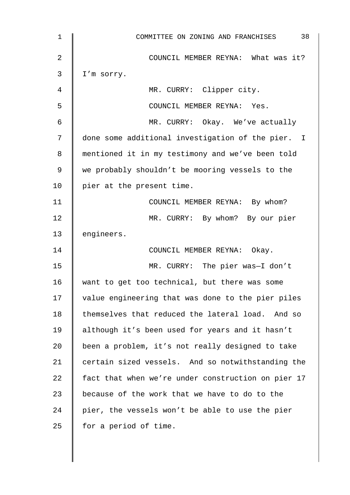| 1              | 38<br>COMMITTEE ON ZONING AND FRANCHISES           |
|----------------|----------------------------------------------------|
| $\overline{2}$ | COUNCIL MEMBER REYNA: What was it?                 |
| 3              | I'm sorry.                                         |
| 4              | MR. CURRY: Clipper city.                           |
| 5              | COUNCIL MEMBER REYNA: Yes.                         |
| 6              | MR. CURRY: Okay. We've actually                    |
| 7              | done some additional investigation of the pier. I  |
| 8              | mentioned it in my testimony and we've been told   |
| 9              | we probably shouldn't be mooring vessels to the    |
| 10             | pier at the present time.                          |
| 11             | COUNCIL MEMBER REYNA: By whom?                     |
| 12             | MR. CURRY: By whom? By our pier                    |
| 13             | engineers.                                         |
| 14             | COUNCIL MEMBER REYNA: Okay.                        |
| 15             | MR. CURRY: The pier was-I don't                    |
| 16             | want to get too technical, but there was some      |
| 17             | value engineering that was done to the pier piles  |
| 18             | themselves that reduced the lateral load. And so   |
| 19             | although it's been used for years and it hasn't    |
| 20             | been a problem, it's not really designed to take   |
| 21             | certain sized vessels. And so notwithstanding the  |
| 22             | fact that when we're under construction on pier 17 |
| 23             | because of the work that we have to do to the      |
| 24             | pier, the vessels won't be able to use the pier    |
| 25             | for a period of time.                              |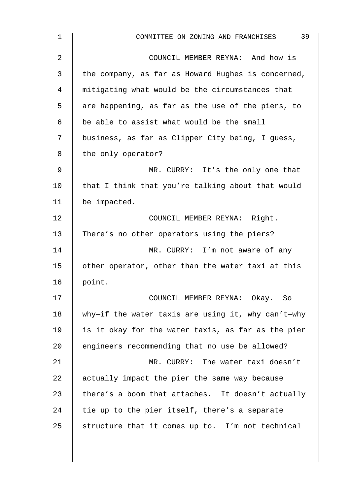| $\mathbf 1$ | 39<br>COMMITTEE ON ZONING AND FRANCHISES           |
|-------------|----------------------------------------------------|
| 2           | COUNCIL MEMBER REYNA: And how is                   |
| 3           | the company, as far as Howard Hughes is concerned, |
| 4           | mitigating what would be the circumstances that    |
| 5           | are happening, as far as the use of the piers, to  |
| 6           | be able to assist what would be the small          |
| 7           | business, as far as Clipper City being, I guess,   |
| 8           | the only operator?                                 |
| 9           | MR. CURRY: It's the only one that                  |
| 10          | that I think that you're talking about that would  |
| 11          | be impacted.                                       |
| 12          | COUNCIL MEMBER REYNA: Right.                       |
| 13          | There's no other operators using the piers?        |
| 14          | MR. CURRY: I'm not aware of any                    |
| 15          | other operator, other than the water taxi at this  |
| 16          | point.                                             |
| 17          | COUNCIL MEMBER REYNA: Okay. So                     |
| 18          | why-if the water taxis are using it, why can't-why |
| 19          | is it okay for the water taxis, as far as the pier |
| 20          | engineers recommending that no use be allowed?     |
| 21          | MR. CURRY: The water taxi doesn't                  |
| 22          | actually impact the pier the same way because      |
| 23          | there's a boom that attaches. It doesn't actually  |
| 24          | tie up to the pier itself, there's a separate      |
| 25          | structure that it comes up to. I'm not technical   |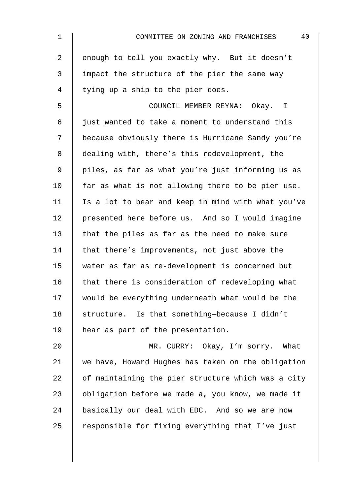| $\mathbf 1$    | 40<br>COMMITTEE ON ZONING AND FRANCHISES           |
|----------------|----------------------------------------------------|
| $\overline{2}$ | enough to tell you exactly why. But it doesn't     |
| 3              | impact the structure of the pier the same way      |
| 4              | tying up a ship to the pier does.                  |
| 5              | COUNCIL MEMBER REYNA: Okay. I                      |
| 6              | just wanted to take a moment to understand this    |
| 7              | because obviously there is Hurricane Sandy you're  |
| 8              | dealing with, there's this redevelopment, the      |
| $\mathsf 9$    | piles, as far as what you're just informing us as  |
| 10             | far as what is not allowing there to be pier use.  |
| 11             | Is a lot to bear and keep in mind with what you've |
| 12             | presented here before us. And so I would imagine   |
| 13             | that the piles as far as the need to make sure     |
| 14             | that there's improvements, not just above the      |
| 15             | water as far as re-development is concerned but    |
| 16             | that there is consideration of redeveloping what   |
| 17             | would be everything underneath what would be the   |
| 18             | structure. Is that something-because I didn't      |
| 19             | hear as part of the presentation.                  |
| 20             | MR. CURRY: Okay, I'm sorry. What                   |
| 21             | we have, Howard Hughes has taken on the obligation |
| 22             | of maintaining the pier structure which was a city |
| 23             | obligation before we made a, you know, we made it  |
| 24             | basically our deal with EDC. And so we are now     |
| 25             | responsible for fixing everything that I've just   |
|                |                                                    |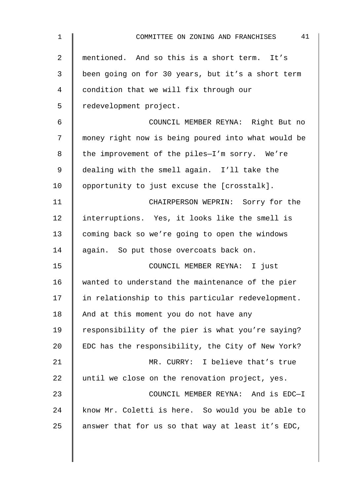| $\mathbf{1}$ | 41<br>COMMITTEE ON ZONING AND FRANCHISES           |
|--------------|----------------------------------------------------|
| 2            | mentioned. And so this is a short term. It's       |
| 3            | been going on for 30 years, but it's a short term  |
| 4            | condition that we will fix through our             |
| 5            | redevelopment project.                             |
| 6            | COUNCIL MEMBER REYNA: Right But no                 |
| 7            | money right now is being poured into what would be |
| 8            | the improvement of the piles-I'm sorry. We're      |
| 9            | dealing with the smell again. I'll take the        |
| 10           | opportunity to just excuse the [crosstalk].        |
| 11           | CHAIRPERSON WEPRIN: Sorry for the                  |
| 12           | interruptions. Yes, it looks like the smell is     |
| 13           | coming back so we're going to open the windows     |
| 14           | again. So put those overcoats back on.             |
| 15           | COUNCIL MEMBER REYNA: I just                       |
| 16           | wanted to understand the maintenance of the pier   |
| 17           | in relationship to this particular redevelopment.  |
| 18           | And at this moment you do not have any             |
| 19           | responsibility of the pier is what you're saying?  |
| 20           | EDC has the responsibility, the City of New York?  |
| 21           | MR. CURRY: I believe that's true                   |
| 22           | until we close on the renovation project, yes.     |
| 23           | COUNCIL MEMBER REYNA: And is EDC-I                 |
| 24           | know Mr. Coletti is here. So would you be able to  |
| 25           | answer that for us so that way at least it's EDC,  |
|              |                                                    |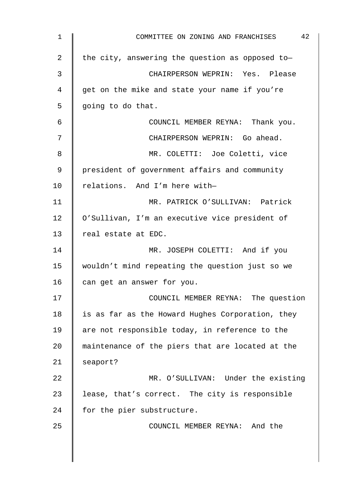| 1  | 42<br>COMMITTEE ON ZONING AND FRANCHISES         |
|----|--------------------------------------------------|
| 2  | the city, answering the question as opposed to-  |
| 3  | CHAIRPERSON WEPRIN: Yes. Please                  |
| 4  | get on the mike and state your name if you're    |
| 5  | going to do that.                                |
| 6  | COUNCIL MEMBER REYNA: Thank you.                 |
| 7  | CHAIRPERSON WEPRIN: Go ahead.                    |
| 8  | MR. COLETTI: Joe Coletti, vice                   |
| 9  | president of government affairs and community    |
| 10 | relations. And I'm here with-                    |
| 11 | MR. PATRICK O'SULLIVAN: Patrick                  |
| 12 | O'Sullivan, I'm an executive vice president of   |
| 13 | real estate at EDC.                              |
| 14 | MR. JOSEPH COLETTI: And if you                   |
| 15 | wouldn't mind repeating the question just so we  |
| 16 | can get an answer for you.                       |
| 17 | COUNCIL MEMBER REYNA: The question               |
| 18 | is as far as the Howard Hughes Corporation, they |
| 19 | are not responsible today, in reference to the   |
| 20 | maintenance of the piers that are located at the |
| 21 | seaport?                                         |
| 22 | MR. O'SULLIVAN: Under the existing               |
| 23 | lease, that's correct. The city is responsible   |
| 24 | for the pier substructure.                       |
| 25 | COUNCIL MEMBER REYNA: And the                    |
|    |                                                  |
|    |                                                  |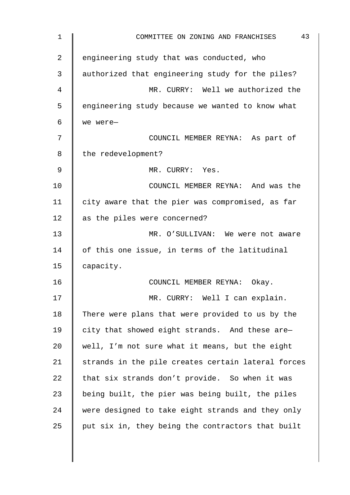| 1  | 43<br>COMMITTEE ON ZONING AND FRANCHISES           |
|----|----------------------------------------------------|
| 2  | engineering study that was conducted, who          |
| 3  | authorized that engineering study for the piles?   |
| 4  | MR. CURRY: Well we authorized the                  |
| 5  | engineering study because we wanted to know what   |
| 6  | we were-                                           |
| 7  | COUNCIL MEMBER REYNA: As part of                   |
| 8  | the redevelopment?                                 |
| 9  | MR. CURRY: Yes.                                    |
| 10 | COUNCIL MEMBER REYNA: And was the                  |
| 11 | city aware that the pier was compromised, as far   |
| 12 | as the piles were concerned?                       |
| 13 | MR. O'SULLIVAN: We were not aware                  |
| 14 | of this one issue, in terms of the latitudinal     |
| 15 | capacity.                                          |
| 16 | COUNCIL MEMBER REYNA:<br>Okay.                     |
| 17 | MR. CURRY: Well I can explain.                     |
| 18 | There were plans that were provided to us by the   |
| 19 | city that showed eight strands. And these are-     |
| 20 | well, I'm not sure what it means, but the eight    |
| 21 | strands in the pile creates certain lateral forces |
| 22 | that six strands don't provide. So when it was     |
| 23 | being built, the pier was being built, the piles   |
| 24 | were designed to take eight strands and they only  |
| 25 | put six in, they being the contractors that built  |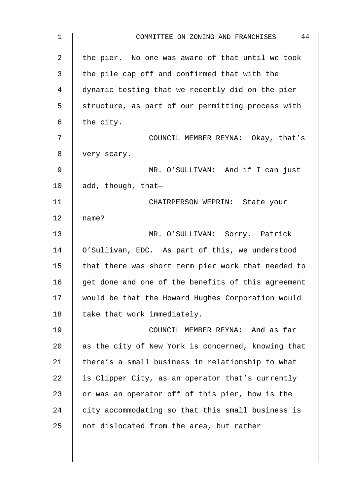| 1              | 44<br>COMMITTEE ON ZONING AND FRANCHISES           |
|----------------|----------------------------------------------------|
| $\overline{2}$ | the pier. No one was aware of that until we took   |
| 3              | the pile cap off and confirmed that with the       |
| 4              | dynamic testing that we recently did on the pier   |
| 5              | structure, as part of our permitting process with  |
| 6              | the city.                                          |
| 7              | COUNCIL MEMBER REYNA: Okay, that's                 |
| 8              | very scary.                                        |
| 9              | MR. O'SULLIVAN: And if I can just                  |
| 10             | add, though, that-                                 |
| 11             | CHAIRPERSON WEPRIN: State your                     |
| 12             | name?                                              |
| 13             | MR. O'SULLIVAN: Sorry. Patrick                     |
| 14             | O'Sullivan, EDC. As part of this, we understood    |
| 15             | that there was short term pier work that needed to |
| 16             | get done and one of the benefits of this agreement |
| 17             | would be that the Howard Hughes Corporation would  |
| 18             | take that work immediately.                        |
| 19             | COUNCIL MEMBER REYNA: And as far                   |
| 20             | as the city of New York is concerned, knowing that |
| 21             | there's a small business in relationship to what   |
| 22             | is Clipper City, as an operator that's currently   |
| 23             | or was an operator off of this pier, how is the    |
| 24             | city accommodating so that this small business is  |
| 25             | not dislocated from the area, but rather           |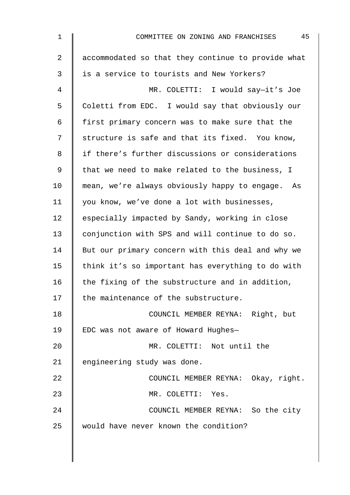| $\mathbf 1$    | 45<br>COMMITTEE ON ZONING AND FRANCHISES           |
|----------------|----------------------------------------------------|
| $\overline{2}$ | accommodated so that they continue to provide what |
| 3              | is a service to tourists and New Yorkers?          |
| 4              | MR. COLETTI: I would say-it's Joe                  |
| 5              | Coletti from EDC. I would say that obviously our   |
| 6              | first primary concern was to make sure that the    |
| 7              | structure is safe and that its fixed. You know,    |
| 8              | if there's further discussions or considerations   |
| 9              | that we need to make related to the business, I    |
| 10             | mean, we're always obviously happy to engage. As   |
| 11             | you know, we've done a lot with businesses,        |
| 12             | especially impacted by Sandy, working in close     |
| 13             | conjunction with SPS and will continue to do so.   |
| 14             | But our primary concern with this deal and why we  |
| 15             | think it's so important has everything to do with  |
| 16             | the fixing of the substructure and in addition,    |
| 17             | the maintenance of the substructure.               |
| 18             | COUNCIL MEMBER REYNA: Right, but                   |
| 19             | EDC was not aware of Howard Hughes-                |
| 20             | MR. COLETTI: Not until the                         |
| 21             | engineering study was done.                        |
| 22             | COUNCIL MEMBER REYNA: Okay, right.                 |
| 23             | MR. COLETTI: Yes.                                  |
| 24             | COUNCIL MEMBER REYNA: So the city                  |
| 25             | would have never known the condition?              |
|                |                                                    |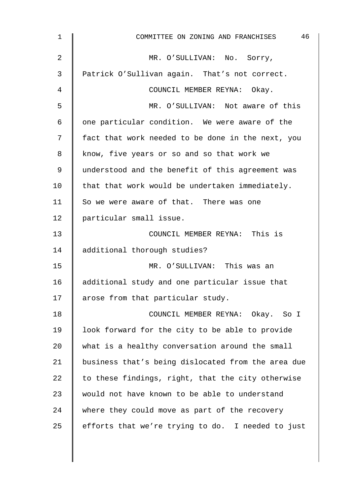| $\mathbf{1}$   | 46<br>COMMITTEE ON ZONING AND FRANCHISES           |
|----------------|----------------------------------------------------|
| $\overline{2}$ | MR. O'SULLIVAN: No. Sorry,                         |
| 3              | Patrick O'Sullivan again. That's not correct.      |
| 4              | COUNCIL MEMBER REYNA: Okay.                        |
| 5              | MR. O'SULLIVAN: Not aware of this                  |
| 6              | one particular condition. We were aware of the     |
| 7              | fact that work needed to be done in the next, you  |
| 8              | know, five years or so and so that work we         |
| 9              | understood and the benefit of this agreement was   |
| 10             | that that work would be undertaken immediately.    |
| 11             | So we were aware of that. There was one            |
| 12             | particular small issue.                            |
| 13             | COUNCIL MEMBER REYNA: This is                      |
| 14             | additional thorough studies?                       |
| 15             | MR. O'SULLIVAN: This was an                        |
| 16             | additional study and one particular issue that     |
| 17             | arose from that particular study.                  |
| 18             | COUNCIL MEMBER REYNA: Okay. So I                   |
| 19             | look forward for the city to be able to provide    |
| 20             | what is a healthy conversation around the small    |
| 21             | business that's being dislocated from the area due |
| 22             | to these findings, right, that the city otherwise  |
| 23             | would not have known to be able to understand      |
| 24             | where they could move as part of the recovery      |
| 25             | efforts that we're trying to do. I needed to just  |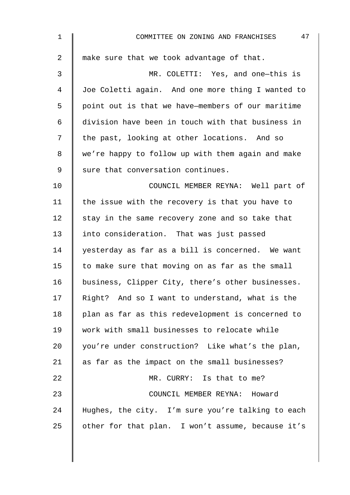| $\mathbf 1$ | 47<br>COMMITTEE ON ZONING AND FRANCHISES          |
|-------------|---------------------------------------------------|
| 2           | make sure that we took advantage of that.         |
| 3           | MR. COLETTI: Yes, and one-this is                 |
| 4           | Joe Coletti again. And one more thing I wanted to |
| 5           | point out is that we have-members of our maritime |
| 6           | division have been in touch with that business in |
| 7           | the past, looking at other locations. And so      |
| 8           | we're happy to follow up with them again and make |
| 9           | sure that conversation continues.                 |
| 10          | COUNCIL MEMBER REYNA: Well part of                |
| 11          | the issue with the recovery is that you have to   |
| 12          | stay in the same recovery zone and so take that   |
| 13          | into consideration. That was just passed          |
| 14          | yesterday as far as a bill is concerned. We want  |
| 15          | to make sure that moving on as far as the small   |
| 16          | business, Clipper City, there's other businesses. |
| 17          | Right? And so I want to understand, what is the   |
| 18          | plan as far as this redevelopment is concerned to |
| 19          | work with small businesses to relocate while      |
| 20          | you're under construction? Like what's the plan,  |
| 21          | as far as the impact on the small businesses?     |
| 22          | MR. CURRY: Is that to me?                         |
| 23          | COUNCIL MEMBER REYNA: Howard                      |
| 24          | Hughes, the city. I'm sure you're talking to each |
| 25          | other for that plan. I won't assume, because it's |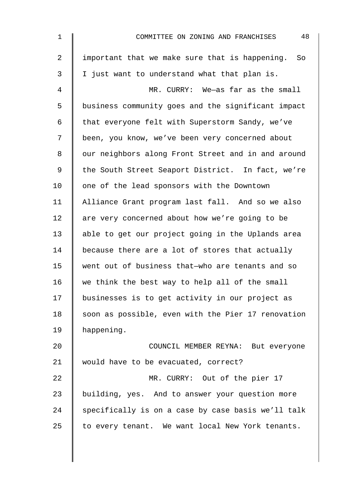| $\mathbf{1}$ | 48<br>COMMITTEE ON ZONING AND FRANCHISES           |
|--------------|----------------------------------------------------|
| 2            | important that we make sure that is happening. So  |
| 3            | I just want to understand what that plan is.       |
| 4            | MR. CURRY: We-as far as the small                  |
| 5            | business community goes and the significant impact |
| 6            | that everyone felt with Superstorm Sandy, we've    |
| 7            | been, you know, we've been very concerned about    |
| 8            | our neighbors along Front Street and in and around |
| 9            | the South Street Seaport District. In fact, we're  |
| 10           | one of the lead sponsors with the Downtown         |
| 11           | Alliance Grant program last fall. And so we also   |
| 12           | are very concerned about how we're going to be     |
| 13           | able to get our project going in the Uplands area  |
| 14           | because there are a lot of stores that actually    |
| 15           | went out of business that-who are tenants and so   |
| 16           | we think the best way to help all of the small     |
| 17           | businesses is to get activity in our project as    |
| 18           | soon as possible, even with the Pier 17 renovation |
| 19           | happening.                                         |
| 20           | COUNCIL MEMBER REYNA: But everyone                 |
| 21           | would have to be evacuated, correct?               |
| 22           | MR. CURRY: Out of the pier 17                      |
| 23           | building, yes. And to answer your question more    |
| 24           | specifically is on a case by case basis we'll talk |
| 25           | to every tenant. We want local New York tenants.   |
|              |                                                    |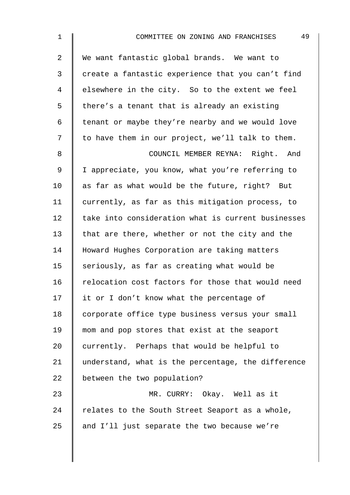| $\mathbf{1}$   | 49<br>COMMITTEE ON ZONING AND FRANCHISES           |
|----------------|----------------------------------------------------|
| $\overline{2}$ | We want fantastic global brands. We want to        |
| 3              | create a fantastic experience that you can't find  |
| 4              | elsewhere in the city. So to the extent we feel    |
| 5              | there's a tenant that is already an existing       |
| 6              | tenant or maybe they're nearby and we would love   |
| 7              | to have them in our project, we'll talk to them.   |
| 8              | COUNCIL MEMBER REYNA: Right. And                   |
| 9              | I appreciate, you know, what you're referring to   |
| 10             | as far as what would be the future, right? But     |
| 11             | currently, as far as this mitigation process, to   |
| 12             | take into consideration what is current businesses |
| 13             | that are there, whether or not the city and the    |
| 14             | Howard Hughes Corporation are taking matters       |
| 15             | seriously, as far as creating what would be        |
| 16             | relocation cost factors for those that would need  |
| 17             | it or I don't know what the percentage of          |
| 18             | corporate office type business versus your small   |
| 19             | mom and pop stores that exist at the seaport       |
| 20             | currently. Perhaps that would be helpful to        |
| 21             | understand, what is the percentage, the difference |
| 22             | between the two population?                        |
| 23             | MR. CURRY: Okay. Well as it                        |
| 24             | relates to the South Street Seaport as a whole,    |
| 25             | and I'll just separate the two because we're       |
|                |                                                    |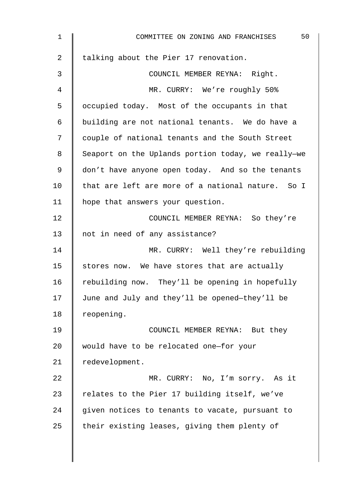| $\mathbf 1$    | 50<br>COMMITTEE ON ZONING AND FRANCHISES           |
|----------------|----------------------------------------------------|
| $\overline{2}$ | talking about the Pier 17 renovation.              |
| 3              | COUNCIL MEMBER REYNA: Right.                       |
| 4              | MR. CURRY: We're roughly 50%                       |
| 5              | occupied today. Most of the occupants in that      |
| 6              | building are not national tenants. We do have a    |
| 7              | couple of national tenants and the South Street    |
| 8              | Seaport on the Uplands portion today, we really-we |
| 9              | don't have anyone open today. And so the tenants   |
| 10             | that are left are more of a national nature. So I  |
| 11             | hope that answers your question.                   |
| 12             | COUNCIL MEMBER REYNA: So they're                   |
| 13             | not in need of any assistance?                     |
| 14             | MR. CURRY: Well they're rebuilding                 |
| 15             | stores now. We have stores that are actually       |
| 16             | rebuilding now. They'll be opening in hopefully    |
| 17             | June and July and they'll be opened-they'll be     |
| 18             | reopening.                                         |
| 19             | COUNCIL MEMBER REYNA: But they                     |
| 20             | would have to be relocated one-for your            |
| 21             | redevelopment.                                     |
| 22             | MR. CURRY: No, I'm sorry. As it                    |
| 23             | relates to the Pier 17 building itself, we've      |
| 24             | given notices to tenants to vacate, pursuant to    |
| 25             | their existing leases, giving them plenty of       |
|                |                                                    |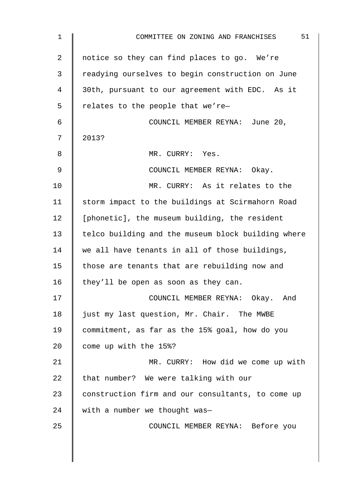| 1              | 51<br>COMMITTEE ON ZONING AND FRANCHISES           |
|----------------|----------------------------------------------------|
| $\overline{2}$ | notice so they can find places to go. We're        |
| 3              | readying ourselves to begin construction on June   |
| 4              | 30th, pursuant to our agreement with EDC. As it    |
| 5              | relates to the people that we're-                  |
| 6              | COUNCIL MEMBER REYNA: June 20,                     |
| 7              | 2013?                                              |
| 8              | MR. CURRY: Yes.                                    |
| $\mathsf 9$    | COUNCIL MEMBER REYNA: Okay.                        |
| 10             | MR. CURRY: As it relates to the                    |
| 11             | storm impact to the buildings at Scirmahorn Road   |
| 12             | [phonetic], the museum building, the resident      |
| 13             | telco building and the museum block building where |
| 14             | we all have tenants in all of those buildings,     |
| 15             | those are tenants that are rebuilding now and      |
| 16             | they'll be open as soon as they can.               |
| 17             | COUNCIL MEMBER REYNA: Okay. And                    |
| 18             | just my last question, Mr. Chair. The MWBE         |
| 19             | commitment, as far as the 15% goal, how do you     |
| 20             | come up with the 15%?                              |
| 21             | MR. CURRY: How did we come up with                 |
| 22             | that number? We were talking with our              |
| 23             | construction firm and our consultants, to come up  |
| 24             | with a number we thought was-                      |
| 25             | COUNCIL MEMBER REYNA: Before you                   |
|                |                                                    |
|                |                                                    |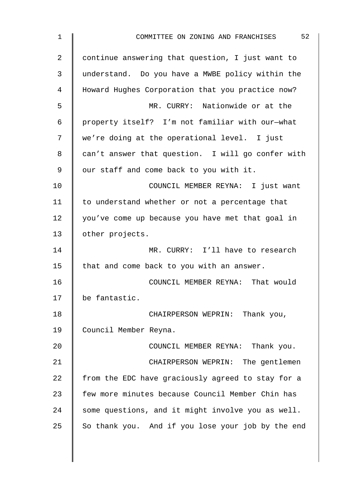| 1  | 52<br>COMMITTEE ON ZONING AND FRANCHISES          |
|----|---------------------------------------------------|
| 2  | continue answering that question, I just want to  |
| 3  | understand. Do you have a MWBE policy within the  |
| 4  | Howard Hughes Corporation that you practice now?  |
| 5  | MR. CURRY: Nationwide or at the                   |
| 6  | property itself? I'm not familiar with our-what   |
| 7  | we're doing at the operational level. I just      |
| 8  | can't answer that question. I will go confer with |
| 9  | our staff and come back to you with it.           |
| 10 | COUNCIL MEMBER REYNA: I just want                 |
| 11 | to understand whether or not a percentage that    |
| 12 | you've come up because you have met that goal in  |
| 13 | other projects.                                   |
| 14 | MR. CURRY: I'll have to research                  |
| 15 | that and come back to you with an answer.         |
| 16 | COUNCIL MEMBER REYNA: That would                  |
| 17 | be fantastic.                                     |
| 18 | CHAIRPERSON WEPRIN: Thank you,                    |
| 19 | Council Member Reyna.                             |
| 20 | COUNCIL MEMBER REYNA: Thank you.                  |
| 21 | CHAIRPERSON WEPRIN: The gentlemen                 |
| 22 | from the EDC have graciously agreed to stay for a |
| 23 | few more minutes because Council Member Chin has  |
| 24 | some questions, and it might involve you as well. |
| 25 | So thank you. And if you lose your job by the end |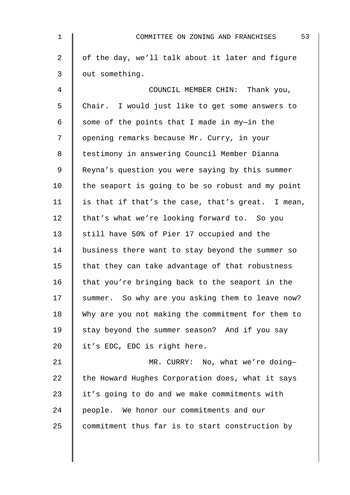| $\mathbf 1$    | 53<br>COMMITTEE ON ZONING AND FRANCHISES          |
|----------------|---------------------------------------------------|
| $\overline{a}$ | of the day, we'll talk about it later and figure  |
| 3              | out something.                                    |
| 4              | COUNCIL MEMBER CHIN: Thank you,                   |
| 5              | Chair. I would just like to get some answers to   |
| 6              | some of the points that I made in my-in the       |
| 7              | opening remarks because Mr. Curry, in your        |
| 8              | testimony in answering Council Member Dianna      |
| 9              | Reyna's question you were saying by this summer   |
| 10             | the seaport is going to be so robust and my point |
| 11             | is that if that's the case, that's great. I mean, |
| 12             | that's what we're looking forward to. So you      |
| 13             | still have 50% of Pier 17 occupied and the        |
| 14             | business there want to stay beyond the summer so  |
| 15             | that they can take advantage of that robustness   |
| 16             | that you're bringing back to the seaport in the   |
| 17             | summer. So why are you asking them to leave now?  |
| 18             | Why are you not making the commitment for them to |
| 19             | stay beyond the summer season? And if you say     |
| 20             | it's EDC, EDC is right here.                      |
| 21             | MR. CURRY: No, what we're doing-                  |
| 22             | the Howard Hughes Corporation does, what it says  |
| 23             | it's going to do and we make commitments with     |
| 24             | people. We honor our commitments and our          |
| 25             | commitment thus far is to start construction by   |
|                |                                                   |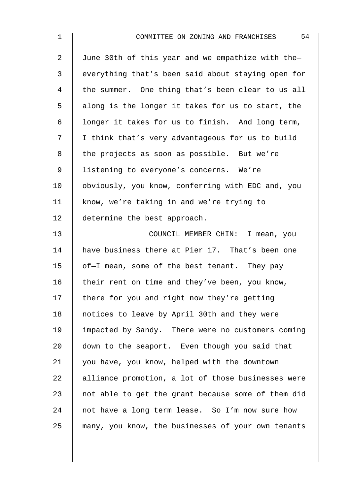| $\mathbf{1}$   | 54<br>COMMITTEE ON ZONING AND FRANCHISES           |
|----------------|----------------------------------------------------|
| $\overline{2}$ | June 30th of this year and we empathize with the-  |
| $\mathfrak{Z}$ | everything that's been said about staying open for |
| 4              | the summer. One thing that's been clear to us all  |
| 5              | along is the longer it takes for us to start, the  |
| 6              | longer it takes for us to finish. And long term,   |
| 7              | I think that's very advantageous for us to build   |
| 8              | the projects as soon as possible. But we're        |
| 9              | listening to everyone's concerns. We're            |
| 10             | obviously, you know, conferring with EDC and, you  |
| 11             | know, we're taking in and we're trying to          |
| 12             | determine the best approach.                       |
| 13             | COUNCIL MEMBER CHIN: I mean, you                   |
| 14             | have business there at Pier 17. That's been one    |
| 15             | of-I mean, some of the best tenant. They pay       |
| 16             | their rent on time and they've been, you know,     |
| 17             | there for you and right now they're getting        |
| 18             | notices to leave by April 30th and they were       |
| 19             | impacted by Sandy. There were no customers coming  |
| 20             | down to the seaport. Even though you said that     |
| 21             | you have, you know, helped with the downtown       |
| 22             | alliance promotion, a lot of those businesses were |
| 23             | not able to get the grant because some of them did |
| 24             | not have a long term lease. So I'm now sure how    |
| 25             | many, you know, the businesses of your own tenants |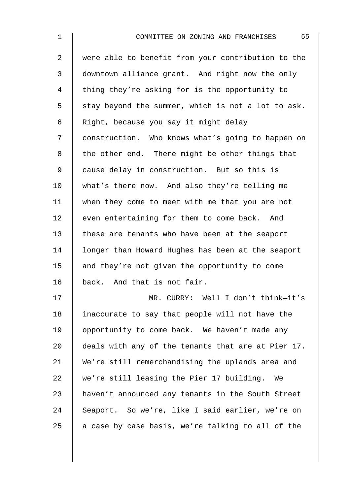2 were able to benefit from your contribution to the 3 downtown alliance grant. And right now the only 4 I thing they're asking for is the opportunity to  $5 \parallel$  stay beyond the summer, which is not a lot to ask. 6 Right, because you say it might delay 7 | construction. Who knows what's going to happen on  $8 \parallel$  the other end. There might be other things that 9 cause delay in construction. But so this is 10 what's there now. And also they're telling me 11 when they come to meet with me that you are not 12  $\parallel$  even entertaining for them to come back. And 13 these are tenants who have been at the seaport 14 | longer than Howard Hughes has been at the seaport 15  $\parallel$  and they're not given the opportunity to come 16 back. And that is not fair. 17 MR. CURRY: Well I don't think—it's 18 | inaccurate to say that people will not have the 19 | opportunity to come back. We haven't made any 20  $\parallel$  deals with any of the tenants that are at Pier 17. 21 We're still remerchandising the uplands area and

22 we're still leasing the Pier 17 building. We 23 A haven't announced any tenants in the South Street 24 Seaport. So we're, like I said earlier, we're on 25  $\parallel$  a case by case basis, we're talking to all of the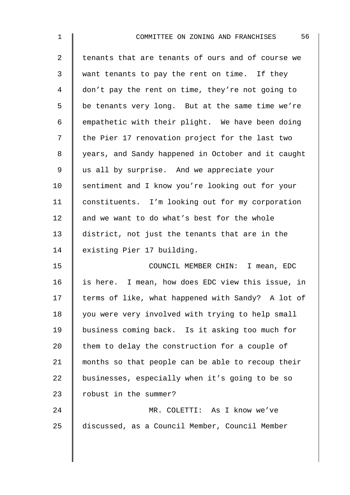| $\mathbf 1$    | 56<br>COMMITTEE ON ZONING AND FRANCHISES           |
|----------------|----------------------------------------------------|
| $\overline{2}$ | tenants that are tenants of ours and of course we  |
| 3              | want tenants to pay the rent on time. If they      |
| 4              | don't pay the rent on time, they're not going to   |
| 5              | be tenants very long. But at the same time we're   |
| 6              | empathetic with their plight. We have been doing   |
| 7              | the Pier 17 renovation project for the last two    |
| 8              | years, and Sandy happened in October and it caught |
| 9              | us all by surprise. And we appreciate your         |
| 10             | sentiment and I know you're looking out for your   |
| 11             | constituents. I'm looking out for my corporation   |
| 12             | and we want to do what's best for the whole        |
| 13             | district, not just the tenants that are in the     |
| 14             | existing Pier 17 building.                         |
| 15             | COUNCIL MEMBER CHIN: I mean, EDC                   |
| 16             | is here. I mean, how does EDC view this issue, in  |
| 17             | terms of like, what happened with Sandy? A lot of  |
| 18             | you were very involved with trying to help small   |
| 19             | business coming back. Is it asking too much for    |
| 20             | them to delay the construction for a couple of     |
| 21             | months so that people can be able to recoup their  |
| 22             | businesses, especially when it's going to be so    |
| 23             | robust in the summer?                              |
| 24             | MR. COLETTI: As I know we've                       |
| 25             | discussed, as a Council Member, Council Member     |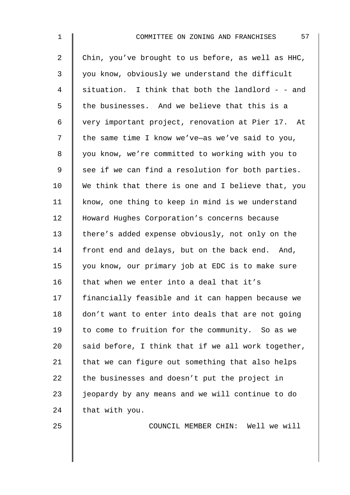| $\mathbf 1$    | 57<br>COMMITTEE ON ZONING AND FRANCHISES           |
|----------------|----------------------------------------------------|
| $\overline{a}$ | Chin, you've brought to us before, as well as HHC, |
| 3              | you know, obviously we understand the difficult    |
| $\overline{4}$ | situation. I think that both the landlord - - and  |
| 5              | the businesses. And we believe that this is a      |
| 6              | very important project, renovation at Pier 17. At  |
| 7              | the same time I know we've-as we've said to you,   |
| 8              | you know, we're committed to working with you to   |
| $\mathsf 9$    | see if we can find a resolution for both parties.  |
| 10             | We think that there is one and I believe that, you |
| 11             | know, one thing to keep in mind is we understand   |
| 12             | Howard Hughes Corporation's concerns because       |
| 13             | there's added expense obviously, not only on the   |
| 14             | front end and delays, but on the back end. And,    |
| 15             | you know, our primary job at EDC is to make sure   |
| 16             | that when we enter into a deal that it's           |
| 17             | financially feasible and it can happen because we  |
| 18             | don't want to enter into deals that are not going  |
| 19             | to come to fruition for the community. So as we    |
| 20             | said before, I think that if we all work together, |
| 21             | that we can figure out something that also helps   |
| 22             | the businesses and doesn't put the project in      |
| 23             | jeopardy by any means and we will continue to do   |
| 24             | that with you.                                     |
|                |                                                    |

25 COUNCIL MEMBER CHIN: Well we will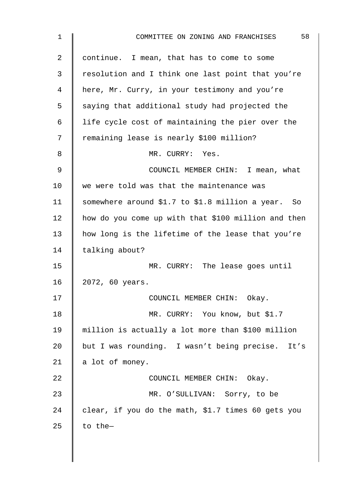| $\mathbf 1$ | 58<br>COMMITTEE ON ZONING AND FRANCHISES            |
|-------------|-----------------------------------------------------|
| 2           | continue. I mean, that has to come to some          |
| 3           | resolution and I think one last point that you're   |
| 4           | here, Mr. Curry, in your testimony and you're       |
| 5           | saying that additional study had projected the      |
| 6           | life cycle cost of maintaining the pier over the    |
| 7           | remaining lease is nearly \$100 million?            |
| 8           | MR. CURRY: Yes.                                     |
| 9           | COUNCIL MEMBER CHIN: I mean, what                   |
| 10          | we were told was that the maintenance was           |
| 11          | somewhere around \$1.7 to \$1.8 million a year. So  |
| 12          | how do you come up with that \$100 million and then |
| 13          | how long is the lifetime of the lease that you're   |
| 14          | talking about?                                      |
| 15          | MR. CURRY: The lease goes until                     |
| 16          | 2072, 60 years.                                     |
| 17          | COUNCIL MEMBER CHIN: Okay.                          |
| 18          | MR. CURRY: You know, but \$1.7                      |
| 19          | million is actually a lot more than \$100 million   |
| 20          | but I was rounding. I wasn't being precise. It's    |
| 21          | a lot of money.                                     |
| 22          | COUNCIL MEMBER CHIN: Okay.                          |
| 23          | MR. O'SULLIVAN: Sorry, to be                        |
| 24          | clear, if you do the math, \$1.7 times 60 gets you  |
| 25          | to the-                                             |
|             |                                                     |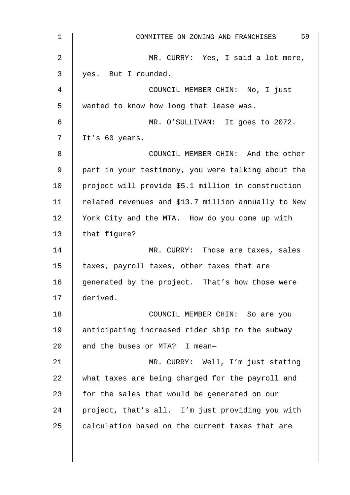| $\mathbf 1$ | 59<br>COMMITTEE ON ZONING AND FRANCHISES            |
|-------------|-----------------------------------------------------|
| 2           | MR. CURRY: Yes, I said a lot more,                  |
| 3           | yes. But I rounded.                                 |
| 4           | COUNCIL MEMBER CHIN: No, I just                     |
| 5           | wanted to know how long that lease was.             |
| 6           | MR. O'SULLIVAN: It goes to 2072.                    |
| 7           | It's 60 years.                                      |
| 8           | COUNCIL MEMBER CHIN: And the other                  |
| 9           | part in your testimony, you were talking about the  |
| 10          | project will provide \$5.1 million in construction  |
| 11          | related revenues and \$13.7 million annually to New |
| 12          | York City and the MTA. How do you come up with      |
| 13          | that figure?                                        |
| 14          | MR. CURRY: Those are taxes, sales                   |
| 15          | taxes, payroll taxes, other taxes that are          |
| 16          | generated by the project. That's how those were     |
| 17          | derived.                                            |
| 18          | COUNCIL MEMBER CHIN: So are you                     |
| 19          | anticipating increased rider ship to the subway     |
| 20          | and the buses or MTA? I mean-                       |
| 21          | MR. CURRY: Well, I'm just stating                   |
| 22          | what taxes are being charged for the payroll and    |
| 23          | for the sales that would be generated on our        |
| 24          | project, that's all. I'm just providing you with    |
| 25          | calculation based on the current taxes that are     |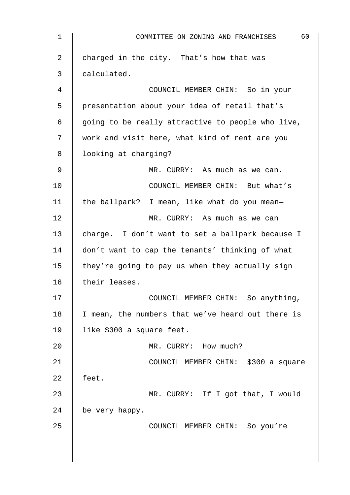| $\mathbf 1$ | 60<br>COMMITTEE ON ZONING AND FRANCHISES          |
|-------------|---------------------------------------------------|
| 2           | charged in the city. That's how that was          |
| 3           | calculated.                                       |
| 4           | COUNCIL MEMBER CHIN: So in your                   |
| 5           | presentation about your idea of retail that's     |
| 6           | going to be really attractive to people who live, |
| 7           | work and visit here, what kind of rent are you    |
| 8           | looking at charging?                              |
| 9           | MR. CURRY: As much as we can.                     |
| 10          | COUNCIL MEMBER CHIN: But what's                   |
| 11          | the ballpark? I mean, like what do you mean-      |
| 12          | MR. CURRY: As much as we can                      |
| 13          | charge. I don't want to set a ballpark because I  |
| 14          | don't want to cap the tenants' thinking of what   |
| 15          | they're going to pay us when they actually sign   |
| 16          | their leases.                                     |
| 17          | COUNCIL MEMBER CHIN: So anything,                 |
| 18          | I mean, the numbers that we've heard out there is |
| 19          | like \$300 a square feet.                         |
| 20          | MR. CURRY: How much?                              |
| 21          | COUNCIL MEMBER CHIN: \$300 a square               |
| 22          | feet.                                             |
| 23          | MR. CURRY: If I got that, I would                 |
| 24          | be very happy.                                    |
| 25          | COUNCIL MEMBER CHIN: So you're                    |
|             |                                                   |
|             |                                                   |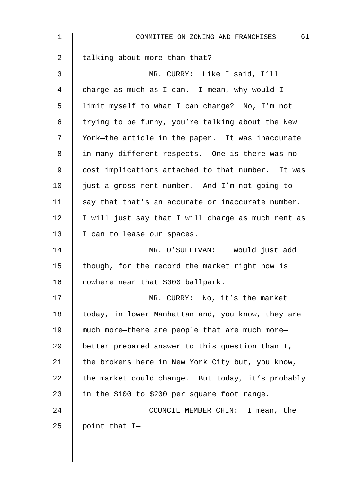| $\mathbf{1}$ | 61<br>COMMITTEE ON ZONING AND FRANCHISES           |
|--------------|----------------------------------------------------|
| 2            | talking about more than that?                      |
| 3            | MR. CURRY: Like I said, I'll                       |
| 4            | charge as much as I can. I mean, why would I       |
| 5            | limit myself to what I can charge? No, I'm not     |
| 6            | trying to be funny, you're talking about the New   |
| 7            | York-the article in the paper. It was inaccurate   |
| 8            | in many different respects. One is there was no    |
| 9            | cost implications attached to that number. It was  |
| 10           | just a gross rent number. And I'm not going to     |
| 11           | say that that's an accurate or inaccurate number.  |
| 12           | I will just say that I will charge as much rent as |
| 13           | I can to lease our spaces.                         |
| 14           | MR. O'SULLIVAN: I would just add                   |
| 15           | though, for the record the market right now is     |
| 16           | nowhere near that \$300 ballpark.                  |
| 17           | MR. CURRY: No, it's the market                     |
| 18           | today, in lower Manhattan and, you know, they are  |
| 19           | much more-there are people that are much more-     |
| 20           | better prepared answer to this question than I,    |
| 21           | the brokers here in New York City but, you know,   |
| 22           | the market could change. But today, it's probably  |
| 23           | in the \$100 to \$200 per square foot range.       |
| 24           | COUNCIL MEMBER CHIN: I mean, the                   |
| 25           | point that I-                                      |
|              |                                                    |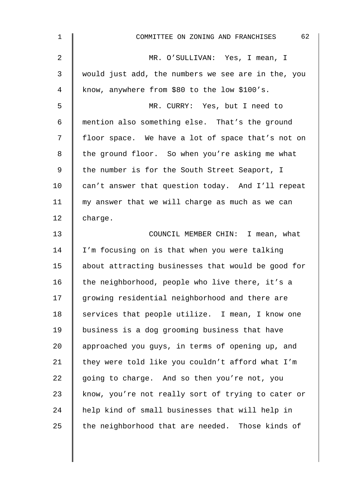| $\mathbf 1$    | 62<br>COMMITTEE ON ZONING AND FRANCHISES           |
|----------------|----------------------------------------------------|
| $\overline{2}$ | MR. O'SULLIVAN: Yes, I mean, I                     |
| 3              | would just add, the numbers we see are in the, you |
| $\overline{4}$ | know, anywhere from \$80 to the low \$100's.       |
| 5              | MR. CURRY: Yes, but I need to                      |
| 6              | mention also something else. That's the ground     |
| 7              | floor space. We have a lot of space that's not on  |
| 8              | the ground floor. So when you're asking me what    |
| $\mathsf 9$    | the number is for the South Street Seaport, I      |
| 10             | can't answer that question today. And I'll repeat  |
| 11             | my answer that we will charge as much as we can    |
| 12             | charge.                                            |
| 13             | COUNCIL MEMBER CHIN: I mean, what                  |
| 14             | I'm focusing on is that when you were talking      |
| 15             | about attracting businesses that would be good for |
| 16             | the neighborhood, people who live there, it's a    |
| 17             | growing residential neighborhood and there are     |
| 18             | services that people utilize. I mean, I know one   |
| 19             | business is a dog grooming business that have      |
| 20             | approached you guys, in terms of opening up, and   |
| 21             | they were told like you couldn't afford what I'm   |
| 22             | going to charge. And so then you're not, you       |
| 23             | know, you're not really sort of trying to cater or |
| 24             | help kind of small businesses that will help in    |
| 25             | the neighborhood that are needed. Those kinds of   |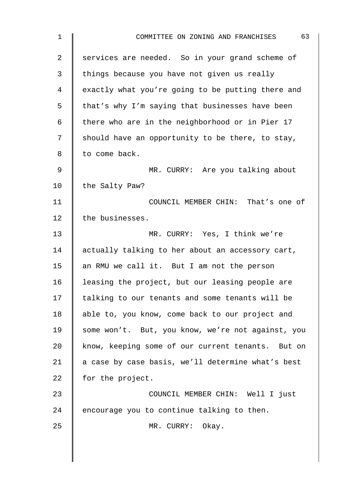| 1  | 63<br>COMMITTEE ON ZONING AND FRANCHISES          |
|----|---------------------------------------------------|
| 2  | services are needed. So in your grand scheme of   |
| 3  | things because you have not given us really       |
| 4  | exactly what you're going to be putting there and |
| 5  | that's why I'm saying that businesses have been   |
| 6  | there who are in the neighborhood or in Pier 17   |
| 7  | should have an opportunity to be there, to stay,  |
| 8  | to come back.                                     |
| 9  | MR. CURRY: Are you talking about                  |
| 10 | the Salty Paw?                                    |
| 11 | COUNCIL MEMBER CHIN: That's one of                |
| 12 | the businesses.                                   |
| 13 | MR. CURRY: Yes, I think we're                     |
| 14 | actually talking to her about an accessory cart,  |
| 15 | an RMU we call it. But I am not the person        |
| 16 | leasing the project, but our leasing people are   |
| 17 | talking to our tenants and some tenants will be   |
| 18 | able to, you know, come back to our project and   |
| 19 | some won't. But, you know, we're not against, you |
| 20 | know, keeping some of our current tenants. But on |
| 21 | a case by case basis, we'll determine what's best |
| 22 | for the project.                                  |
| 23 | COUNCIL MEMBER CHIN: Well I just                  |
| 24 | encourage you to continue talking to then.        |
| 25 | MR. CURRY: Okay.                                  |
|    |                                                   |
|    |                                                   |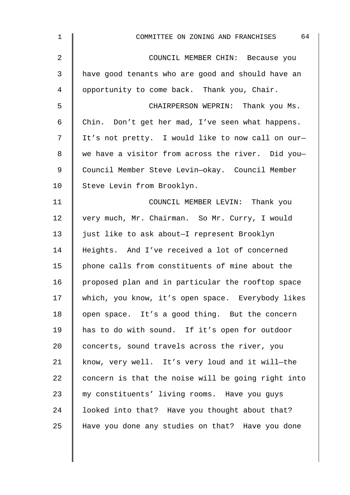| $\mathbf 1$    | 64<br>COMMITTEE ON ZONING AND FRANCHISES           |
|----------------|----------------------------------------------------|
| $\overline{2}$ | COUNCIL MEMBER CHIN: Because you                   |
| 3              | have good tenants who are good and should have an  |
| 4              | opportunity to come back. Thank you, Chair.        |
| 5              | CHAIRPERSON WEPRIN: Thank you Ms.                  |
| 6              | Chin. Don't get her mad, I've seen what happens.   |
| 7              | It's not pretty. I would like to now call on our-  |
| 8              | we have a visitor from across the river. Did you-  |
| $\mathsf 9$    | Council Member Steve Levin-okay. Council Member    |
| 10             | Steve Levin from Brooklyn.                         |
| 11             | COUNCIL MEMBER LEVIN: Thank you                    |
| 12             | very much, Mr. Chairman. So Mr. Curry, I would     |
| 13             | just like to ask about-I represent Brooklyn        |
| 14             | Heights. And I've received a lot of concerned      |
| 15             | phone calls from constituents of mine about the    |
| 16             | proposed plan and in particular the rooftop space  |
| 17             | which, you know, it's open space. Everybody likes  |
| 18             | open space. It's a good thing. But the concern     |
| 19             | has to do with sound. If it's open for outdoor     |
| 20             | concerts, sound travels across the river, you      |
| 21             | know, very well. It's very loud and it will-the    |
| 22             | concern is that the noise will be going right into |
| 23             | my constituents' living rooms. Have you guys       |
| 24             | looked into that? Have you thought about that?     |
| 25             | Have you done any studies on that? Have you done   |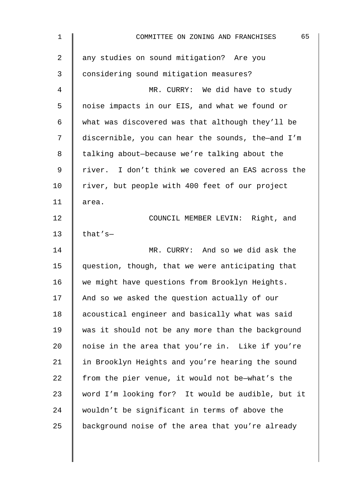| $\mathbf 1$    | 65<br>COMMITTEE ON ZONING AND FRANCHISES          |
|----------------|---------------------------------------------------|
| $\overline{2}$ | any studies on sound mitigation? Are you          |
| 3              | considering sound mitigation measures?            |
| 4              | MR. CURRY: We did have to study                   |
| 5              | noise impacts in our EIS, and what we found or    |
| $\epsilon$     | what was discovered was that although they'll be  |
| 7              | discernible, you can hear the sounds, the-and I'm |
| 8              | talking about-because we're talking about the     |
| $\mathsf 9$    | river. I don't think we covered an EAS across the |
| 10             | river, but people with 400 feet of our project    |
| 11             | area.                                             |
| 12             | COUNCIL MEMBER LEVIN: Right, and                  |
| 13             | that's $-$                                        |
| 14             | MR. CURRY: And so we did ask the                  |
| 15             | question, though, that we were anticipating that  |
| 16             | we might have questions from Brooklyn Heights.    |
| 17             | And so we asked the question actually of our      |
| 18             | acoustical engineer and basically what was said   |
| 19             | was it should not be any more than the background |
| 20             | noise in the area that you're in. Like if you're  |
| 21             | in Brooklyn Heights and you're hearing the sound  |
| 22             | from the pier venue, it would not be-what's the   |
| 23             | word I'm looking for? It would be audible, but it |
| 24             | wouldn't be significant in terms of above the     |
| 25             | background noise of the area that you're already  |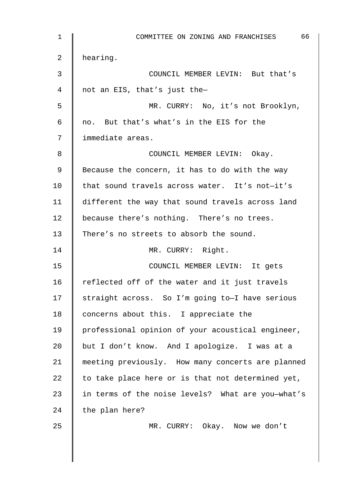| $\mathbf 1$ | 66<br>COMMITTEE ON ZONING AND FRANCHISES          |
|-------------|---------------------------------------------------|
| 2           | hearing.                                          |
| 3           | COUNCIL MEMBER LEVIN: But that's                  |
| 4           | not an EIS, that's just the-                      |
| 5           | MR. CURRY: No, it's not Brooklyn,                 |
| $\epsilon$  | no. But that's what's in the EIS for the          |
| 7           | immediate areas.                                  |
| 8           | COUNCIL MEMBER LEVIN: Okay.                       |
| 9           | Because the concern, it has to do with the way    |
| 10          | that sound travels across water. It's not-it's    |
| 11          | different the way that sound travels across land  |
| 12          | because there's nothing. There's no trees.        |
| 13          | There's no streets to absorb the sound.           |
| 14          | MR. CURRY: Right.                                 |
| 15          | COUNCIL MEMBER LEVIN: It gets                     |
| 16          | reflected off of the water and it just travels    |
| 17          | straight across. So I'm going to-I have serious   |
| 18          | concerns about this. I appreciate the             |
| 19          | professional opinion of your acoustical engineer, |
| 20          | but I don't know. And I apologize. I was at a     |
| 21          | meeting previously. How many concerts are planned |
| 22          | to take place here or is that not determined yet, |
| 23          | in terms of the noise levels? What are you-what's |
| 24          | the plan here?                                    |
| 25          | MR. CURRY: Okay. Now we don't                     |
|             |                                                   |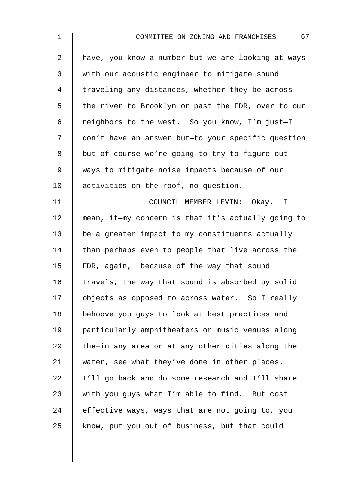| $\mathbf{1}$   | 67<br>COMMITTEE ON ZONING AND FRANCHISES           |
|----------------|----------------------------------------------------|
| $\overline{a}$ | have, you know a number but we are looking at ways |
| 3              | with our acoustic engineer to mitigate sound       |
| 4              | traveling any distances, whether they be across    |
| 5              | the river to Brooklyn or past the FDR, over to our |
| 6              | neighbors to the west. So you know, I'm just-I     |
| 7              | don't have an answer but-to your specific question |
| 8              | but of course we're going to try to figure out     |
| 9              | ways to mitigate noise impacts because of our      |
| 10             | activities on the roof, no question.               |
| 11             | COUNCIL MEMBER LEVIN: Okay. I                      |
| 12             | mean, it-my concern is that it's actually going to |
| 13             | be a greater impact to my constituents actually    |
| 14             | than perhaps even to people that live across the   |
| 15             | FDR, again, because of the way that sound          |
| 16             | travels, the way that sound is absorbed by solid   |
| 17             | objects as opposed to across water. So I really    |
| 18             | behoove you guys to look at best practices and     |
| 19             | particularly amphitheaters or music venues along   |
| 20             | the-in any area or at any other cities along the   |
| 21             | water, see what they've done in other places.      |
| 22             | I'll go back and do some research and I'll share   |
| 23             | with you guys what I'm able to find. But cost      |
| 24             | effective ways, ways that are not going to, you    |
| 25             | know, put you out of business, but that could      |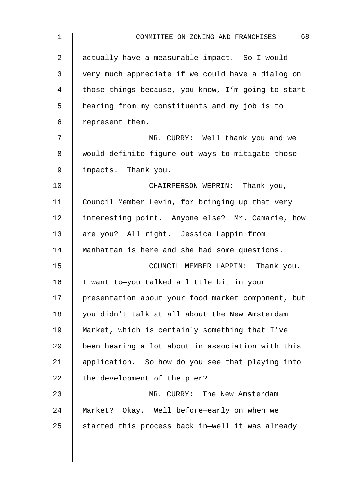| $\mathbf{1}$   | 68<br>COMMITTEE ON ZONING AND FRANCHISES           |
|----------------|----------------------------------------------------|
| $\overline{2}$ | actually have a measurable impact. So I would      |
| 3              | very much appreciate if we could have a dialog on  |
| 4              | those things because, you know, I'm going to start |
| 5              | hearing from my constituents and my job is to      |
| 6              | represent them.                                    |
| 7              | MR. CURRY: Well thank you and we                   |
| 8              | would definite figure out ways to mitigate those   |
| 9              | impacts. Thank you.                                |
| 10             | CHAIRPERSON WEPRIN: Thank you,                     |
| 11             | Council Member Levin, for bringing up that very    |
| 12             | interesting point. Anyone else? Mr. Camarie, how   |
| 13             | are you? All right. Jessica Lappin from            |
| 14             | Manhattan is here and she had some questions.      |
| 15             | COUNCIL MEMBER LAPPIN: Thank you.                  |
| 16             | I want to-you talked a little bit in your          |
| 17             | presentation about your food market component, but |
| 18             | you didn't talk at all about the New Amsterdam     |
| 19             | Market, which is certainly something that I've     |
| 20             | been hearing a lot about in association with this  |
| 21             | application. So how do you see that playing into   |
| 22             | the development of the pier?                       |
| 23             | MR. CURRY: The New Amsterdam                       |
| 24             | Market? Okay. Well before-early on when we         |
| 25             | started this process back in-well it was already   |
|                |                                                    |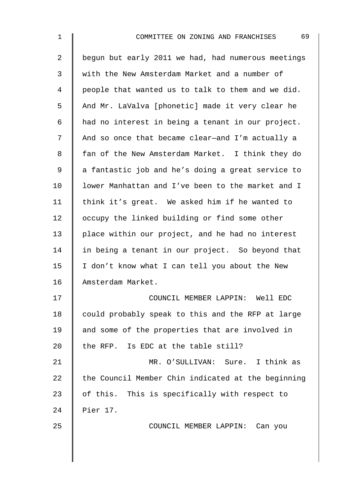| $\mathbf 1$ | 69<br>COMMITTEE ON ZONING AND FRANCHISES           |
|-------------|----------------------------------------------------|
| 2           | begun but early 2011 we had, had numerous meetings |
| 3           | with the New Amsterdam Market and a number of      |
| 4           | people that wanted us to talk to them and we did.  |
| 5           | And Mr. LaValva [phonetic] made it very clear he   |
| 6           | had no interest in being a tenant in our project.  |
| 7           | And so once that became clear-and I'm actually a   |
| 8           | fan of the New Amsterdam Market. I think they do   |
| 9           | a fantastic job and he's doing a great service to  |
| 10          | lower Manhattan and I've been to the market and I  |
| 11          | think it's great. We asked him if he wanted to     |
| 12          | occupy the linked building or find some other      |
| 13          | place within our project, and he had no interest   |
| 14          | in being a tenant in our project. So beyond that   |
| 15          | I don't know what I can tell you about the New     |
| 16          | Amsterdam Market.                                  |
| 17          | COUNCIL MEMBER LAPPIN: Well EDC                    |
| 18          | could probably speak to this and the RFP at large  |
| 19          | and some of the properties that are involved in    |
| 20          | the RFP. Is EDC at the table still?                |
| 21          | MR. O'SULLIVAN: Sure. I think as                   |
| 22          | the Council Member Chin indicated at the beginning |
| 23          | of this. This is specifically with respect to      |
| 24          | Pier 17.                                           |
| 25          | COUNCIL MEMBER LAPPIN: Can you                     |
|             |                                                    |
|             |                                                    |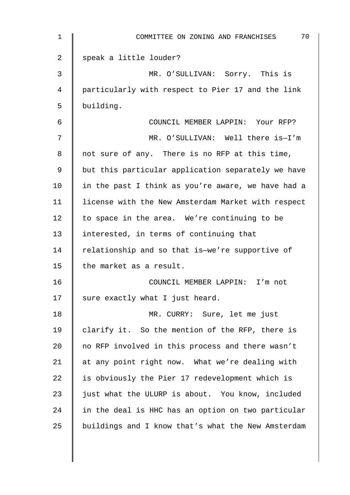| 1  | 70<br>COMMITTEE ON ZONING AND FRANCHISES           |
|----|----------------------------------------------------|
| 2  | speak a little louder?                             |
| 3  | MR. O'SULLIVAN: Sorry. This is                     |
| 4  | particularly with respect to Pier 17 and the link  |
| 5  | building.                                          |
| 6  | COUNCIL MEMBER LAPPIN: Your RFP?                   |
| 7  | MR. O'SULLIVAN: Well there is-I'm                  |
| 8  | not sure of any. There is no RFP at this time,     |
| 9  | but this particular application separately we have |
| 10 | in the past I think as you're aware, we have had a |
| 11 | license with the New Amsterdam Market with respect |
| 12 | to space in the area. We're continuing to be       |
| 13 | interested, in terms of continuing that            |
| 14 | relationship and so that is-we're supportive of    |
| 15 | the market as a result.                            |
| 16 | COUNCIL MEMBER LAPPIN: I'm not                     |
| 17 | sure exactly what I just heard.                    |
| 18 | MR. CURRY: Sure, let me just                       |
| 19 | clarify it. So the mention of the RFP, there is    |
| 20 | no RFP involved in this process and there wasn't   |
| 21 | at any point right now. What we're dealing with    |
| 22 | is obviously the Pier 17 redevelopment which is    |
| 23 | just what the ULURP is about. You know, included   |
| 24 | in the deal is HHC has an option on two particular |
| 25 | buildings and I know that's what the New Amsterdam |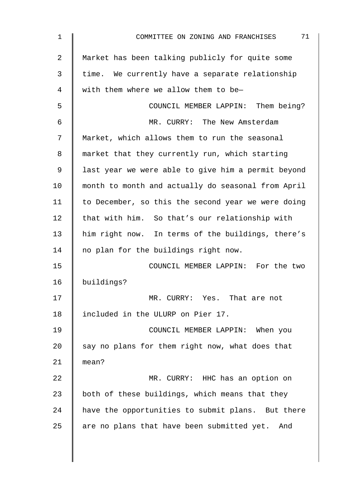| 1              | 71<br>COMMITTEE ON ZONING AND FRANCHISES           |
|----------------|----------------------------------------------------|
| $\overline{2}$ | Market has been talking publicly for quite some    |
| 3              | time. We currently have a separate relationship    |
| 4              | with them where we allow them to be-               |
| 5              | COUNCIL MEMBER LAPPIN: Them being?                 |
| 6              | MR. CURRY: The New Amsterdam                       |
| 7              | Market, which allows them to run the seasonal      |
| 8              | market that they currently run, which starting     |
| 9              | last year we were able to give him a permit beyond |
| 10             | month to month and actually do seasonal from April |
| 11             | to December, so this the second year we were doing |
| 12             | that with him. So that's our relationship with     |
| 13             | him right now. In terms of the buildings, there's  |
| 14             | no plan for the buildings right now.               |
| 15             | COUNCIL MEMBER LAPPIN: For the two                 |
| 16             | buildings?                                         |
| 17             | MR. CURRY: Yes. That are not                       |
| 18             | included in the ULURP on Pier 17.                  |
| 19             | COUNCIL MEMBER LAPPIN: When you                    |
| 20             | say no plans for them right now, what does that    |
| 21             | mean?                                              |
| 22             | MR. CURRY: HHC has an option on                    |
| 23             | both of these buildings, which means that they     |
| 24             | have the opportunities to submit plans. But there  |
| 25             | are no plans that have been submitted yet. And     |
|                |                                                    |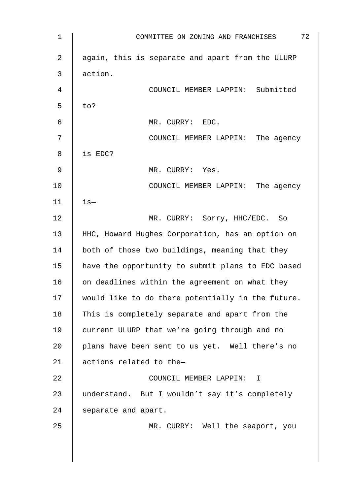| $\mathbf 1$ | 72<br>COMMITTEE ON ZONING AND FRANCHISES          |
|-------------|---------------------------------------------------|
| 2           | again, this is separate and apart from the ULURP  |
| 3           | action.                                           |
| 4           | COUNCIL MEMBER LAPPIN: Submitted                  |
| 5           | to?                                               |
| 6           | MR. CURRY: EDC.                                   |
| 7           | COUNCIL MEMBER LAPPIN: The agency                 |
| 8           | is EDC?                                           |
| 9           | MR. CURRY: Yes.                                   |
| 10          | COUNCIL MEMBER LAPPIN: The agency                 |
| 11          | $is-$                                             |
| 12          | MR. CURRY: Sorry, HHC/EDC. So                     |
| 13          | HHC, Howard Hughes Corporation, has an option on  |
| 14          | both of those two buildings, meaning that they    |
| 15          | have the opportunity to submit plans to EDC based |
| 16          | on deadlines within the agreement on what they    |
| 17          | would like to do there potentially in the future. |
| 18          | This is completely separate and apart from the    |
| 19          | current ULURP that we're going through and no     |
| 20          | plans have been sent to us yet. Well there's no   |
| 21          | actions related to the-                           |
| 22          | COUNCIL MEMBER LAPPIN: I                          |
| 23          | understand. But I wouldn't say it's completely    |
| 24          | separate and apart.                               |
| 25          | MR. CURRY: Well the seaport, you                  |
|             |                                                   |
|             |                                                   |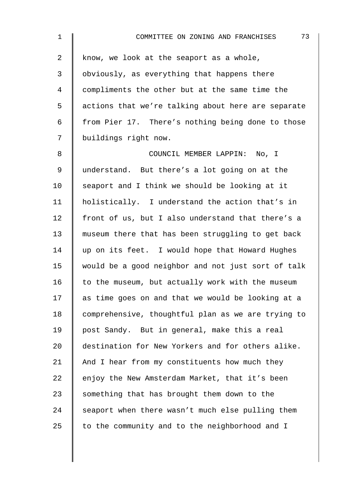| $\mathbf{1}$ | 73<br>COMMITTEE ON ZONING AND FRANCHISES           |
|--------------|----------------------------------------------------|
| 2            | know, we look at the seaport as a whole,           |
| 3            | obviously, as everything that happens there        |
| 4            | compliments the other but at the same time the     |
| 5            | actions that we're talking about here are separate |
| 6            | from Pier 17. There's nothing being done to those  |
| 7            | buildings right now.                               |
| 8            | COUNCIL MEMBER LAPPIN: No, I                       |
| 9            | understand. But there's a lot going on at the      |
| 10           | seaport and I think we should be looking at it     |
| 11           | holistically. I understand the action that's in    |
| 12           | front of us, but I also understand that there's a  |
| 13           | museum there that has been struggling to get back  |
| 14           | up on its feet. I would hope that Howard Hughes    |
| 15           | would be a good neighbor and not just sort of talk |
| 16           | to the museum, but actually work with the museum   |
| 17           | as time goes on and that we would be looking at a  |
| 18           | comprehensive, thoughtful plan as we are trying to |
| 19           | post Sandy. But in general, make this a real       |
| 20           | destination for New Yorkers and for others alike.  |
| 21           | And I hear from my constituents how much they      |
| 22           | enjoy the New Amsterdam Market, that it's been     |
| 23           | something that has brought them down to the        |
| 24           | seaport when there wasn't much else pulling them   |
| 25           | to the community and to the neighborhood and I     |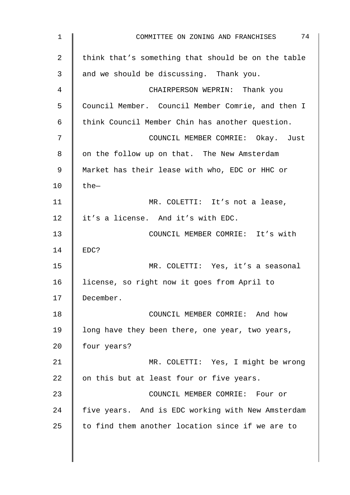| 1  | 74<br>COMMITTEE ON ZONING AND FRANCHISES           |
|----|----------------------------------------------------|
| 2  | think that's something that should be on the table |
| 3  | and we should be discussing. Thank you.            |
| 4  | CHAIRPERSON WEPRIN: Thank you                      |
| 5  | Council Member. Council Member Comrie, and then I  |
| 6  | think Council Member Chin has another question.    |
| 7  | COUNCIL MEMBER COMRIE: Okay. Just                  |
| 8  | on the follow up on that. The New Amsterdam        |
| 9  | Market has their lease with who, EDC or HHC or     |
| 10 | the-                                               |
| 11 | MR. COLETTI: It's not a lease,                     |
| 12 | it's a license. And it's with EDC.                 |
| 13 | COUNCIL MEMBER COMRIE: It's with                   |
| 14 | EDC?                                               |
| 15 | MR. COLETTI: Yes, it's a seasonal                  |
| 16 | license, so right now it goes from April to        |
| 17 | December.                                          |
| 18 | COUNCIL MEMBER COMRIE: And how                     |
| 19 | long have they been there, one year, two years,    |
| 20 | four years?                                        |
| 21 | MR. COLETTI: Yes, I might be wrong                 |
| 22 | on this but at least four or five years.           |
| 23 | COUNCIL MEMBER COMRIE: Four or                     |
| 24 | five years. And is EDC working with New Amsterdam  |
| 25 | to find them another location since if we are to   |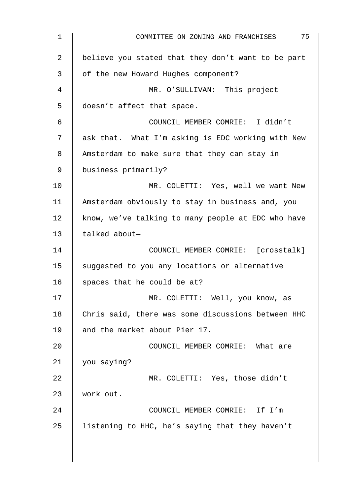| 1  | 75<br>COMMITTEE ON ZONING AND FRANCHISES           |
|----|----------------------------------------------------|
| 2  | believe you stated that they don't want to be part |
| 3  | of the new Howard Hughes component?                |
| 4  | MR. O'SULLIVAN: This project                       |
| 5  | doesn't affect that space.                         |
| 6  | COUNCIL MEMBER COMRIE: I didn't                    |
| 7  | ask that. What I'm asking is EDC working with New  |
| 8  | Amsterdam to make sure that they can stay in       |
| 9  | business primarily?                                |
| 10 | MR. COLETTI: Yes, well we want New                 |
| 11 | Amsterdam obviously to stay in business and, you   |
| 12 | know, we've talking to many people at EDC who have |
| 13 | talked about-                                      |
| 14 | COUNCIL MEMBER COMRIE: [crosstalk]                 |
| 15 | suggested to you any locations or alternative      |
| 16 | spaces that he could be at?                        |
| 17 | MR. COLETTI: Well, you know, as                    |
| 18 | Chris said, there was some discussions between HHC |
| 19 | and the market about Pier 17.                      |
| 20 | COUNCIL MEMBER COMRIE: What are                    |
| 21 | you saying?                                        |
| 22 | MR. COLETTI: Yes, those didn't                     |
| 23 | work out.                                          |
| 24 | COUNCIL MEMBER COMRIE: If I'm                      |
| 25 | listening to HHC, he's saying that they haven't    |
|    |                                                    |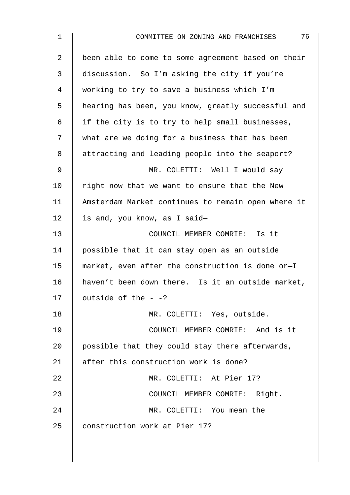| $\mathbf 1$ | 76<br>COMMITTEE ON ZONING AND FRANCHISES           |
|-------------|----------------------------------------------------|
| 2           | been able to come to some agreement based on their |
| 3           | discussion. So I'm asking the city if you're       |
| 4           | working to try to save a business which I'm        |
| 5           | hearing has been, you know, greatly successful and |
| 6           | if the city is to try to help small businesses,    |
| 7           | what are we doing for a business that has been     |
| 8           | attracting and leading people into the seaport?    |
| 9           | MR. COLETTI: Well I would say                      |
| 10          | right now that we want to ensure that the New      |
| 11          | Amsterdam Market continues to remain open where it |
| 12          | is and, you know, as I said-                       |
| 13          | COUNCIL MEMBER COMRIE: Is it                       |
| 14          | possible that it can stay open as an outside       |
| 15          | market, even after the construction is done or-I   |
| 16          | haven't been down there. Is it an outside market,  |
| 17          | outside of the $-$ -?                              |
| 18          | MR. COLETTI: Yes, outside.                         |
| 19          | COUNCIL MEMBER COMRIE: And is it                   |
| 20          | possible that they could stay there afterwards,    |
| 21          | after this construction work is done?              |
| 22          | MR. COLETTI: At Pier 17?                           |
| 23          | COUNCIL MEMBER COMRIE: Right.                      |
| 24          | MR. COLETTI: You mean the                          |
| 25          | construction work at Pier 17?                      |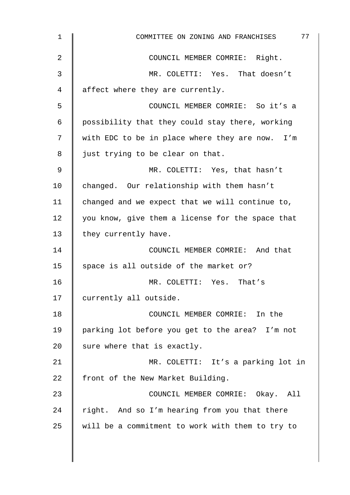| $\mathbf{1}$ | 77<br>COMMITTEE ON ZONING AND FRANCHISES         |
|--------------|--------------------------------------------------|
| 2            | COUNCIL MEMBER COMRIE: Right.                    |
| 3            | MR. COLETTI: Yes. That doesn't                   |
| 4            | affect where they are currently.                 |
| 5            | COUNCIL MEMBER COMRIE: So it's a                 |
| 6            | possibility that they could stay there, working  |
| 7            | with EDC to be in place where they are now. I'm  |
| 8            | just trying to be clear on that.                 |
| 9            | MR. COLETTI: Yes, that hasn't                    |
| 10           | changed. Our relationship with them hasn't       |
| 11           | changed and we expect that we will continue to,  |
| 12           | you know, give them a license for the space that |
| 13           | they currently have.                             |
| 14           | COUNCIL MEMBER COMRIE: And that                  |
| 15           | space is all outside of the market or?           |
| 16           | MR. COLETTI: Yes. That's                         |
| 17           | currently all outside.                           |
| 18           | COUNCIL MEMBER COMRIE: In the                    |
| 19           | parking lot before you get to the area? I'm not  |
| 20           | sure where that is exactly.                      |
| 21           | MR. COLETTI: It's a parking lot in               |
| 22           | front of the New Market Building.                |
| 23           | COUNCIL MEMBER COMRIE: Okay. All                 |
| 24           | right. And so I'm hearing from you that there    |
| 25           | will be a commitment to work with them to try to |
|              |                                                  |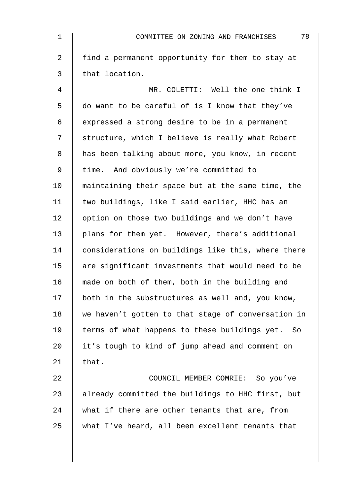| $\mathbf 1$    | 78<br>COMMITTEE ON ZONING AND FRANCHISES           |
|----------------|----------------------------------------------------|
| $\overline{2}$ | find a permanent opportunity for them to stay at   |
| 3              | that location.                                     |
| $\overline{4}$ | MR. COLETTI: Well the one think I                  |
| 5              | do want to be careful of is I know that they've    |
| 6              | expressed a strong desire to be in a permanent     |
| 7              | structure, which I believe is really what Robert   |
| 8              | has been talking about more, you know, in recent   |
| $\mathsf 9$    | time. And obviously we're committed to             |
| 10             | maintaining their space but at the same time, the  |
| 11             | two buildings, like I said earlier, HHC has an     |
| 12             | option on those two buildings and we don't have    |
| 13             | plans for them yet. However, there's additional    |
| 14             | considerations on buildings like this, where there |
| 15             | are significant investments that would need to be  |
| 16             | made on both of them, both in the building and     |
| 17             | both in the substructures as well and, you know,   |
| 18             | we haven't gotten to that stage of conversation in |
| 19             | terms of what happens to these buildings yet. So   |
| 20             | it's tough to kind of jump ahead and comment on    |
| 21             | that.                                              |
| 22             | COUNCIL MEMBER COMRIE: So you've                   |
| 23             | already committed the buildings to HHC first, but  |
| 24             | what if there are other tenants that are, from     |
| 25             | what I've heard, all been excellent tenants that   |
|                |                                                    |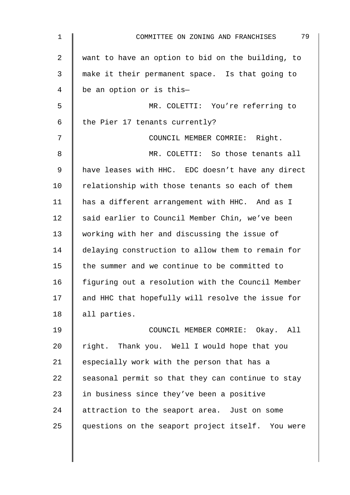| 1              | 79<br>COMMITTEE ON ZONING AND FRANCHISES          |
|----------------|---------------------------------------------------|
| $\overline{2}$ | want to have an option to bid on the building, to |
| 3              | make it their permanent space. Is that going to   |
| 4              | be an option or is this-                          |
| 5              | MR. COLETTI: You're referring to                  |
| 6              | the Pier 17 tenants currently?                    |
| 7              | COUNCIL MEMBER COMRIE: Right.                     |
| 8              | MR. COLETTI: So those tenants all                 |
| 9              | have leases with HHC. EDC doesn't have any direct |
| 10             | relationship with those tenants so each of them   |
| 11             | has a different arrangement with HHC. And as I    |
| 12             | said earlier to Council Member Chin, we've been   |
| 13             | working with her and discussing the issue of      |
| 14             | delaying construction to allow them to remain for |
| 15             | the summer and we continue to be committed to     |
| 16             | figuring out a resolution with the Council Member |
| 17             | and HHC that hopefully will resolve the issue for |
| 18             | all parties.                                      |
| 19             | COUNCIL MEMBER COMRIE: Okay. All                  |
| 20             | right. Thank you. Well I would hope that you      |
| 21             | especially work with the person that has a        |
| 22             | seasonal permit so that they can continue to stay |
| 23             | in business since they've been a positive         |
| 24             | attraction to the seaport area. Just on some      |
| 25             | questions on the seaport project itself. You were |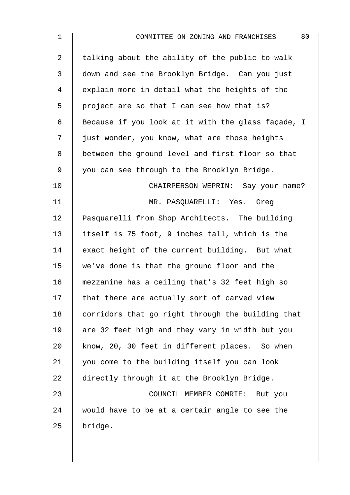| $\mathbf 1$    | 80<br>COMMITTEE ON ZONING AND FRANCHISES           |
|----------------|----------------------------------------------------|
| $\overline{2}$ | talking about the ability of the public to walk    |
| $\mathfrak{Z}$ | down and see the Brooklyn Bridge. Can you just     |
| 4              | explain more in detail what the heights of the     |
| 5              | project are so that I can see how that is?         |
| 6              | Because if you look at it with the glass façade, I |
| 7              | just wonder, you know, what are those heights      |
| 8              | between the ground level and first floor so that   |
| 9              | you can see through to the Brooklyn Bridge.        |
| 10             | CHAIRPERSON WEPRIN: Say your name?                 |
| 11             | MR. PASQUARELLI: Yes. Greg                         |
| 12             | Pasquarelli from Shop Architects. The building     |
| 13             | itself is 75 foot, 9 inches tall, which is the     |
| 14             | exact height of the current building. But what     |
| 15             | we've done is that the ground floor and the        |
| 16             | mezzanine has a ceiling that's 32 feet high so     |
| 17             | that there are actually sort of carved view        |
| 18             | corridors that go right through the building that  |
| 19             | are 32 feet high and they vary in width but you    |
| 20             | know, 20, 30 feet in different places. So when     |
| 21             | you come to the building itself you can look       |
| 22             | directly through it at the Brooklyn Bridge.        |
| 23             | COUNCIL MEMBER COMRIE: But you                     |
| 24             | would have to be at a certain angle to see the     |
| 25             | bridge.                                            |
|                |                                                    |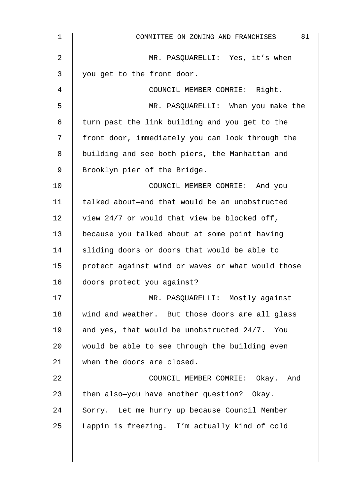| $\mathbf 1$    | 81<br>COMMITTEE ON ZONING AND FRANCHISES          |
|----------------|---------------------------------------------------|
| $\overline{2}$ | MR. PASQUARELLI: Yes, it's when                   |
| 3              | you get to the front door.                        |
| 4              | COUNCIL MEMBER COMRIE: Right.                     |
| 5              | MR. PASQUARELLI: When you make the                |
| 6              | turn past the link building and you get to the    |
| 7              | front door, immediately you can look through the  |
| 8              | building and see both piers, the Manhattan and    |
| 9              | Brooklyn pier of the Bridge.                      |
| 10             | COUNCIL MEMBER COMRIE: And you                    |
| 11             | talked about-and that would be an unobstructed    |
| 12             | view 24/7 or would that view be blocked off,      |
| 13             | because you talked about at some point having     |
| 14             | sliding doors or doors that would be able to      |
| 15             | protect against wind or waves or what would those |
| 16             | doors protect you against?                        |
| 17             | MR. PASQUARELLI: Mostly against                   |
| 18             | wind and weather. But those doors are all glass   |
| 19             | and yes, that would be unobstructed 24/7. You     |
| 20             | would be able to see through the building even    |
| 21             | when the doors are closed.                        |
| 22             | COUNCIL MEMBER COMRIE: Okay. And                  |
| 23             | then also-you have another question? Okay.        |
| 24             | Sorry. Let me hurry up because Council Member     |
| 25             | Lappin is freezing. I'm actually kind of cold     |
|                |                                                   |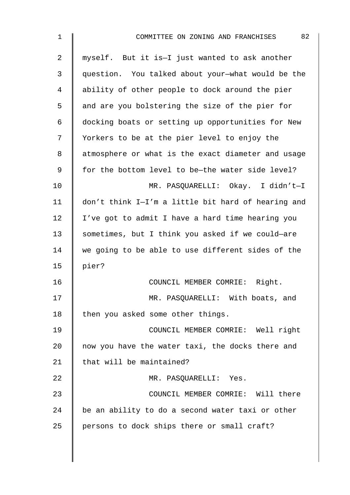| $\mathbf 1$    | 82<br>COMMITTEE ON ZONING AND FRANCHISES           |
|----------------|----------------------------------------------------|
| $\overline{2}$ | myself. But it is-I just wanted to ask another     |
| 3              | question. You talked about your-what would be the  |
| 4              | ability of other people to dock around the pier    |
| 5              | and are you bolstering the size of the pier for    |
| 6              | docking boats or setting up opportunities for New  |
| 7              | Yorkers to be at the pier level to enjoy the       |
| 8              | atmosphere or what is the exact diameter and usage |
| 9              | for the bottom level to be-the water side level?   |
| 10             | MR. PASQUARELLI: Okay. I didn't-I                  |
| 11             | don't think I-I'm a little bit hard of hearing and |
| 12             | I've got to admit I have a hard time hearing you   |
| 13             | sometimes, but I think you asked if we could-are   |
| 14             | we going to be able to use different sides of the  |
| 15             | pier?                                              |
| 16             | COUNCIL MEMBER COMRIE: Right.                      |
| 17             | MR. PASQUARELLI: With boats, and                   |
| 18             | then you asked some other things.                  |
| 19             | COUNCIL MEMBER COMRIE: Well right                  |
| 20             | now you have the water taxi, the docks there and   |
| 21             | that will be maintained?                           |
| 22             | MR. PASQUARELLI: Yes.                              |
| 23             | COUNCIL MEMBER COMRIE: Will there                  |
| 24             | be an ability to do a second water taxi or other   |
| 25             | persons to dock ships there or small craft?        |
|                |                                                    |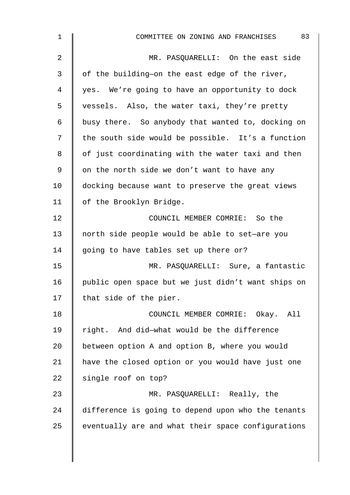| 1              | 83<br>COMMITTEE ON ZONING AND FRANCHISES           |
|----------------|----------------------------------------------------|
| $\overline{2}$ | MR. PASQUARELLI: On the east side                  |
| 3              | of the building-on the east edge of the river,     |
| 4              | yes. We're going to have an opportunity to dock    |
| 5              | vessels. Also, the water taxi, they're pretty      |
| $\epsilon$     | busy there. So anybody that wanted to, docking on  |
| 7              | the south side would be possible. It's a function  |
| 8              | of just coordinating with the water taxi and then  |
| 9              | on the north side we don't want to have any        |
| 10             | docking because want to preserve the great views   |
| 11             | of the Brooklyn Bridge.                            |
| 12             | COUNCIL MEMBER COMRIE: So the                      |
| 13             | north side people would be able to set-are you     |
| 14             | going to have tables set up there or?              |
| 15             | MR. PASQUARELLI: Sure, a fantastic                 |
| 16             | public open space but we just didn't want ships on |
| 17             | that side of the pier.                             |
| 18             | COUNCIL MEMBER COMRIE: Okay. All                   |
| 19             | right. And did-what would be the difference        |
| 20             | between option A and option B, where you would     |
| 21             | have the closed option or you would have just one  |
| 22             | single roof on top?                                |
| 23             | MR. PASQUARELLI: Really, the                       |
| 24             | difference is going to depend upon who the tenants |
| 25             | eventually are and what their space configurations |
|                |                                                    |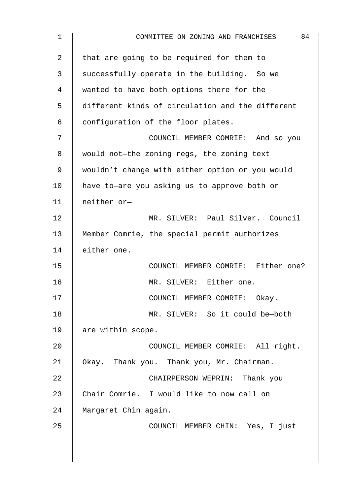| 1  | 84<br>COMMITTEE ON ZONING AND FRANCHISES         |
|----|--------------------------------------------------|
| 2  | that are going to be required for them to        |
| 3  | successfully operate in the building. So we      |
| 4  | wanted to have both options there for the        |
| 5  | different kinds of circulation and the different |
| 6  | configuration of the floor plates.               |
| 7  | COUNCIL MEMBER COMRIE: And so you                |
| 8  | would not-the zoning regs, the zoning text       |
| 9  | wouldn't change with either option or you would  |
| 10 | have to-are you asking us to approve both or     |
| 11 | neither or-                                      |
| 12 | MR. SILVER: Paul Silver. Council                 |
| 13 | Member Comrie, the special permit authorizes     |
| 14 | either one.                                      |
| 15 | COUNCIL MEMBER COMRIE: Either one?               |
| 16 | MR. SILVER: Either one.                          |
| 17 | COUNCIL MEMBER COMRIE: Okay.                     |
| 18 | MR. SILVER: So it could be-both                  |
| 19 | are within scope.                                |
| 20 | COUNCIL MEMBER COMRIE: All right.                |
| 21 | Okay. Thank you. Thank you, Mr. Chairman.        |
| 22 | CHAIRPERSON WEPRIN: Thank you                    |
| 23 | Chair Comrie. I would like to now call on        |
| 24 | Margaret Chin again.                             |
| 25 | COUNCIL MEMBER CHIN: Yes, I just                 |
|    |                                                  |
|    |                                                  |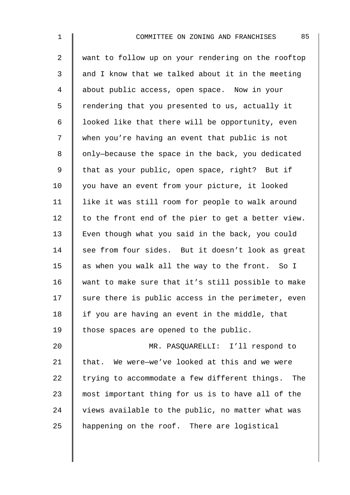2 want to follow up on your rendering on the rooftop  $3 \parallel$  and I know that we talked about it in the meeting 4 about public access, open space. Now in your 5 Tendering that you presented to us, actually it 6 | looked like that there will be opportunity, even 7 when you're having an event that public is not 8 | only-because the space in the back, you dedicated 9 | that as your public, open space, right? But if 10 | you have an event from your picture, it looked 11 | like it was still room for people to walk around 12  $\parallel$  to the front end of the pier to get a better view. 13 Even though what you said in the back, you could 14 see from four sides. But it doesn't look as great 15  $\parallel$  as when you walk all the way to the front. So I 16 want to make sure that it's still possible to make  $17$  sure there is public access in the perimeter, even 18  $\parallel$  if you are having an event in the middle, that 19 | those spaces are opened to the public. 20 MR. PASQUARELLI: I'll respond to

 $\parallel$  that. We were—we've looked at this and we were  $\parallel$  trying to accommodate a few different things. The  $\parallel$  most important thing for us is to have all of the  $\parallel$  views available to the public, no matter what was 25 A happening on the roof. There are logistical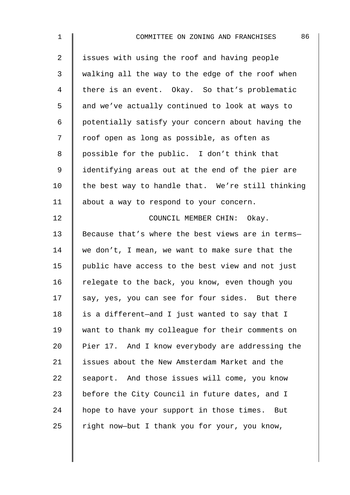| $\mathbf 1$    | 86<br>COMMITTEE ON ZONING AND FRANCHISES          |
|----------------|---------------------------------------------------|
| $\overline{2}$ | issues with using the roof and having people      |
| 3              | walking all the way to the edge of the roof when  |
| 4              | there is an event. Okay. So that's problematic    |
| 5              | and we've actually continued to look at ways to   |
| 6              | potentially satisfy your concern about having the |
| 7              | roof open as long as possible, as often as        |
| 8              | possible for the public. I don't think that       |
| $\mathsf 9$    | identifying areas out at the end of the pier are  |
| 10             | the best way to handle that. We're still thinking |
| 11             | about a way to respond to your concern.           |
| 12             | COUNCIL MEMBER CHIN: Okay.                        |
| 13             | Because that's where the best views are in terms- |
| 14             | we don't, I mean, we want to make sure that the   |
| 15             | public have access to the best view and not just  |
| 16             | relegate to the back, you know, even though you   |
| 17             | say, yes, you can see for four sides. But there   |
| 18             | is a different-and I just wanted to say that I    |
| 19             | want to thank my colleague for their comments on  |
| 20             | Pier 17. And I know everybody are addressing the  |
| 21             | issues about the New Amsterdam Market and the     |
| 22             | seaport. And those issues will come, you know     |
| 23             | before the City Council in future dates, and I    |
| 24             | hope to have your support in those times. But     |
| 25             | right now-but I thank you for your, you know,     |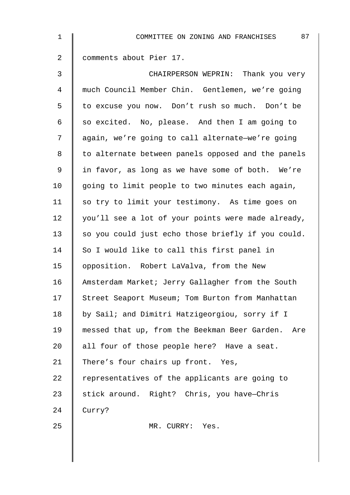| $\mathbf 1$    | 87<br>COMMITTEE ON ZONING AND FRANCHISES           |
|----------------|----------------------------------------------------|
| $\overline{2}$ | comments about Pier 17.                            |
| 3              | CHAIRPERSON WEPRIN: Thank you very                 |
| $\overline{4}$ | much Council Member Chin. Gentlemen, we're going   |
| 5              | to excuse you now. Don't rush so much. Don't be    |
| 6              | so excited. No, please. And then I am going to     |
| 7              | again, we're going to call alternate-we're going   |
| 8              | to alternate between panels opposed and the panels |
| 9              | in favor, as long as we have some of both. We're   |
| 10             | going to limit people to two minutes each again,   |
| 11             | so try to limit your testimony. As time goes on    |
| 12             | you'll see a lot of your points were made already, |
| 13             | so you could just echo those briefly if you could. |
| 14             | So I would like to call this first panel in        |
| 15             | opposition. Robert LaValva, from the New           |
| 16             | Amsterdam Market; Jerry Gallagher from the South   |
| 17             | Street Seaport Museum; Tom Burton from Manhattan   |
| 18             | by Sail; and Dimitri Hatzigeorgiou, sorry if I     |
| 19             | messed that up, from the Beekman Beer Garden. Are  |
| 20             | all four of those people here? Have a seat.        |
| 21             | There's four chairs up front. Yes,                 |
| 22             | representatives of the applicants are going to     |
| 23             | stick around. Right? Chris, you have-Chris         |
| 24             | Curry?                                             |
| 25             | MR. CURRY: Yes.                                    |
|                |                                                    |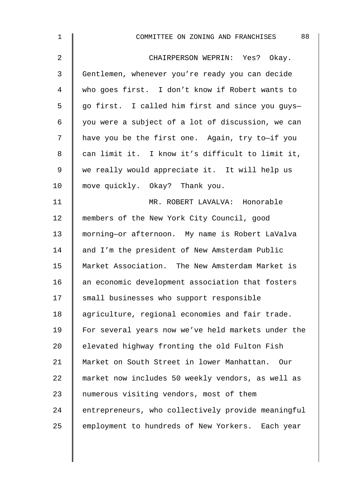| $\mathbf 1$    | 88<br>COMMITTEE ON ZONING AND FRANCHISES           |
|----------------|----------------------------------------------------|
| $\overline{2}$ | CHAIRPERSON WEPRIN: Yes? Okay.                     |
| 3              | Gentlemen, whenever you're ready you can decide    |
| $\overline{4}$ | who goes first. I don't know if Robert wants to    |
| 5              | go first. I called him first and since you guys-   |
| 6              | you were a subject of a lot of discussion, we can  |
| 7              | have you be the first one. Again, try to-if you    |
| 8              | can limit it. I know it's difficult to limit it,   |
| $\mathsf 9$    | we really would appreciate it. It will help us     |
| 10             | move quickly. Okay? Thank you.                     |
| 11             | MR. ROBERT LAVALVA: Honorable                      |
| 12             | members of the New York City Council, good         |
| 13             | morning-or afternoon. My name is Robert LaValva    |
| 14             | and I'm the president of New Amsterdam Public      |
| 15             | Market Association. The New Amsterdam Market is    |
| 16             | an economic development association that fosters   |
| 17             | small businesses who support responsible           |
| 18             | agriculture, regional economies and fair trade.    |
| 19             | For several years now we've held markets under the |
| 20             | elevated highway fronting the old Fulton Fish      |
| 21             | Market on South Street in lower Manhattan.<br>Our  |
| 22             | market now includes 50 weekly vendors, as well as  |
| 23             | numerous visiting vendors, most of them            |
| 24             | entrepreneurs, who collectively provide meaningful |
| 25             | employment to hundreds of New Yorkers. Each year   |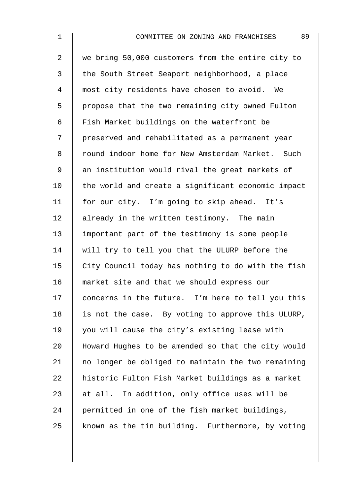| $\mathbf 1$    | 89<br>COMMITTEE ON ZONING AND FRANCHISES           |
|----------------|----------------------------------------------------|
| $\overline{a}$ | we bring 50,000 customers from the entire city to  |
| 3              | the South Street Seaport neighborhood, a place     |
| $\overline{4}$ | most city residents have chosen to avoid. We       |
| 5              | propose that the two remaining city owned Fulton   |
| 6              | Fish Market buildings on the waterfront be         |
| 7              | preserved and rehabilitated as a permanent year    |
| 8              | round indoor home for New Amsterdam Market. Such   |
| $\mathsf 9$    | an institution would rival the great markets of    |
| 10             | the world and create a significant economic impact |
| 11             | for our city. I'm going to skip ahead. It's        |
| 12             | already in the written testimony. The main         |
| 13             | important part of the testimony is some people     |
| 14             | will try to tell you that the ULURP before the     |
| 15             | City Council today has nothing to do with the fish |
| 16             | market site and that we should express our         |
| 17             | concerns in the future. I'm here to tell you this  |
| 18             | is not the case. By voting to approve this ULURP,  |
| 19             | you will cause the city's existing lease with      |
| 20             | Howard Hughes to be amended so that the city would |
| 21             | no longer be obliged to maintain the two remaining |
| 22             | historic Fulton Fish Market buildings as a market  |
| 23             | at all. In addition, only office uses will be      |
| 24             | permitted in one of the fish market buildings,     |
| 25             | known as the tin building. Furthermore, by voting  |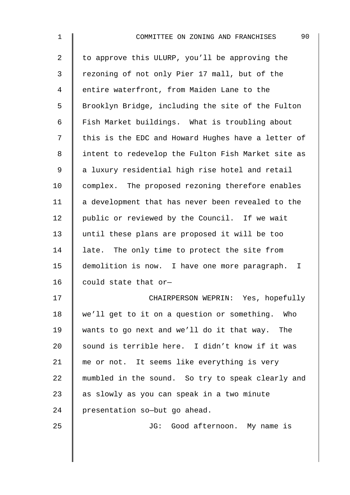| $\mathbf 1$ | 90<br>COMMITTEE ON ZONING AND FRANCHISES           |
|-------------|----------------------------------------------------|
| 2           | to approve this ULURP, you'll be approving the     |
| 3           | rezoning of not only Pier 17 mall, but of the      |
| 4           | entire waterfront, from Maiden Lane to the         |
| 5           | Brooklyn Bridge, including the site of the Fulton  |
| 6           | Fish Market buildings. What is troubling about     |
| 7           | this is the EDC and Howard Hughes have a letter of |
| 8           | intent to redevelop the Fulton Fish Market site as |
| 9           | a luxury residential high rise hotel and retail    |
| 10          | complex. The proposed rezoning therefore enables   |
| 11          | a development that has never been revealed to the  |
| 12          | public or reviewed by the Council. If we wait      |
| 13          | until these plans are proposed it will be too      |
| 14          | late. The only time to protect the site from       |
| 15          | demolition is now. I have one more paragraph.<br>I |
| 16          | could state that or-                               |
| 17          | CHAIRPERSON WEPRIN: Yes, hopefully                 |
| 18          | we'll get to it on a question or something. Who    |
| 19          | wants to go next and we'll do it that way. The     |
| 20          | sound is terrible here. I didn't know if it was    |
| 21          | me or not. It seems like everything is very        |
| 22          | mumbled in the sound. So try to speak clearly and  |
| 23          | as slowly as you can speak in a two minute         |
| 24          | presentation so-but go ahead.                      |
| 25          | JG: Good afternoon. My name is                     |
|             |                                                    |

 $\overline{\phantom{a}}$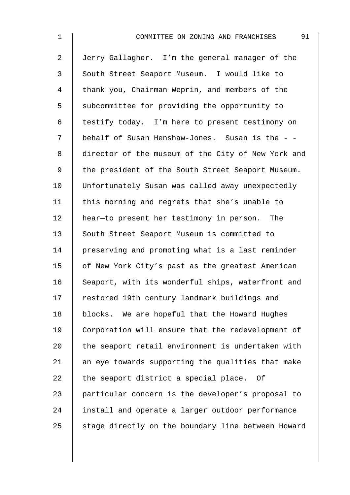| $\mathbf 1$    | 91<br>COMMITTEE ON ZONING AND FRANCHISES           |
|----------------|----------------------------------------------------|
| $\overline{a}$ | Jerry Gallagher. I'm the general manager of the    |
| $\mathfrak{Z}$ | South Street Seaport Museum. I would like to       |
| 4              | thank you, Chairman Weprin, and members of the     |
| 5              | subcommittee for providing the opportunity to      |
| 6              | testify today. I'm here to present testimony on    |
| 7              | behalf of Susan Henshaw-Jones. Susan is the - -    |
| 8              | director of the museum of the City of New York and |
| 9              | the president of the South Street Seaport Museum.  |
| 10             | Unfortunately Susan was called away unexpectedly   |
| 11             | this morning and regrets that she's unable to      |
| 12             | hear-to present her testimony in person. The       |
| 13             | South Street Seaport Museum is committed to        |
| 14             | preserving and promoting what is a last reminder   |
| 15             | of New York City's past as the greatest American   |
| 16             | Seaport, with its wonderful ships, waterfront and  |
| 17             | restored 19th century landmark buildings and       |
| 18             | blocks. We are hopeful that the Howard Hughes      |
| 19             | Corporation will ensure that the redevelopment of  |
| 20             | the seaport retail environment is undertaken with  |
| 21             | an eye towards supporting the qualities that make  |
| 22             | the seaport district a special place.<br>Of        |
| 23             | particular concern is the developer's proposal to  |
| 24             | install and operate a larger outdoor performance   |
| 25             | stage directly on the boundary line between Howard |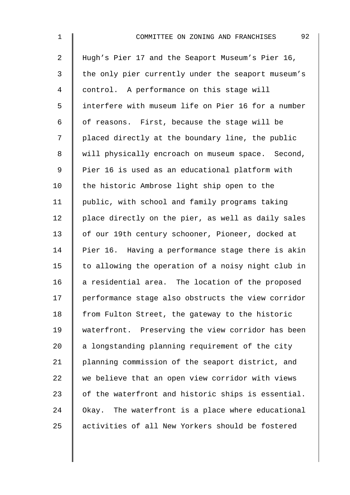| $\mathbf 1$    | 92<br>COMMITTEE ON ZONING AND FRANCHISES           |
|----------------|----------------------------------------------------|
| $\overline{2}$ | Hugh's Pier 17 and the Seaport Museum's Pier 16,   |
| $\mathfrak{Z}$ | the only pier currently under the seaport museum's |
| $\overline{4}$ | control. A performance on this stage will          |
| 5              | interfere with museum life on Pier 16 for a number |
| 6              | of reasons. First, because the stage will be       |
| 7              | placed directly at the boundary line, the public   |
| $\,8\,$        | will physically encroach on museum space. Second,  |
| $\mathsf 9$    | Pier 16 is used as an educational platform with    |
| 10             | the historic Ambrose light ship open to the        |
| 11             | public, with school and family programs taking     |
| 12             | place directly on the pier, as well as daily sales |
| 13             | of our 19th century schooner, Pioneer, docked at   |
| 14             | Pier 16. Having a performance stage there is akin  |
| 15             | to allowing the operation of a noisy night club in |
| 16             | a residential area. The location of the proposed   |
| 17             | performance stage also obstructs the view corridor |
| 18             | from Fulton Street, the gateway to the historic    |
| 19             | waterfront. Preserving the view corridor has been  |
| 20             | a longstanding planning requirement of the city    |
| 21             | planning commission of the seaport district, and   |
| 22             | we believe that an open view corridor with views   |
| 23             | of the waterfront and historic ships is essential. |
| 24             | Okay. The waterfront is a place where educational  |
| 25             | activities of all New Yorkers should be fostered   |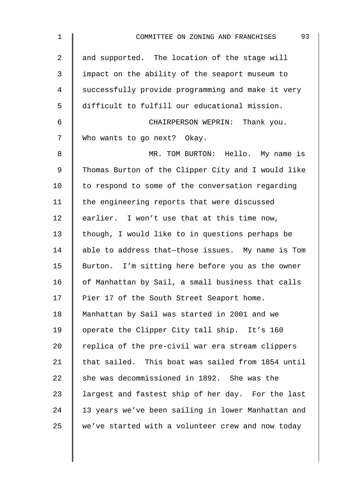| $\mathbf 1$    | 93<br>COMMITTEE ON ZONING AND FRANCHISES           |
|----------------|----------------------------------------------------|
| $\overline{2}$ | and supported. The location of the stage will      |
| 3              | impact on the ability of the seaport museum to     |
| 4              | successfully provide programming and make it very  |
| 5              | difficult to fulfill our educational mission.      |
| 6              | CHAIRPERSON WEPRIN: Thank you.                     |
| 7              | Who wants to go next? Okay.                        |
| 8              | MR. TOM BURTON: Hello. My name is                  |
| $\mathsf 9$    | Thomas Burton of the Clipper City and I would like |
| 10             | to respond to some of the conversation regarding   |
| 11             | the engineering reports that were discussed        |
| 12             | earlier. I won't use that at this time now,        |
| 13             | though, I would like to in questions perhaps be    |
| 14             | able to address that-those issues. My name is Tom  |
| 15             | Burton. I'm sitting here before you as the owner   |
| 16             | of Manhattan by Sail, a small business that calls  |
| 17             | Pier 17 of the South Street Seaport home.          |
| 18             | Manhattan by Sail was started in 2001 and we       |
| 19             | operate the Clipper City tall ship. It's 160       |
| 20             | replica of the pre-civil war era stream clippers   |
| 21             | that sailed. This boat was sailed from 1854 until  |
| 22             | she was decommissioned in 1892. She was the        |
| 23             | largest and fastest ship of her day. For the last  |
| 24             | 13 years we've been sailing in lower Manhattan and |
| 25             | we've started with a volunteer crew and now today  |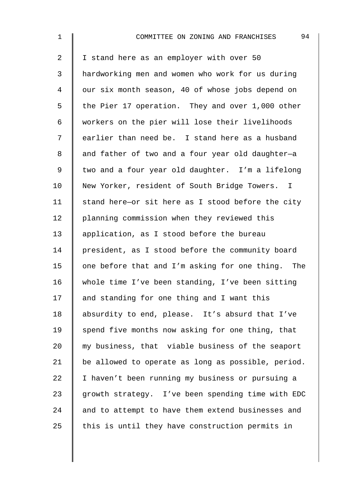| $\mathbf 1$    | 94<br>COMMITTEE ON ZONING AND FRANCHISES           |
|----------------|----------------------------------------------------|
| $\overline{2}$ | I stand here as an employer with over 50           |
| 3              | hardworking men and women who work for us during   |
| $\overline{4}$ | our six month season, 40 of whose jobs depend on   |
| 5              | the Pier 17 operation. They and over 1,000 other   |
| 6              | workers on the pier will lose their livelihoods    |
| 7              | earlier than need be. I stand here as a husband    |
| 8              | and father of two and a four year old daughter-a   |
| $\mathsf 9$    | two and a four year old daughter. I'm a lifelong   |
| 10             | New Yorker, resident of South Bridge Towers. I     |
| 11             | stand here-or sit here as I stood before the city  |
| 12             | planning commission when they reviewed this        |
| 13             | application, as I stood before the bureau          |
| 14             | president, as I stood before the community board   |
| 15             | one before that and I'm asking for one thing. The  |
| 16             | whole time I've been standing, I've been sitting   |
| 17             | and standing for one thing and I want this         |
| 18             | absurdity to end, please. It's absurd that I've    |
| 19             | spend five months now asking for one thing, that   |
| 20             | my business, that viable business of the seaport   |
| 21             | be allowed to operate as long as possible, period. |
| 22             | I haven't been running my business or pursuing a   |
| 23             | growth strategy. I've been spending time with EDC  |
| 24             | and to attempt to have them extend businesses and  |
| 25             | this is until they have construction permits in    |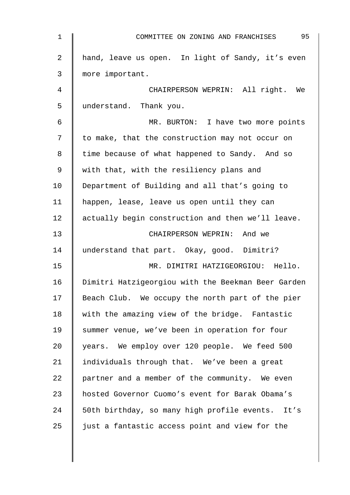| $\mathbf 1$ | 95<br>COMMITTEE ON ZONING AND FRANCHISES           |
|-------------|----------------------------------------------------|
| 2           | hand, leave us open. In light of Sandy, it's even  |
| 3           | more important.                                    |
| 4           | CHAIRPERSON WEPRIN: All right. We                  |
| 5           | understand. Thank you.                             |
| 6           | MR. BURTON: I have two more points                 |
| 7           | to make, that the construction may not occur on    |
| 8           | time because of what happened to Sandy. And so     |
| 9           | with that, with the resiliency plans and           |
| 10          | Department of Building and all that's going to     |
| 11          | happen, lease, leave us open until they can        |
| 12          | actually begin construction and then we'll leave.  |
| 13          | CHAIRPERSON WEPRIN: And we                         |
| 14          | understand that part. Okay, good. Dimitri?         |
| 15          | MR. DIMITRI HATZIGEORGIOU: Hello.                  |
| 16          | Dimitri Hatzigeorgiou with the Beekman Beer Garden |
| 17          | Beach Club. We occupy the north part of the pier   |
| 18          | with the amazing view of the bridge. Fantastic     |
| 19          | summer venue, we've been in operation for four     |
| 20          | years. We employ over 120 people. We feed 500      |
| 21          | individuals through that. We've been a great       |
| 22          | partner and a member of the community. We even     |
| 23          | hosted Governor Cuomo's event for Barak Obama's    |
| 24          | 50th birthday, so many high profile events. It's   |
| 25          | just a fantastic access point and view for the     |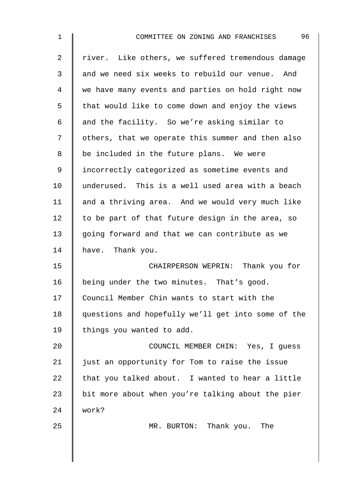| $\mathbf 1$ | 96<br>COMMITTEE ON ZONING AND FRANCHISES           |
|-------------|----------------------------------------------------|
| 2           | river. Like others, we suffered tremendous damage  |
| 3           | and we need six weeks to rebuild our venue. And    |
| 4           | we have many events and parties on hold right now  |
| 5           | that would like to come down and enjoy the views   |
| 6           | and the facility. So we're asking similar to       |
| 7           | others, that we operate this summer and then also  |
| 8           | be included in the future plans. We were           |
| $\mathsf 9$ | incorrectly categorized as sometime events and     |
| 10          | underused. This is a well used area with a beach   |
| 11          | and a thriving area. And we would very much like   |
| 12          | to be part of that future design in the area, so   |
| 13          | going forward and that we can contribute as we     |
| 14          | have. Thank you.                                   |
| 15          | CHAIRPERSON WEPRIN: Thank you for                  |
| 16          | being under the two minutes. That's good.          |
| 17          | Council Member Chin wants to start with the        |
| 18          | questions and hopefully we'll get into some of the |
| 19          | things you wanted to add.                          |
| 20          | COUNCIL MEMBER CHIN: Yes, I quess                  |
| 21          | just an opportunity for Tom to raise the issue     |
| 22          | that you talked about. I wanted to hear a little   |
| 23          | bit more about when you're talking about the pier  |
| 24          | work?                                              |
| 25          | MR. BURTON: Thank you. The                         |
|             |                                                    |
|             |                                                    |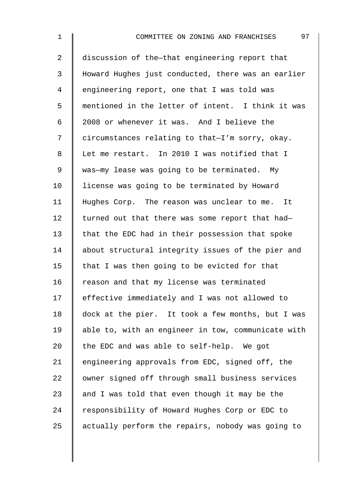| $\mathbf 1$    | 97<br>COMMITTEE ON ZONING AND FRANCHISES           |
|----------------|----------------------------------------------------|
| $\overline{a}$ | discussion of the-that engineering report that     |
| 3              | Howard Hughes just conducted, there was an earlier |
| 4              | engineering report, one that I was told was        |
| 5              | mentioned in the letter of intent. I think it was  |
| 6              | 2008 or whenever it was. And I believe the         |
| 7              | circumstances relating to that-I'm sorry, okay.    |
| 8              | Let me restart. In 2010 I was notified that I      |
| $\mathsf 9$    | was-my lease was going to be terminated. My        |
| 10             | license was going to be terminated by Howard       |
| 11             | Hughes Corp. The reason was unclear to me. It      |
| 12             | turned out that there was some report that had-    |
| 13             | that the EDC had in their possession that spoke    |
| 14             | about structural integrity issues of the pier and  |
| 15             | that I was then going to be evicted for that       |
| 16             | reason and that my license was terminated          |
| 17             | effective immediately and I was not allowed to     |
| 18             | dock at the pier. It took a few months, but I was  |
| 19             | able to, with an engineer in tow, communicate with |
| 20             | the EDC and was able to self-help. We got          |
| 21             | engineering approvals from EDC, signed off, the    |
| 22             | owner signed off through small business services   |
| 23             | and I was told that even though it may be the      |
| 24             | responsibility of Howard Hughes Corp or EDC to     |
| 25             | actually perform the repairs, nobody was going to  |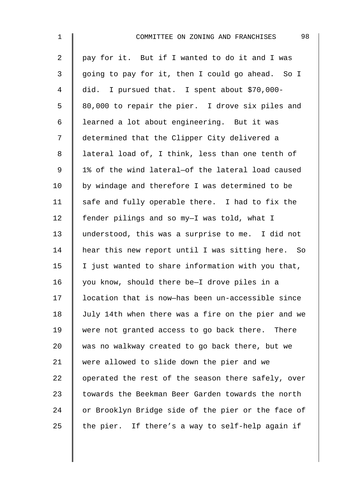| $\mathbf 1$    | 98<br>COMMITTEE ON ZONING AND FRANCHISES           |
|----------------|----------------------------------------------------|
| $\overline{2}$ | pay for it. But if I wanted to do it and I was     |
| 3              | going to pay for it, then I could go ahead. So I   |
| 4              | did. I pursued that. I spent about \$70,000-       |
| 5              | 80,000 to repair the pier. I drove six piles and   |
| 6              | learned a lot about engineering. But it was        |
| 7              | determined that the Clipper City delivered a       |
| 8              | lateral load of, I think, less than one tenth of   |
| $\mathsf 9$    | 1% of the wind lateral-of the lateral load caused  |
| 10             | by windage and therefore I was determined to be    |
| 11             | safe and fully operable there. I had to fix the    |
| 12             | fender pilings and so my-I was told, what I        |
| 13             | understood, this was a surprise to me. I did not   |
| 14             | hear this new report until I was sitting here. So  |
| 15             | I just wanted to share information with you that,  |
| 16             | you know, should there be-I drove piles in a       |
| 17             | location that is now-has been un-accessible since  |
| 18             | July 14th when there was a fire on the pier and we |
| 19             | were not granted access to go back there. There    |
| 20             | was no walkway created to go back there, but we    |
| 21             | were allowed to slide down the pier and we         |
| 22             | operated the rest of the season there safely, over |
| 23             | towards the Beekman Beer Garden towards the north  |
| 24             | or Brooklyn Bridge side of the pier or the face of |
| 25             | the pier. If there's a way to self-help again if   |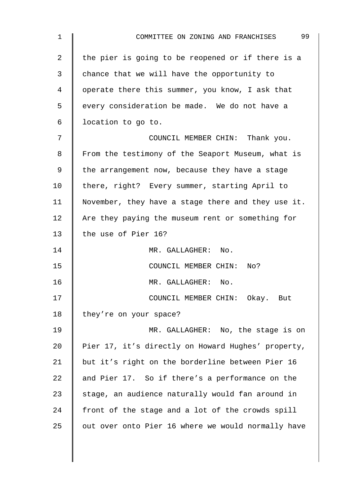| $\mathbf 1$ | 99<br>COMMITTEE ON ZONING AND FRANCHISES           |
|-------------|----------------------------------------------------|
| 2           | the pier is going to be reopened or if there is a  |
| 3           | chance that we will have the opportunity to        |
| 4           | operate there this summer, you know, I ask that    |
| 5           | every consideration be made. We do not have a      |
| 6           | location to go to.                                 |
| 7           | COUNCIL MEMBER CHIN: Thank you.                    |
| 8           | From the testimony of the Seaport Museum, what is  |
| 9           | the arrangement now, because they have a stage     |
| 10          | there, right? Every summer, starting April to      |
| 11          | November, they have a stage there and they use it. |
| 12          | Are they paying the museum rent or something for   |
| 13          | the use of Pier 16?                                |
| 14          | MR. GALLAGHER: No.                                 |
| 15          | COUNCIL MEMBER CHIN: No?                           |
| 16          | MR. GALLAGHER: No.                                 |
| 17          | COUNCIL MEMBER CHIN: Okay. But                     |
| 18          | they're on your space?                             |
| 19          | MR. GALLAGHER: No, the stage is on                 |
| 20          | Pier 17, it's directly on Howard Hughes' property, |
| 21          | but it's right on the borderline between Pier 16   |
| 22          | and Pier 17. So if there's a performance on the    |
| 23          | stage, an audience naturally would fan around in   |
| 24          | front of the stage and a lot of the crowds spill   |
| 25          | out over onto Pier 16 where we would normally have |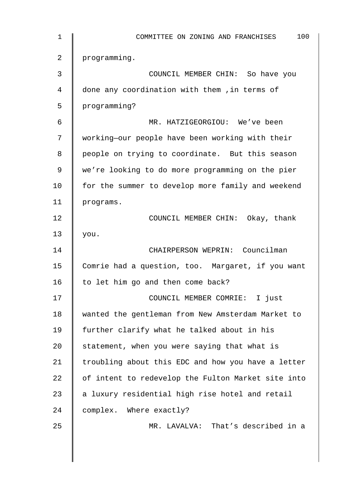| 1  | 100<br>COMMITTEE ON ZONING AND FRANCHISES          |
|----|----------------------------------------------------|
| 2  | programming.                                       |
| 3  | COUNCIL MEMBER CHIN: So have you                   |
| 4  | done any coordination with them , in terms of      |
| 5  | programming?                                       |
| 6  | MR. HATZIGEORGIOU: We've been                      |
| 7  | working-our people have been working with their    |
| 8  | people on trying to coordinate. But this season    |
| 9  | we're looking to do more programming on the pier   |
| 10 | for the summer to develop more family and weekend  |
| 11 | programs.                                          |
| 12 | COUNCIL MEMBER CHIN: Okay, thank                   |
| 13 | you.                                               |
| 14 | CHAIRPERSON WEPRIN: Councilman                     |
| 15 | Comrie had a question, too. Margaret, if you want  |
| 16 | to let him go and then come back?                  |
| 17 | COUNCIL MEMBER COMRIE: I just                      |
| 18 | wanted the gentleman from New Amsterdam Market to  |
| 19 | further clarify what he talked about in his        |
| 20 | statement, when you were saying that what is       |
| 21 | troubling about this EDC and how you have a letter |
| 22 | of intent to redevelop the Fulton Market site into |
| 23 | a luxury residential high rise hotel and retail    |
| 24 | complex. Where exactly?                            |
| 25 | MR. LAVALVA: That's described in a                 |
|    |                                                    |
|    |                                                    |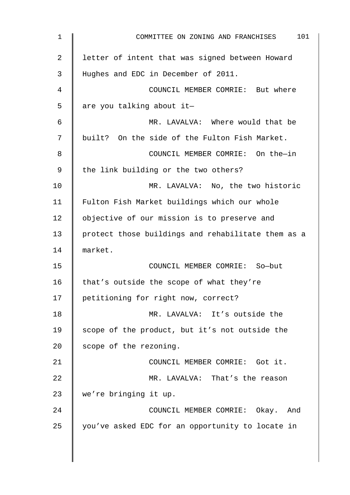| 1  | 101<br>COMMITTEE ON ZONING AND FRANCHISES          |
|----|----------------------------------------------------|
| 2  | letter of intent that was signed between Howard    |
| 3  | Hughes and EDC in December of 2011.                |
| 4  | COUNCIL MEMBER COMRIE: But where                   |
| 5  | are you talking about it-                          |
| 6  | MR. LAVALVA: Where would that be                   |
| 7  | built? On the side of the Fulton Fish Market.      |
| 8  | COUNCIL MEMBER COMRIE: On the-in                   |
| 9  | the link building or the two others?               |
| 10 | MR. LAVALVA: No, the two historic                  |
| 11 | Fulton Fish Market buildings which our whole       |
| 12 | objective of our mission is to preserve and        |
| 13 | protect those buildings and rehabilitate them as a |
| 14 | market.                                            |
| 15 | COUNCIL MEMBER COMRIE: So-but                      |
| 16 | that's outside the scope of what they're           |
| 17 | petitioning for right now, correct?                |
| 18 | MR. LAVALVA: It's outside the                      |
| 19 | scope of the product, but it's not outside the     |
| 20 | scope of the rezoning.                             |
| 21 | COUNCIL MEMBER COMRIE: Got it.                     |
| 22 | MR. LAVALVA: That's the reason                     |
| 23 | we're bringing it up.                              |
| 24 | COUNCIL MEMBER COMRIE: Okay. And                   |
| 25 | you've asked EDC for an opportunity to locate in   |
|    |                                                    |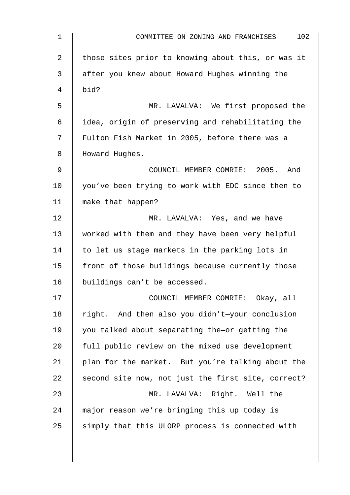| $\mathbf 1$ | 102<br>COMMITTEE ON ZONING AND FRANCHISES          |
|-------------|----------------------------------------------------|
| 2           | those sites prior to knowing about this, or was it |
| 3           | after you knew about Howard Hughes winning the     |
| 4           | bid?                                               |
| 5           | MR. LAVALVA: We first proposed the                 |
| 6           | idea, origin of preserving and rehabilitating the  |
| 7           | Fulton Fish Market in 2005, before there was a     |
| 8           | Howard Hughes.                                     |
| 9           | COUNCIL MEMBER COMRIE: 2005. And                   |
| 10          | you've been trying to work with EDC since then to  |
| 11          | make that happen?                                  |
| 12          | MR. LAVALVA: Yes, and we have                      |
| 13          | worked with them and they have been very helpful   |
| 14          | to let us stage markets in the parking lots in     |
| 15          | front of those buildings because currently those   |
| 16          | buildings can't be accessed.                       |
| 17          | COUNCIL MEMBER COMRIE: Okay, all                   |
| 18          | right. And then also you didn't-your conclusion    |
| 19          | you talked about separating the-or getting the     |
| 20          | full public review on the mixed use development    |
| 21          | plan for the market. But you're talking about the  |
| 22          | second site now, not just the first site, correct? |
| 23          | MR. LAVALVA: Right. Well the                       |
| 24          | major reason we're bringing this up today is       |
| 25          | simply that this ULORP process is connected with   |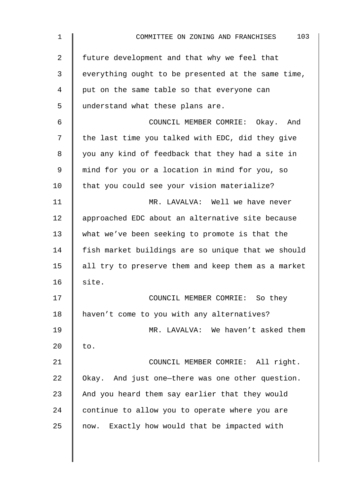| $\mathbf 1$    | 103<br>COMMITTEE ON ZONING AND FRANCHISES          |
|----------------|----------------------------------------------------|
| $\overline{2}$ | future development and that why we feel that       |
| 3              | everything ought to be presented at the same time, |
| 4              | put on the same table so that everyone can         |
| 5              | understand what these plans are.                   |
| 6              | COUNCIL MEMBER COMRIE: Okay. And                   |
| 7              | the last time you talked with EDC, did they give   |
| 8              | you any kind of feedback that they had a site in   |
| 9              | mind for you or a location in mind for you, so     |
| 10             | that you could see your vision materialize?        |
| 11             | MR. LAVALVA: Well we have never                    |
| 12             | approached EDC about an alternative site because   |
| 13             | what we've been seeking to promote is that the     |
| 14             | fish market buildings are so unique that we should |
| 15             | all try to preserve them and keep them as a market |
| 16             | site.                                              |
| 17             | COUNCIL MEMBER COMRIE: So they                     |
| 18             | haven't come to you with any alternatives?         |
| 19             | MR. LAVALVA: We haven't asked them                 |
| 20             | to.                                                |
| 21             | COUNCIL MEMBER COMRIE: All right.                  |
| 22             | Okay. And just one-there was one other question.   |
| 23             | And you heard them say earlier that they would     |
| 24             | continue to allow you to operate where you are     |
| 25             | now. Exactly how would that be impacted with       |
|                |                                                    |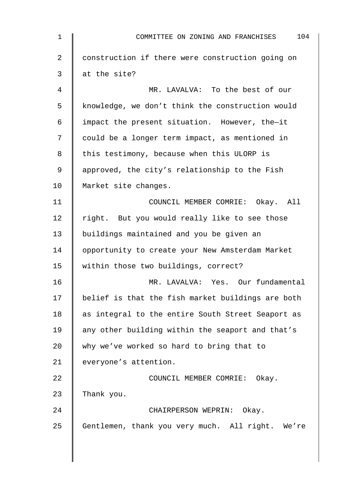| $\mathbf{1}$    | 104<br>COMMITTEE ON ZONING AND FRANCHISES         |
|-----------------|---------------------------------------------------|
| $\overline{a}$  | construction if there were construction going on  |
| 3               | at the site?                                      |
| 4               | MR. LAVALVA: To the best of our                   |
| 5               | knowledge, we don't think the construction would  |
| 6               | impact the present situation. However, the-it     |
| 7               | could be a longer term impact, as mentioned in    |
| 8               | this testimony, because when this ULORP is        |
| 9               | approved, the city's relationship to the Fish     |
| 10 <sub>o</sub> | Market site changes.                              |
| 11              | COUNCIL MEMBER COMRIE: Okay. All                  |
| 12              | right. But you would really like to see those     |
| 13              | buildings maintained and you be given an          |
| 14              | opportunity to create your New Amsterdam Market   |
| 15              | within those two buildings, correct?              |
| 16              | MR. LAVALVA: Yes. Our fundamental                 |
| 17              | belief is that the fish market buildings are both |
| 18              | as integral to the entire South Street Seaport as |
| 19              | any other building within the seaport and that's  |
| 20              | why we've worked so hard to bring that to         |
| 21              | everyone's attention.                             |
| 22              | COUNCIL MEMBER COMRIE: Okay.                      |
| 23              | Thank you.                                        |
| 24              | CHAIRPERSON WEPRIN: Okay.                         |
| 25              | Gentlemen, thank you very much. All right. We're  |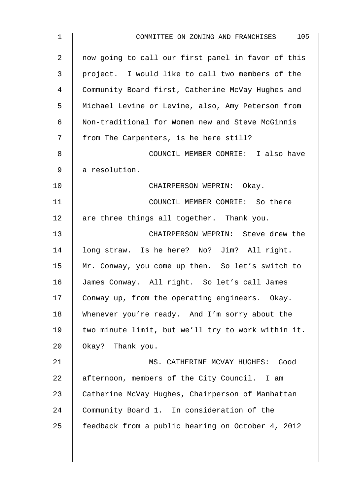| $\mathbf 1$ | 105<br>COMMITTEE ON ZONING AND FRANCHISES          |
|-------------|----------------------------------------------------|
| 2           | now going to call our first panel in favor of this |
| 3           | project. I would like to call two members of the   |
| 4           | Community Board first, Catherine McVay Hughes and  |
| 5           | Michael Levine or Levine, also, Amy Peterson from  |
| 6           | Non-traditional for Women new and Steve McGinnis   |
| 7           | from The Carpenters, is he here still?             |
| 8           | COUNCIL MEMBER COMRIE: I also have                 |
| 9           | a resolution.                                      |
| 10          | CHAIRPERSON WEPRIN: Okay.                          |
| 11          | COUNCIL MEMBER COMRIE: So there                    |
| 12          | are three things all together. Thank you.          |
| 13          | CHAIRPERSON WEPRIN: Steve drew the                 |
| 14          | long straw. Is he here? No? Jim? All right.        |
| 15          | Mr. Conway, you come up then. So let's switch to   |
| 16          | James Conway. All right. So let's call James       |
| 17          | Conway up, from the operating engineers. Okay.     |
| 18          | Whenever you're ready. And I'm sorry about the     |
| 19          | two minute limit, but we'll try to work within it. |
| 20          | Okay? Thank you.                                   |
| 21          | MS. CATHERINE MCVAY HUGHES: Good                   |
| 22          | afternoon, members of the City Council. I am       |
| 23          | Catherine McVay Hughes, Chairperson of Manhattan   |
| 24          | Community Board 1. In consideration of the         |
| 25          | feedback from a public hearing on October 4, 2012  |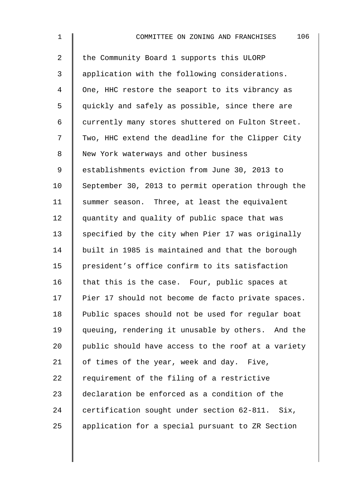| $\mathbf 1$    | 106<br>COMMITTEE ON ZONING AND FRANCHISES          |
|----------------|----------------------------------------------------|
| $\overline{2}$ | the Community Board 1 supports this ULORP          |
| 3              | application with the following considerations.     |
| 4              | One, HHC restore the seaport to its vibrancy as    |
| 5              | quickly and safely as possible, since there are    |
| 6              | currently many stores shuttered on Fulton Street.  |
| 7              | Two, HHC extend the deadline for the Clipper City  |
| 8              | New York waterways and other business              |
| 9              | establishments eviction from June 30, 2013 to      |
| 10             | September 30, 2013 to permit operation through the |
| 11             | summer season. Three, at least the equivalent      |
| 12             | quantity and quality of public space that was      |
| 13             | specified by the city when Pier 17 was originally  |
| 14             | built in 1985 is maintained and that the borough   |
| 15             | president's office confirm to its satisfaction     |
| 16             | that this is the case. Four, public spaces at      |
| 17             | Pier 17 should not become de facto private spaces. |
| 18             | Public spaces should not be used for regular boat  |
| 19             | queuing, rendering it unusable by others. And the  |
| 20             | public should have access to the roof at a variety |
| 21             | of times of the year, week and day. Five,          |
| 22             | requirement of the filing of a restrictive         |
| 23             | declaration be enforced as a condition of the      |
| 24             | certification sought under section 62-811. Six,    |
| 25             | application for a special pursuant to ZR Section   |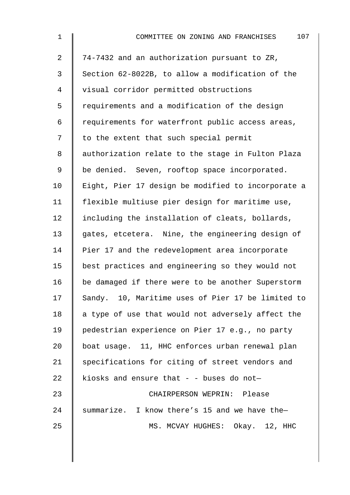| $\mathbf 1$    | 107<br>COMMITTEE ON ZONING AND FRANCHISES          |
|----------------|----------------------------------------------------|
| $\overline{a}$ | 74-7432 and an authorization pursuant to ZR,       |
| 3              | Section 62-8022B, to allow a modification of the   |
| 4              | visual corridor permitted obstructions             |
| 5              | requirements and a modification of the design      |
| 6              | requirements for waterfront public access areas,   |
| 7              | to the extent that such special permit             |
| 8              | authorization relate to the stage in Fulton Plaza  |
| 9              | be denied. Seven, rooftop space incorporated.      |
| 10             | Eight, Pier 17 design be modified to incorporate a |
| 11             | flexible multiuse pier design for maritime use,    |
| 12             | including the installation of cleats, bollards,    |
| 13             | gates, etcetera. Nine, the engineering design of   |
| 14             | Pier 17 and the redevelopment area incorporate     |
| 15             | best practices and engineering so they would not   |
| 16             | be damaged if there were to be another Superstorm  |
| 17             | Sandy. 10, Maritime uses of Pier 17 be limited to  |
| 18             | a type of use that would not adversely affect the  |
| 19             | pedestrian experience on Pier 17 e.g., no party    |
| 20             | boat usage. 11, HHC enforces urban renewal plan    |
| 21             | specifications for citing of street vendors and    |
| 22             | kiosks and ensure that - - buses do not-           |
| 23             | CHAIRPERSON WEPRIN: Please                         |
| 24             | summarize. I know there's 15 and we have the-      |
| 25             | MS. MCVAY HUGHES: Okay. 12, HHC                    |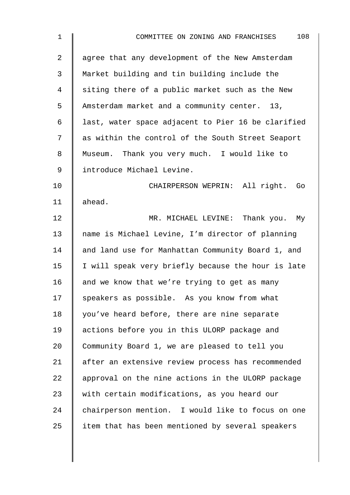| $\mathbf 1$    | 108<br>COMMITTEE ON ZONING AND FRANCHISES          |
|----------------|----------------------------------------------------|
| $\overline{2}$ | agree that any development of the New Amsterdam    |
| 3              | Market building and tin building include the       |
| 4              | siting there of a public market such as the New    |
| 5              | Amsterdam market and a community center. 13,       |
| 6              | last, water space adjacent to Pier 16 be clarified |
| 7              | as within the control of the South Street Seaport  |
| 8              | Museum. Thank you very much. I would like to       |
| 9              | introduce Michael Levine.                          |
| 10             | CHAIRPERSON WEPRIN: All right.<br>Go               |
| 11             | ahead.                                             |
| 12             | MR. MICHAEL LEVINE: Thank you. My                  |
| 13             | name is Michael Levine, I'm director of planning   |
| 14             | and land use for Manhattan Community Board 1, and  |
| 15             | I will speak very briefly because the hour is late |
| 16             | and we know that we're trying to get as many       |
| 17             | speakers as possible. As you know from what        |
| 18             | you've heard before, there are nine separate       |
| 19             | actions before you in this ULORP package and       |
| 20             | Community Board 1, we are pleased to tell you      |
| 21             | after an extensive review process has recommended  |
| 22             | approval on the nine actions in the ULORP package  |
| 23             | with certain modifications, as you heard our       |
| 24             | chairperson mention. I would like to focus on one  |
| 25             | item that has been mentioned by several speakers   |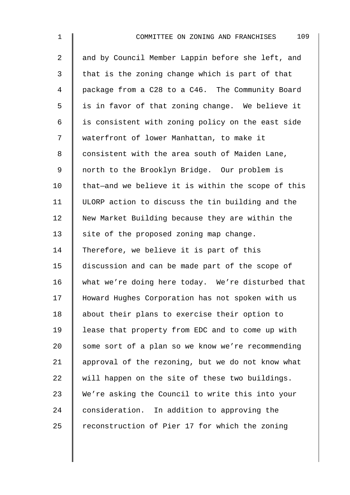| $\mathbf 1$    | 109<br>COMMITTEE ON ZONING AND FRANCHISES          |
|----------------|----------------------------------------------------|
| $\overline{2}$ | and by Council Member Lappin before she left, and  |
| 3              | that is the zoning change which is part of that    |
| $\overline{4}$ | package from a C28 to a C46. The Community Board   |
| 5              | is in favor of that zoning change. We believe it   |
| 6              | is consistent with zoning policy on the east side  |
| 7              | waterfront of lower Manhattan, to make it          |
| $\,8\,$        | consistent with the area south of Maiden Lane,     |
| $\mathsf 9$    | north to the Brooklyn Bridge. Our problem is       |
| 10             | that-and we believe it is within the scope of this |
| 11             | ULORP action to discuss the tin building and the   |
| 12             | New Market Building because they are within the    |
| 13             | site of the proposed zoning map change.            |
| 14             | Therefore, we believe it is part of this           |
| 15             | discussion and can be made part of the scope of    |
| 16             | what we're doing here today. We're disturbed that  |
| 17             | Howard Hughes Corporation has not spoken with us   |
| 18             | about their plans to exercise their option to      |
| 19             | lease that property from EDC and to come up with   |
| 20             | some sort of a plan so we know we're recommending  |
| 21             | approval of the rezoning, but we do not know what  |
| 22             | will happen on the site of these two buildings.    |
| 23             | We're asking the Council to write this into your   |
| 24             | consideration. In addition to approving the        |
| 25             | reconstruction of Pier 17 for which the zoning     |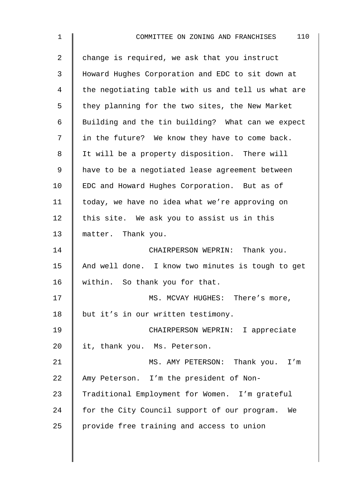| $\mathbf{1}$   | 110<br>COMMITTEE ON ZONING AND FRANCHISES          |
|----------------|----------------------------------------------------|
| $\overline{a}$ | change is required, we ask that you instruct       |
| 3              | Howard Hughes Corporation and EDC to sit down at   |
| 4              | the negotiating table with us and tell us what are |
| 5              | they planning for the two sites, the New Market    |
| 6              | Building and the tin building? What can we expect  |
| 7              | in the future? We know they have to come back.     |
| 8              | It will be a property disposition. There will      |
| 9              | have to be a negotiated lease agreement between    |
| 10             | EDC and Howard Hughes Corporation. But as of       |
| 11             | today, we have no idea what we're approving on     |
| 12             | this site. We ask you to assist us in this         |
| 13             | matter. Thank you.                                 |
| 14             | CHAIRPERSON WEPRIN: Thank you.                     |
| 15             | And well done. I know two minutes is tough to get  |
| 16             | within. So thank you for that.                     |
| 17             | MS. MCVAY HUGHES: There's more,                    |
| 18             | but it's in our written testimony.                 |
| 19             | CHAIRPERSON WEPRIN: I appreciate                   |
| 20             | it, thank you. Ms. Peterson.                       |
| 21             | MS. AMY PETERSON: Thank you. I'm                   |
| 22             | Amy Peterson. I'm the president of Non-            |
| 23             | Traditional Employment for Women. I'm grateful     |
| 24             | for the City Council support of our program.<br>We |
| 25             | provide free training and access to union          |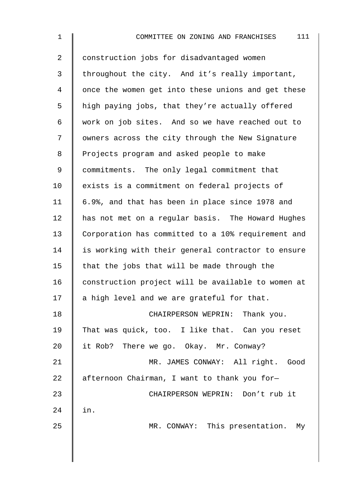| $\mathbf 1$ | 111<br>COMMITTEE ON ZONING AND FRANCHISES          |
|-------------|----------------------------------------------------|
| 2           | construction jobs for disadvantaged women          |
| 3           | throughout the city. And it's really important,    |
| 4           | once the women get into these unions and get these |
| 5           | high paying jobs, that they're actually offered    |
| 6           | work on job sites. And so we have reached out to   |
| 7           | owners across the city through the New Signature   |
| 8           | Projects program and asked people to make          |
| 9           | commitments. The only legal commitment that        |
| 10          | exists is a commitment on federal projects of      |
| 11          | 6.9%, and that has been in place since 1978 and    |
| 12          | has not met on a regular basis. The Howard Hughes  |
| 13          | Corporation has committed to a 10% requirement and |
| 14          | is working with their general contractor to ensure |
| 15          | that the jobs that will be made through the        |
| 16          | construction project will be available to women at |
| 17          | a high level and we are grateful for that.         |
| 18          | CHAIRPERSON WEPRIN: Thank you.                     |
| 19          | That was quick, too. I like that. Can you reset    |
| 20          | it Rob? There we go. Okay. Mr. Conway?             |
| 21          | MR. JAMES CONWAY: All right. Good                  |
| 22          | afternoon Chairman, I want to thank you for-       |
| 23          | CHAIRPERSON WEPRIN: Don't rub it                   |
| 24          | in.                                                |
| 25          | MR. CONWAY: This presentation. My                  |
|             |                                                    |
|             |                                                    |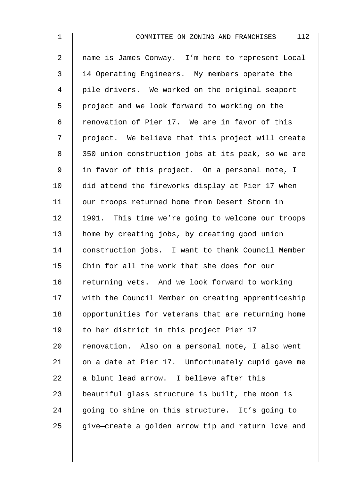2 name is James Conway. I'm here to represent Local 3 | 14 Operating Engineers. My members operate the 4 pile drivers. We worked on the original seaport 5 | project and we look forward to working on the 6  $\parallel$  renovation of Pier 17. We are in favor of this 7 | project. We believe that this project will create 8 | 350 union construction jobs at its peak, so we are 9 | in favor of this project. On a personal note, I 10 did attend the fireworks display at Pier 17 when 11 | our troops returned home from Desert Storm in 12 | 1991. This time we're going to welcome our troops 13 | home by creating jobs, by creating good union 14 construction jobs. I want to thank Council Member 15 | Chin for all the work that she does for our 16 Feturning vets. And we look forward to working 17 | with the Council Member on creating apprenticeship 18 | opportunities for veterans that are returning home 19 | to her district in this project Pier 17 20 Tenovation. Also on a personal note, I also went 21 | on a date at Pier 17. Unfortunately cupid gave me 22  $\parallel$  a blunt lead arrow. I believe after this 23 | beautiful glass structure is built, the moon is 24 going to shine on this structure. It's going to  $25$  give-create a golden arrow tip and return love and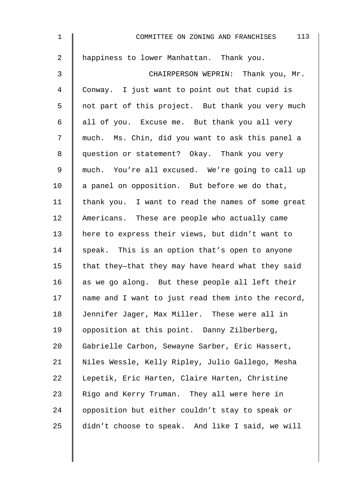| $\mathbf 1$    | 113<br>COMMITTEE ON ZONING AND FRANCHISES          |
|----------------|----------------------------------------------------|
| $\overline{a}$ | happiness to lower Manhattan. Thank you.           |
| 3              | CHAIRPERSON WEPRIN: Thank you, Mr.                 |
| 4              | Conway. I just want to point out that cupid is     |
| 5              | not part of this project. But thank you very much  |
| 6              | all of you. Excuse me. But thank you all very      |
| 7              | much. Ms. Chin, did you want to ask this panel a   |
| 8              | question or statement? Okay. Thank you very        |
| $\mathsf 9$    | much. You're all excused. We're going to call up   |
| 10             | a panel on opposition. But before we do that,      |
| 11             | thank you. I want to read the names of some great  |
| 12             | Americans. These are people who actually came      |
| 13             | here to express their views, but didn't want to    |
| 14             | speak. This is an option that's open to anyone     |
| 15             | that they-that they may have heard what they said  |
| 16             | as we go along. But these people all left their    |
| 17             | name and I want to just read them into the record, |
| 18             | Jennifer Jager, Max Miller. These were all in      |
| 19             | opposition at this point. Danny Zilberberg,        |
| 20             | Gabrielle Carbon, Sewayne Sarber, Eric Hassert,    |
| 21             | Niles Wessle, Kelly Ripley, Julio Gallego, Mesha   |
| 22             | Lepetik, Eric Harten, Claire Harten, Christine     |
| 23             | Rigo and Kerry Truman. They all were here in       |
| 24             | opposition but either couldn't stay to speak or    |
| 25             | didn't choose to speak. And like I said, we will   |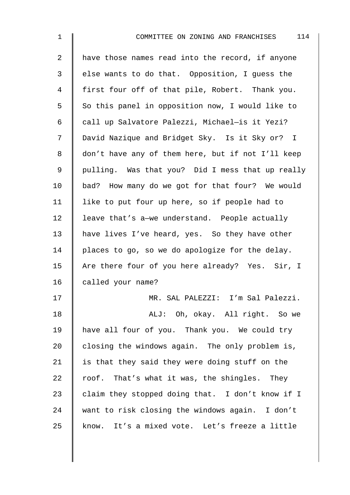| $\overline{2}$ | have those names read into the record, if anyone  |
|----------------|---------------------------------------------------|
| $\mathfrak{Z}$ | else wants to do that. Opposition, I guess the    |
| 4              | first four off of that pile, Robert. Thank you.   |
| 5              | So this panel in opposition now, I would like to  |
| 6              | call up Salvatore Palezzi, Michael-is it Yezi?    |
| 7              | David Nazique and Bridget Sky. Is it Sky or? I    |
| 8              | don't have any of them here, but if not I'll keep |
| 9              | pulling. Was that you? Did I mess that up really  |
| 10             | bad? How many do we got for that four? We would   |
| 11             | like to put four up here, so if people had to     |
| 12             | leave that's a-we understand. People actually     |
| 13             | have lives I've heard, yes. So they have other    |
| 14             | places to go, so we do apologize for the delay.   |
| 15             | Are there four of you here already? Yes. Sir, I   |
| 16             | called your name?                                 |
| 17             | MR. SAL PALEZZI: I'm Sal Palezzi.                 |
| 18             | ALJ: Oh, okay. All right. So we                   |
| 19             | have all four of you. Thank you. We could try     |
| 20             | closing the windows again. The only problem is,   |
| 21             | is that they said they were doing stuff on the    |
| 22             | roof. That's what it was, the shingles. They      |
| 23             | claim they stopped doing that. I don't know if I  |
| 24             | want to risk closing the windows again. I don't   |

25 know. It's a mixed vote. Let's freeze a little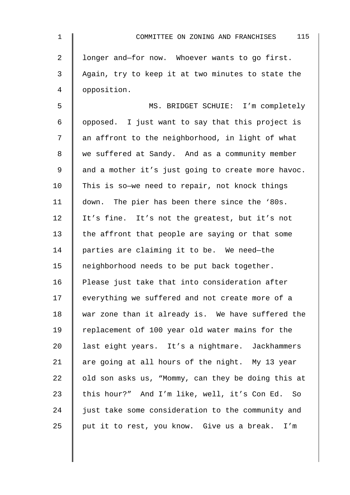| $\mathbf 1$    | 115<br>COMMITTEE ON ZONING AND FRANCHISES          |
|----------------|----------------------------------------------------|
| $\overline{a}$ | longer and-for now. Whoever wants to go first.     |
| 3              | Again, try to keep it at two minutes to state the  |
| 4              | opposition.                                        |
| 5              | MS. BRIDGET SCHUIE: I'm completely                 |
| 6              | opposed. I just want to say that this project is   |
| 7              | an affront to the neighborhood, in light of what   |
| 8              | we suffered at Sandy. And as a community member    |
| $\mathsf 9$    | and a mother it's just going to create more havoc. |
| 10             | This is so-we need to repair, not knock things     |
| 11             | down. The pier has been there since the '80s.      |
| 12             | It's fine. It's not the greatest, but it's not     |
| 13             | the affront that people are saying or that some    |
| 14             | parties are claiming it to be. We need-the         |
| 15             | neighborhood needs to be put back together.        |
| 16             | Please just take that into consideration after     |
| 17             | everything we suffered and not create more of a    |
| 18             | war zone than it already is. We have suffered the  |
| 19             | replacement of 100 year old water mains for the    |
| 20             | last eight years. It's a nightmare. Jackhammers    |
| 21             | are going at all hours of the night. My 13 year    |
| 22             | old son asks us, "Mommy, can they be doing this at |
| 23             | this hour?" And I'm like, well, it's Con Ed. So    |
| 24             | just take some consideration to the community and  |
| 25             | put it to rest, you know. Give us a break.<br>I'm  |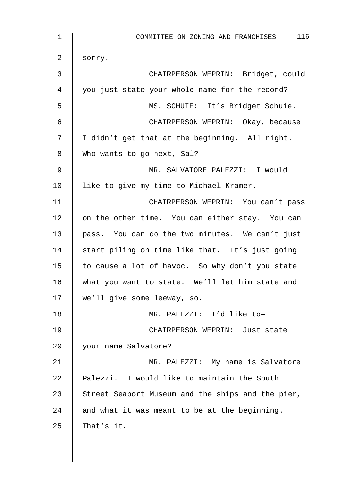| 1                | 116<br>COMMITTEE ON ZONING AND FRANCHISES         |
|------------------|---------------------------------------------------|
| 2                | sorry.                                            |
| 3                | CHAIRPERSON WEPRIN: Bridget, could                |
| $\overline{4}$   | you just state your whole name for the record?    |
| 5                | MS. SCHUIE: It's Bridget Schuie.                  |
| 6                | CHAIRPERSON WEPRIN: Okay, because                 |
| $\boldsymbol{7}$ | I didn't get that at the beginning. All right.    |
| 8                | Who wants to go next, Sal?                        |
| 9                | MR. SALVATORE PALEZZI: I would                    |
| 10               | like to give my time to Michael Kramer.           |
| 11               | CHAIRPERSON WEPRIN: You can't pass                |
| 12               | on the other time. You can either stay. You can   |
| 13               | pass. You can do the two minutes. We can't just   |
| 14               | start piling on time like that. It's just going   |
| 15               | to cause a lot of havoc. So why don't you state   |
| 16               | what you want to state. We'll let him state and   |
| 17               | we'll give some leeway, so.                       |
| 18               | MR. PALEZZI: I'd like to-                         |
| 19               | CHAIRPERSON WEPRIN: Just state                    |
| 20               | your name Salvatore?                              |
| 21               | MR. PALEZZI: My name is Salvatore                 |
| 22               | Palezzi. I would like to maintain the South       |
| 23               | Street Seaport Museum and the ships and the pier, |
| 24               | and what it was meant to be at the beginning.     |
| 25               | That's it.                                        |
|                  |                                                   |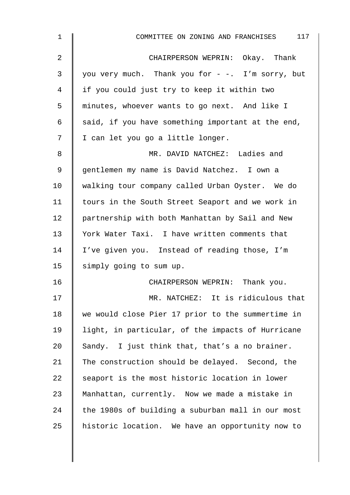| $\mathbf 1$    | 117<br>COMMITTEE ON ZONING AND FRANCHISES         |
|----------------|---------------------------------------------------|
| $\overline{2}$ | CHAIRPERSON WEPRIN: Okay. Thank                   |
| 3              | you very much. Thank you for - -. I'm sorry, but  |
| 4              | if you could just try to keep it within two       |
| 5              | minutes, whoever wants to go next. And like I     |
| 6              | said, if you have something important at the end, |
| 7              | I can let you go a little longer.                 |
| 8              | MR. DAVID NATCHEZ: Ladies and                     |
| $\mathsf 9$    | gentlemen my name is David Natchez. I own a       |
| 10             | walking tour company called Urban Oyster. We do   |
| 11             | tours in the South Street Seaport and we work in  |
| 12             | partnership with both Manhattan by Sail and New   |
| 13             | York Water Taxi. I have written comments that     |
| 14             | I've given you. Instead of reading those, I'm     |
| 15             | simply going to sum up.                           |
| 16             | CHAIRPERSON WEPRIN: Thank you.                    |
| 17             | MR. NATCHEZ: It is ridiculous that                |
| 18             | we would close Pier 17 prior to the summertime in |
| 19             | light, in particular, of the impacts of Hurricane |
| 20             | Sandy. I just think that, that's a no brainer.    |
| 21             | The construction should be delayed. Second, the   |
| 22             | seaport is the most historic location in lower    |
| 23             | Manhattan, currently. Now we made a mistake in    |
| 24             | the 1980s of building a suburban mall in our most |
| 25             | historic location. We have an opportunity now to  |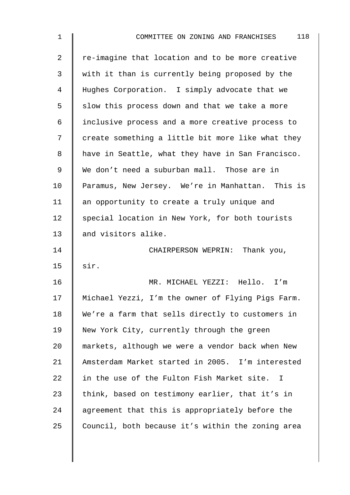| 1               | 118<br>COMMITTEE ON ZONING AND FRANCHISES         |
|-----------------|---------------------------------------------------|
| 2               | re-imagine that location and to be more creative  |
| 3               | with it than is currently being proposed by the   |
| 4               | Hughes Corporation. I simply advocate that we     |
| 5               | slow this process down and that we take a more    |
| 6               | inclusive process and a more creative process to  |
| 7               | create something a little bit more like what they |
| 8               | have in Seattle, what they have in San Francisco. |
| 9               | We don't need a suburban mall. Those are in       |
| 10              | Paramus, New Jersey. We're in Manhattan. This is  |
| 11              | an opportunity to create a truly unique and       |
| 12 <sub>1</sub> | special location in New York, for both tourists   |
| 13              | and visitors alike.                               |
| 14              | CHAIRPERSON WEPRIN: Thank you,                    |
| 15              | sir.                                              |
| 16              | MR. MICHAEL YEZZI: Hello. I'm                     |
| 17              | Michael Yezzi, I'm the owner of Flying Pigs Farm. |
| 18              | We're a farm that sells directly to customers in  |
| 19              | New York City, currently through the green        |
| 20              | markets, although we were a vendor back when New  |
| 21              | Amsterdam Market started in 2005. I'm interested  |
| 22              | in the use of the Fulton Fish Market site. I      |
| 23              | think, based on testimony earlier, that it's in   |
| 24              | agreement that this is appropriately before the   |
| 25              | Council, both because it's within the zoning area |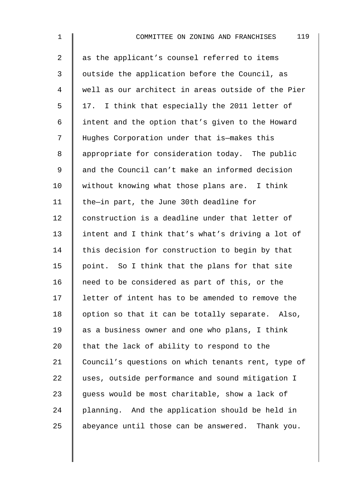| $\mathbf 1$ | 119<br>COMMITTEE ON ZONING AND FRANCHISES          |
|-------------|----------------------------------------------------|
| 2           | as the applicant's counsel referred to items       |
| 3           | outside the application before the Council, as     |
| 4           | well as our architect in areas outside of the Pier |
| 5           | 17. I think that especially the 2011 letter of     |
| 6           | intent and the option that's given to the Howard   |
| 7           | Hughes Corporation under that is-makes this        |
| 8           | appropriate for consideration today. The public    |
| 9           | and the Council can't make an informed decision    |
| 10          | without knowing what those plans are. I think      |
| 11          | the-in part, the June 30th deadline for            |
| 12          | construction is a deadline under that letter of    |
| 13          | intent and I think that's what's driving a lot of  |
| 14          | this decision for construction to begin by that    |
| 15          | point. So I think that the plans for that site     |
| 16          | need to be considered as part of this, or the      |
| 17          | letter of intent has to be amended to remove the   |
| 18          | option so that it can be totally separate. Also,   |
| 19          | as a business owner and one who plans, I think     |
| 20          | that the lack of ability to respond to the         |
| 21          | Council's questions on which tenants rent, type of |
| 22          | uses, outside performance and sound mitigation I   |
| 23          | guess would be most charitable, show a lack of     |
| 24          | planning. And the application should be held in    |
| 25          | abeyance until those can be answered. Thank you.   |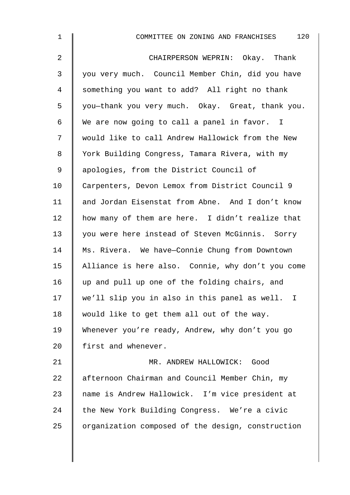| $\mathbf 1$    | 120<br>COMMITTEE ON ZONING AND FRANCHISES         |
|----------------|---------------------------------------------------|
| $\overline{2}$ | CHAIRPERSON WEPRIN: Okay. Thank                   |
| 3              | you very much. Council Member Chin, did you have  |
| 4              | something you want to add? All right no thank     |
| 5              | you-thank you very much. Okay. Great, thank you.  |
| 6              | We are now going to call a panel in favor. I      |
| 7              | would like to call Andrew Hallowick from the New  |
| 8              | York Building Congress, Tamara Rivera, with my    |
| $\mathsf 9$    | apologies, from the District Council of           |
| 10             | Carpenters, Devon Lemox from District Council 9   |
| 11             | and Jordan Eisenstat from Abne. And I don't know  |
| 12             | how many of them are here. I didn't realize that  |
| 13             | you were here instead of Steven McGinnis. Sorry   |
| 14             | Ms. Rivera. We have-Connie Chung from Downtown    |
| 15             | Alliance is here also. Connie, why don't you come |
| 16             | up and pull up one of the folding chairs, and     |
| 17             | we'll slip you in also in this panel as well. I   |
| 18             | would like to get them all out of the way.        |
| 19             | Whenever you're ready, Andrew, why don't you go   |
| 20             | first and whenever.                               |
| 21             | MR. ANDREW HALLOWICK: Good                        |
| 22             | afternoon Chairman and Council Member Chin, my    |
| 23             | name is Andrew Hallowick. I'm vice president at   |
| 24             | the New York Building Congress. We're a civic     |
| 25             | organization composed of the design, construction |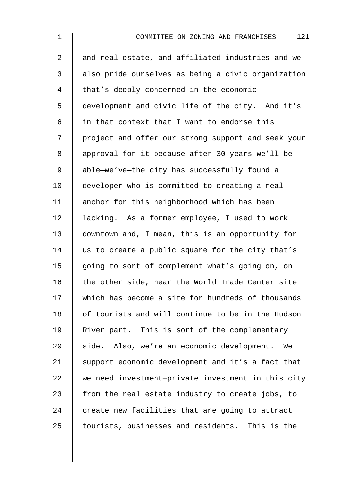2 || and real estate, and affiliated industries and we 3 | also pride ourselves as being a civic organization 4 that's deeply concerned in the economic 5 development and civic life of the city. And it's 6  $\parallel$  in that context that I want to endorse this 7 project and offer our strong support and seek your 8 | approval for it because after 30 years we'll be 9 | able-we've-the city has successfully found a 10 developer who is committed to creating a real 11 | anchor for this neighborhood which has been 12 | lacking. As a former employee, I used to work 13 downtown and, I mean, this is an opportunity for 14  $\parallel$  us to create a public square for the city that's 15 | going to sort of complement what's going on, on 16 the other side, near the World Trade Center site 17 Which has become a site for hundreds of thousands 18 | of tourists and will continue to be in the Hudson 19 | River part. This is sort of the complementary 20 side. Also, we're an economic development. We 21 Support economic development and it's a fact that  $22$  we need investment-private investment in this city 23  $\parallel$  from the real estate industry to create jobs, to  $24$   $\parallel$  create new facilities that are going to attract  $25$  tourists, businesses and residents. This is the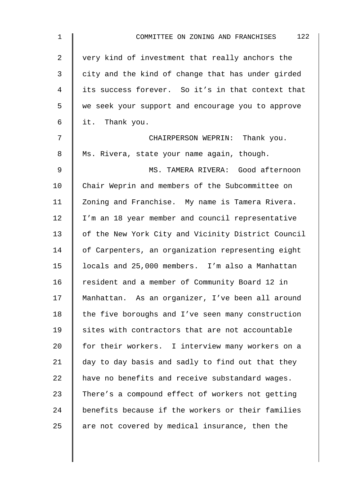| $\mathbf 1$    | 122<br>COMMITTEE ON ZONING AND FRANCHISES          |
|----------------|----------------------------------------------------|
| $\overline{2}$ | very kind of investment that really anchors the    |
| 3              | city and the kind of change that has under girded  |
| 4              | its success forever. So it's in that context that  |
| 5              | we seek your support and encourage you to approve  |
| 6              | it. Thank you.                                     |
| 7              | CHAIRPERSON WEPRIN: Thank you.                     |
| 8              | Ms. Rivera, state your name again, though.         |
| 9              | MS. TAMERA RIVERA: Good afternoon                  |
| 10             | Chair Weprin and members of the Subcommittee on    |
| 11             | Zoning and Franchise. My name is Tamera Rivera.    |
| 12             | I'm an 18 year member and council representative   |
| 13             | of the New York City and Vicinity District Council |
| 14             | of Carpenters, an organization representing eight  |
| 15             | locals and 25,000 members. I'm also a Manhattan    |
| 16             | resident and a member of Community Board 12 in     |
| 17             | Manhattan. As an organizer, I've been all around   |
| 18             | the five boroughs and I've seen many construction  |
| 19             | sites with contractors that are not accountable    |
| 20             | for their workers. I interview many workers on a   |
| 21             | day to day basis and sadly to find out that they   |
| 22             | have no benefits and receive substandard wages.    |
| 23             | There's a compound effect of workers not getting   |
| 24             | benefits because if the workers or their families  |
| 25             | are not covered by medical insurance, then the     |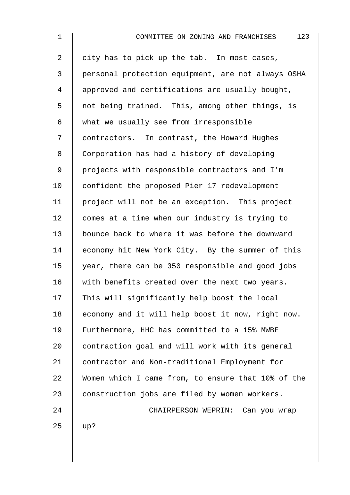| $\mathbf 1$    | 123<br>COMMITTEE ON ZONING AND FRANCHISES          |
|----------------|----------------------------------------------------|
| $\overline{2}$ | city has to pick up the tab. In most cases,        |
| $\mathsf{3}$   | personal protection equipment, are not always OSHA |
| 4              | approved and certifications are usually bought,    |
| 5              | not being trained. This, among other things, is    |
| 6              | what we usually see from irresponsible             |
| 7              | contractors. In contrast, the Howard Hughes        |
| 8              | Corporation has had a history of developing        |
| 9              | projects with responsible contractors and I'm      |
| 10             | confident the proposed Pier 17 redevelopment       |
| 11             | project will not be an exception. This project     |
| 12             | comes at a time when our industry is trying to     |
| 13             | bounce back to where it was before the downward    |
| 14             | economy hit New York City. By the summer of this   |
| 15             | year, there can be 350 responsible and good jobs   |
| 16             | with benefits created over the next two years.     |
| 17             | This will significantly help boost the local       |
| 18             | economy and it will help boost it now, right now.  |
| 19             | Furthermore, HHC has committed to a 15% MWBE       |
| 20             | contraction goal and will work with its general    |
| 21             | contractor and Non-traditional Employment for      |
| 22             | Women which I came from, to ensure that 10% of the |
| 23             | construction jobs are filed by women workers.      |
| 24             | CHAIRPERSON WEPRIN: Can you wrap                   |
| 25             | up?                                                |
|                |                                                    |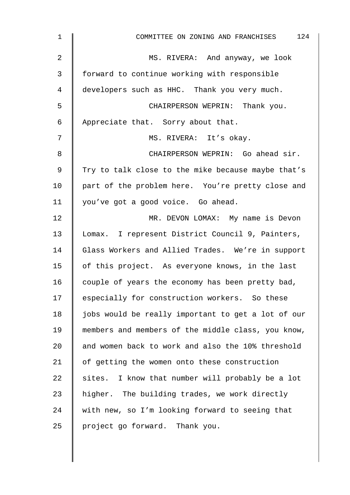| $\mathbf 1$    | 124<br>COMMITTEE ON ZONING AND FRANCHISES          |
|----------------|----------------------------------------------------|
| $\overline{2}$ | MS. RIVERA: And anyway, we look                    |
| 3              | forward to continue working with responsible       |
| 4              | developers such as HHC. Thank you very much.       |
| 5              | CHAIRPERSON WEPRIN: Thank you.                     |
| 6              | Appreciate that. Sorry about that.                 |
| 7              | MS. RIVERA: It's okay.                             |
| 8              | CHAIRPERSON WEPRIN: Go ahead sir.                  |
| 9              | Try to talk close to the mike because maybe that's |
| 10             | part of the problem here. You're pretty close and  |
| 11             | you've got a good voice. Go ahead.                 |
| 12             | MR. DEVON LOMAX: My name is Devon                  |
| 13             | Lomax. I represent District Council 9, Painters,   |
| 14             | Glass Workers and Allied Trades. We're in support  |
| 15             | of this project. As everyone knows, in the last    |
| 16             | couple of years the economy has been pretty bad,   |
| 17             | especially for construction workers. So these      |
| 18             | jobs would be really important to get a lot of our |
| 19             | members and members of the middle class, you know, |
| 20             | and women back to work and also the 10% threshold  |
| 21             | of getting the women onto these construction       |
| 22             | sites. I know that number will probably be a lot   |
| 23             | higher. The building trades, we work directly      |
| 24             | with new, so I'm looking forward to seeing that    |
| 25             | project go forward. Thank you.                     |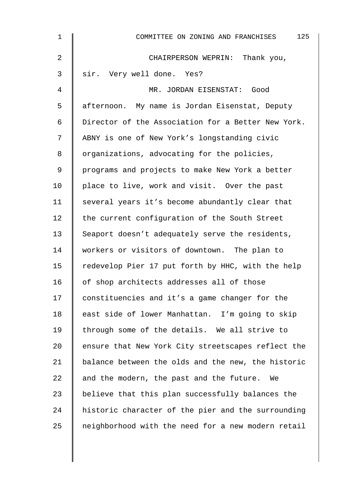| 1  | 125<br>COMMITTEE ON ZONING AND FRANCHISES          |
|----|----------------------------------------------------|
| 2  | CHAIRPERSON WEPRIN: Thank you,                     |
| 3  | sir. Very well done. Yes?                          |
| 4  | MR. JORDAN EISENSTAT: Good                         |
| 5  | afternoon. My name is Jordan Eisenstat, Deputy     |
| 6  | Director of the Association for a Better New York. |
| 7  | ABNY is one of New York's longstanding civic       |
| 8  | organizations, advocating for the policies,        |
| 9  | programs and projects to make New York a better    |
| 10 | place to live, work and visit. Over the past       |
| 11 | several years it's become abundantly clear that    |
| 12 | the current configuration of the South Street      |
| 13 | Seaport doesn't adequately serve the residents,    |
| 14 | workers or visitors of downtown. The plan to       |
| 15 | redevelop Pier 17 put forth by HHC, with the help  |
| 16 | of shop architects addresses all of those          |
| 17 | constituencies and it's a game changer for the     |
| 18 | east side of lower Manhattan. I'm going to skip    |
| 19 | through some of the details. We all strive to      |
| 20 | ensure that New York City streetscapes reflect the |
| 21 | balance between the olds and the new, the historic |
| 22 | and the modern, the past and the future. We        |
| 23 | believe that this plan successfully balances the   |
| 24 | historic character of the pier and the surrounding |
| 25 | neighborhood with the need for a new modern retail |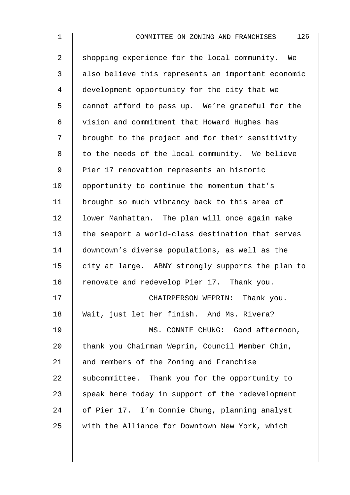2 Shopping experience for the local community. We 3 | also believe this represents an important economic 4 development opportunity for the city that we 5 cannot afford to pass up. We're grateful for the 6 vision and commitment that Howard Hughes has 7 | brought to the project and for their sensitivity 8 | to the needs of the local community. We believe 9 | Pier 17 renovation represents an historic 10 | opportunity to continue the momentum that's 11 | brought so much vibrancy back to this area of 12 | lower Manhattan. The plan will once again make 13 the seaport a world-class destination that serves 14 downtown's diverse populations, as well as the 15  $\parallel$  city at large. ABNY strongly supports the plan to 16 Tenovate and redevelop Pier 17. Thank you. 17 **CHAIRPERSON WEPRIN:** Thank you. 18 Wait, just let her finish. And Ms. Rivera? 19 || MS. CONNIE CHUNG: Good afternoon, 20 thank you Chairman Weprin, Council Member Chin, 21 and members of the Zoning and Franchise 22 Subcommittee. Thank you for the opportunity to  $23$  speak here today in support of the redevelopment 24 | of Pier 17. I'm Connie Chung, planning analyst 25 Weith the Alliance for Downtown New York, which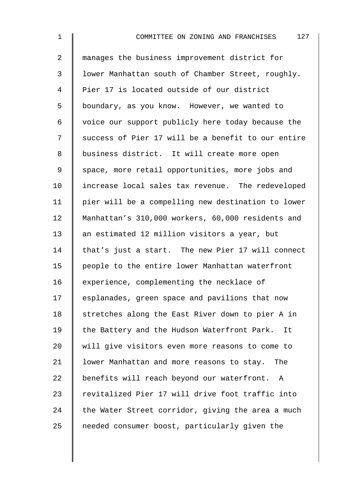| $\overline{a}$ | manages the business improvement district for      |
|----------------|----------------------------------------------------|
| $\mathfrak{Z}$ | lower Manhattan south of Chamber Street, roughly.  |
| $\overline{4}$ | Pier 17 is located outside of our district         |
| 5              | boundary, as you know. However, we wanted to       |
| 6              | voice our support publicly here today because the  |
| 7              | success of Pier 17 will be a benefit to our entire |
| $\,8\,$        | business district. It will create more open        |
| 9              | space, more retail opportunities, more jobs and    |
| 10             | increase local sales tax revenue. The redeveloped  |
| 11             | pier will be a compelling new destination to lower |
| 12             | Manhattan's 310,000 workers, 60,000 residents and  |
| 13             | an estimated 12 million visitors a year, but       |
| 14             | that's just a start. The new Pier 17 will connect  |
| 15             | people to the entire lower Manhattan waterfront    |
| 16             | experience, complementing the necklace of          |
| 17             | esplanades, green space and pavilions that now     |
| 18             | stretches along the East River down to pier A in   |
| 19             | the Battery and the Hudson Waterfront Park.<br>It  |
| 20             | will give visitors even more reasons to come to    |
| 21             | lower Manhattan and more reasons to stay. The      |
| 22             | benefits will reach beyond our waterfront. A       |
| 23             | revitalized Pier 17 will drive foot traffic into   |
| 24             | the Water Street corridor, giving the area a much  |
| 25             | needed consumer boost, particularly given the      |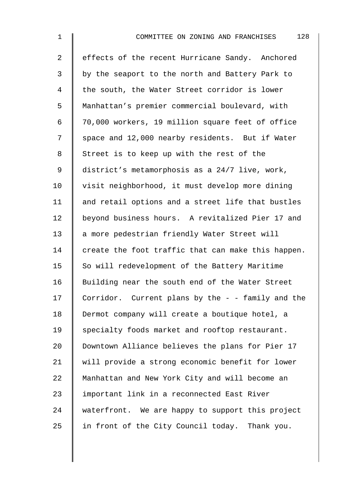2 effects of the recent Hurricane Sandy. Anchored 3 by the seaport to the north and Battery Park to 4 | the south, the Water Street corridor is lower 5 Manhattan's premier commercial boulevard, with 6 70,000 workers, 19 million square feet of office 7 Space and 12,000 nearby residents. But if Water 8 Street is to keep up with the rest of the 9 district's metamorphosis as a 24/7 live, work, 10 | visit neighborhood, it must develop more dining  $11$  and retail options and a street life that bustles 12 beyond business hours. A revitalized Pier 17 and 13 a more pedestrian friendly Water Street will 14  $\parallel$  create the foot traffic that can make this happen. 15  $\parallel$  So will redevelopment of the Battery Maritime 16 Building near the south end of the Water Street 17 Corridor. Current plans by the  $-$  - family and the 18 | Dermot company will create a boutique hotel, a 19 Specialty foods market and rooftop restaurant. 20 Downtown Alliance believes the plans for Pier 17 21 will provide a strong economic benefit for lower 22 | Manhattan and New York City and will become an 23 | important link in a reconnected East River 24 waterfront. We are happy to support this project 25  $\parallel$  in front of the City Council today. Thank you.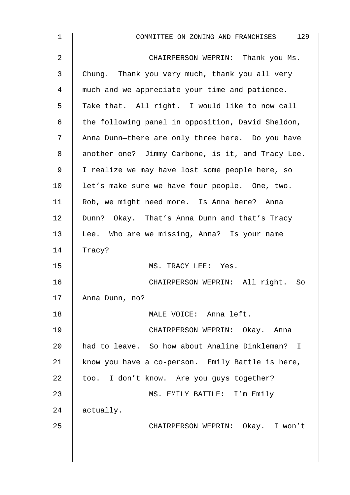| 1  | COMMITTEE ON ZONING AND FRANCHISES 129            |
|----|---------------------------------------------------|
| 2  | CHAIRPERSON WEPRIN: Thank you Ms.                 |
| 3  | Chung. Thank you very much, thank you all very    |
| 4  | much and we appreciate your time and patience.    |
| 5  | Take that. All right. I would like to now call    |
| 6  | the following panel in opposition, David Sheldon, |
| 7  | Anna Dunn-there are only three here. Do you have  |
| 8  | another one? Jimmy Carbone, is it, and Tracy Lee. |
| 9  | I realize we may have lost some people here, so   |
| 10 | let's make sure we have four people. One, two.    |
| 11 | Rob, we might need more. Is Anna here? Anna       |
| 12 | Dunn? Okay. That's Anna Dunn and that's Tracy     |
| 13 | Lee. Who are we missing, Anna? Is your name       |
| 14 | Tracy?                                            |
| 15 | MS. TRACY LEE: Yes.                               |
| 16 | CHAIRPERSON WEPRIN: All right. So                 |
| 17 | Anna Dunn, no?                                    |
| 18 | MALE VOICE: Anna left.                            |
| 19 | CHAIRPERSON WEPRIN: Okay. Anna                    |
| 20 | had to leave. So how about Analine Dinkleman? I   |
| 21 | know you have a co-person. Emily Battle is here,  |
| 22 | too. I don't know. Are you guys together?         |
| 23 | MS. EMILY BATTLE: I'm Emily                       |
| 24 | actually.                                         |
| 25 | CHAIRPERSON WEPRIN: Okay. I won't                 |
|    |                                                   |
|    |                                                   |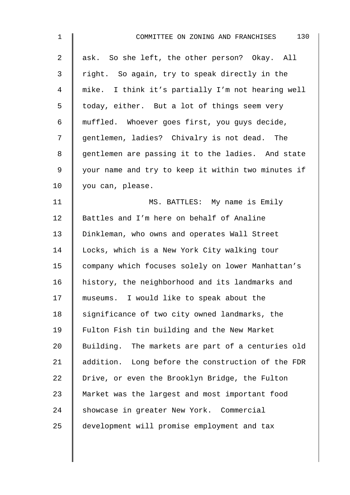| 1  | 130<br>COMMITTEE ON ZONING AND FRANCHISES          |
|----|----------------------------------------------------|
| 2  | ask. So she left, the other person? Okay. All      |
| 3  | right. So again, try to speak directly in the      |
| 4  | mike. I think it's partially I'm not hearing well  |
| 5  | today, either. But a lot of things seem very       |
| 6  | muffled. Whoever goes first, you guys decide,      |
| 7  | gentlemen, ladies? Chivalry is not dead. The       |
| 8  | gentlemen are passing it to the ladies. And state  |
| 9  | your name and try to keep it within two minutes if |
| 10 | you can, please.                                   |
| 11 | MS. BATTLES: My name is Emily                      |
| 12 | Battles and I'm here on behalf of Analine          |
| 13 | Dinkleman, who owns and operates Wall Street       |
| 14 | Locks, which is a New York City walking tour       |
| 15 | company which focuses solely on lower Manhattan's  |
| 16 | history, the neighborhood and its landmarks and    |
| 17 | museums. I would like to speak about the           |
| 18 | significance of two city owned landmarks, the      |
| 19 | Fulton Fish tin building and the New Market        |
| 20 | Building. The markets are part of a centuries old  |
| 21 | addition. Long before the construction of the FDR  |
| 22 | Drive, or even the Brooklyn Bridge, the Fulton     |
| 23 | Market was the largest and most important food     |
| 24 | showcase in greater New York. Commercial           |
| 25 | development will promise employment and tax        |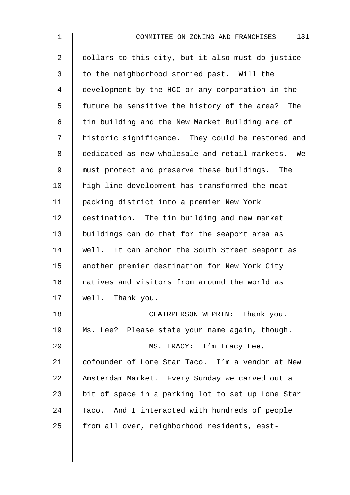| $\mathbf 1$    | 131<br>COMMITTEE ON ZONING AND FRANCHISES           |
|----------------|-----------------------------------------------------|
| $\overline{2}$ | dollars to this city, but it also must do justice   |
| 3              | to the neighborhood storied past. Will the          |
| 4              | development by the HCC or any corporation in the    |
| 5              | future be sensitive the history of the area?<br>The |
| 6              | tin building and the New Market Building are of     |
| 7              | historic significance. They could be restored and   |
| 8              | dedicated as new wholesale and retail markets. We   |
| 9              | must protect and preserve these buildings. The      |
| 10             | high line development has transformed the meat      |
| 11             | packing district into a premier New York            |
| 12             | destination. The tin building and new market        |
| 13             | buildings can do that for the seaport area as       |
| 14             | well. It can anchor the South Street Seaport as     |
| 15             | another premier destination for New York City       |
| 16             | natives and visitors from around the world as       |
| 17             | well. Thank you.                                    |
| 18             | CHAIRPERSON WEPRIN: Thank you.                      |
| 19             | Ms. Lee? Please state your name again, though.      |
| 20             | MS. TRACY: I'm Tracy Lee,                           |
| 21             | cofounder of Lone Star Taco. I'm a vendor at New    |
| 22             | Amsterdam Market. Every Sunday we carved out a      |
| 23             | bit of space in a parking lot to set up Lone Star   |
| 24             | Taco. And I interacted with hundreds of people      |
| 25             | from all over, neighborhood residents, east-        |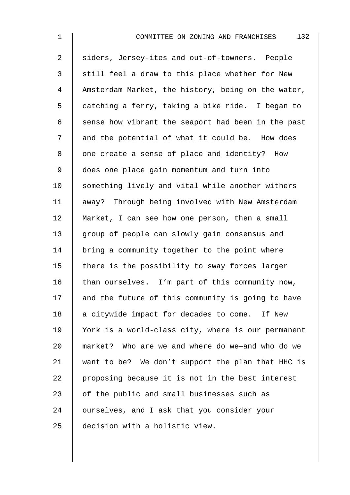| $\mathbf 1$ | 132<br>COMMITTEE ON ZONING AND FRANCHISES          |
|-------------|----------------------------------------------------|
| 2           | siders, Jersey-ites and out-of-towners. People     |
| 3           | still feel a draw to this place whether for New    |
| 4           | Amsterdam Market, the history, being on the water, |
| 5           | catching a ferry, taking a bike ride. I began to   |
| 6           | sense how vibrant the seaport had been in the past |
| 7           | and the potential of what it could be. How does    |
| 8           | one create a sense of place and identity? How      |
| 9           | does one place gain momentum and turn into         |
| 10          | something lively and vital while another withers   |
| 11          | away? Through being involved with New Amsterdam    |
| 12          | Market, I can see how one person, then a small     |
| 13          | group of people can slowly gain consensus and      |
| 14          | bring a community together to the point where      |
| 15          | there is the possibility to sway forces larger     |
| 16          | than ourselves. I'm part of this community now,    |
| 17          | and the future of this community is going to have  |
| 18          | a citywide impact for decades to come. If New      |
| 19          | York is a world-class city, where is our permanent |
| 20          | market? Who are we and where do we-and who do we   |
| 21          | want to be? We don't support the plan that HHC is  |
| 22          | proposing because it is not in the best interest   |
| 23          | of the public and small businesses such as         |
| 24          | ourselves, and I ask that you consider your        |
| 25          | decision with a holistic view.                     |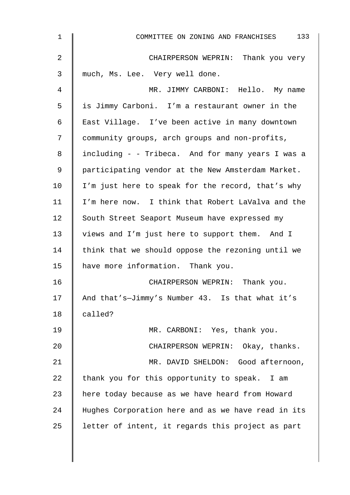| 1              | COMMITTEE ON ZONING AND FRANCHISES 133             |
|----------------|----------------------------------------------------|
| $\overline{2}$ | CHAIRPERSON WEPRIN: Thank you very                 |
| 3              | much, Ms. Lee. Very well done.                     |
| 4              | MR. JIMMY CARBONI: Hello. My name                  |
| 5              | is Jimmy Carboni. I'm a restaurant owner in the    |
| 6              | East Village. I've been active in many downtown    |
| 7              | community groups, arch groups and non-profits,     |
| 8              | including - - Tribeca. And for many years I was a  |
| 9              | participating vendor at the New Amsterdam Market.  |
| 10             | I'm just here to speak for the record, that's why  |
| 11             | I'm here now. I think that Robert LaValva and the  |
| 12             | South Street Seaport Museum have expressed my      |
| 13             | views and I'm just here to support them. And I     |
| 14             | think that we should oppose the rezoning until we  |
| 15             | have more information. Thank you.                  |
| 16             | CHAIRPERSON WEPRIN: Thank you.                     |
| 17             | And that's-Jimmy's Number 43. Is that what it's    |
| 18             | called?                                            |
| 19             | MR. CARBONI: Yes, thank you.                       |
| 20             | CHAIRPERSON WEPRIN: Okay, thanks.                  |
| 21             | MR. DAVID SHELDON: Good afternoon,                 |
| 22             | thank you for this opportunity to speak. I am      |
| 23             | here today because as we have heard from Howard    |
| 24             | Hughes Corporation here and as we have read in its |
| 25             | letter of intent, it regards this project as part  |
|                |                                                    |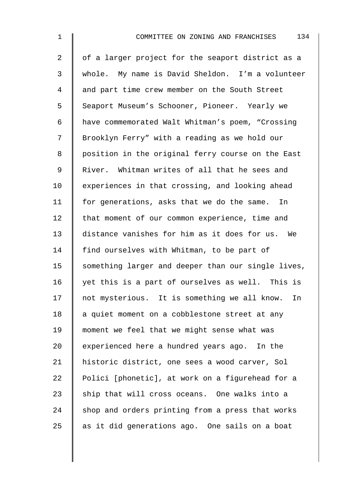| $\mathbf 1$ | 134<br>COMMITTEE ON ZONING AND FRANCHISES          |
|-------------|----------------------------------------------------|
| 2           | of a larger project for the seaport district as a  |
| 3           | whole. My name is David Sheldon. I'm a volunteer   |
| 4           | and part time crew member on the South Street      |
| 5           | Seaport Museum's Schooner, Pioneer. Yearly we      |
| 6           | have commemorated Walt Whitman's poem, "Crossing   |
| 7           | Brooklyn Ferry" with a reading as we hold our      |
| 8           | position in the original ferry course on the East  |
| $\mathsf 9$ | River. Whitman writes of all that he sees and      |
| 10          | experiences in that crossing, and looking ahead    |
| 11          | for generations, asks that we do the same.<br>In   |
| 12          | that moment of our common experience, time and     |
| 13          | distance vanishes for him as it does for us. We    |
| 14          | find ourselves with Whitman, to be part of         |
| 15          | something larger and deeper than our single lives, |
| 16          | yet this is a part of ourselves as well. This is   |
| 17          | not mysterious. It is something we all know.<br>In |

18  $\parallel$  a quiet moment on a cobblestone street at any 19 | moment we feel that we might sense what was 20  $\parallel$  experienced here a hundred years ago. In the 21 | historic district, one sees a wood carver, Sol 22 | Polici [phonetic], at work on a figurehead for a 23  $\parallel$  ship that will cross oceans. One walks into a 24 shop and orders printing from a press that works 25  $\parallel$  as it did generations ago. One sails on a boat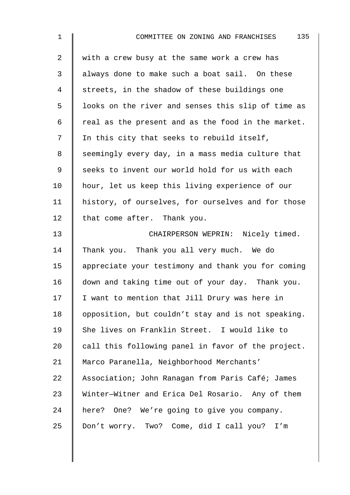| 1              | 135<br>COMMITTEE ON ZONING AND FRANCHISES          |
|----------------|----------------------------------------------------|
| $\overline{2}$ | with a crew busy at the same work a crew has       |
| 3              | always done to make such a boat sail. On these     |
| 4              | streets, in the shadow of these buildings one      |
| 5              | looks on the river and senses this slip of time as |
| 6              | real as the present and as the food in the market. |
| 7              | In this city that seeks to rebuild itself,         |
| 8              | seemingly every day, in a mass media culture that  |
| 9              | seeks to invent our world hold for us with each    |
| 10             | hour, let us keep this living experience of our    |
| 11             | history, of ourselves, for ourselves and for those |
| 12             | that come after. Thank you.                        |
| 13             | CHAIRPERSON WEPRIN: Nicely timed.                  |
| 14             | Thank you. Thank you all very much. We do          |
| 15             | appreciate your testimony and thank you for coming |
| 16             | down and taking time out of your day. Thank you.   |
| 17             | I want to mention that Jill Drury was here in      |
| 18             | opposition, but couldn't stay and is not speaking. |
| 19             | She lives on Franklin Street. I would like to      |
| 20             | call this following panel in favor of the project. |
| 21             | Marco Paranella, Neighborhood Merchants'           |
| 22             | Association; John Ranagan from Paris Café; James   |
| 23             | Winter-Witner and Erica Del Rosario. Any of them   |
| 24             | here? One? We're going to give you company.        |
| 25             | Don't worry. Two? Come, did I call you? I'm        |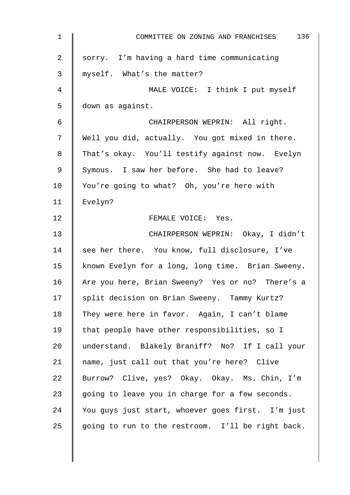| $\mathbf{1}$    | 136<br>COMMITTEE ON ZONING AND FRANCHISES         |
|-----------------|---------------------------------------------------|
| $\overline{2}$  | sorry. I'm having a hard time communicating       |
| 3               | myself. What's the matter?                        |
| 4               | MALE VOICE: I think I put myself                  |
| 5               | down as against.                                  |
| 6               | CHAIRPERSON WEPRIN: All right.                    |
| 7               | Well you did, actually. You got mixed in there.   |
| 8               | That's okay. You'll testify against now. Evelyn   |
| $\mathsf 9$     | Symous. I saw her before. She had to leave?       |
| 10 <sub>1</sub> | You're going to what? Oh, you're here with        |
| 11              | Evelyn?                                           |
| 12              | FEMALE VOICE: Yes.                                |
| 13              | CHAIRPERSON WEPRIN: Okay, I didn't                |
| 14              | see her there. You know, full disclosure, I've    |
| 15              | known Evelyn for a long, long time. Brian Sweeny. |
| 16              | Are you here, Brian Sweeny? Yes or no? There's a  |
| 17              | split decision on Brian Sweeny. Tammy Kurtz?      |
| 18              | They were here in favor. Again, I can't blame     |
| 19              | that people have other responsibilities, so I     |
| 20              | understand. Blakely Braniff? No? If I call your   |
| 21              | name, just call out that you're here? Clive       |
| 22              | Burrow? Clive, yes? Okay. Okay. Ms. Chin, I'm     |
| 23              | going to leave you in charge for a few seconds.   |
| 24              | You guys just start, whoever goes first. I'm just |
| 25              | going to run to the restroom. I'll be right back. |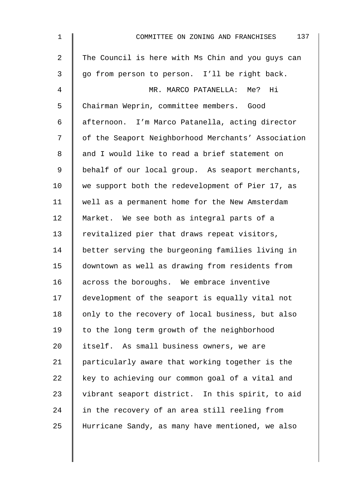| $\mathbf 1$    | 137<br>COMMITTEE ON ZONING AND FRANCHISES          |
|----------------|----------------------------------------------------|
| $\overline{a}$ | The Council is here with Ms Chin and you guys can  |
| 3              | go from person to person. I'll be right back.      |
| 4              | MR. MARCO PATANELLA: Me? Hi                        |
| 5              | Chairman Weprin, committee members. Good           |
| 6              | afternoon. I'm Marco Patanella, acting director    |
| 7              | of the Seaport Neighborhood Merchants' Association |
| 8              | and I would like to read a brief statement on      |
| 9              | behalf of our local group. As seaport merchants,   |
| 10             | we support both the redevelopment of Pier 17, as   |
| 11             | well as a permanent home for the New Amsterdam     |
| 12             | Market. We see both as integral parts of a         |
| 13             | revitalized pier that draws repeat visitors,       |
| 14             | better serving the burgeoning families living in   |
| 15             | downtown as well as drawing from residents from    |
| 16             | across the boroughs. We embrace inventive          |
| 17             | development of the seaport is equally vital not    |
| 18             | only to the recovery of local business, but also   |
| 19             | to the long term growth of the neighborhood        |
| 20             | itself. As small business owners, we are           |
| 21             | particularly aware that working together is the    |
| 22             | key to achieving our common goal of a vital and    |
| 23             | vibrant seaport district. In this spirit, to aid   |
| 24             | in the recovery of an area still reeling from      |
| 25             | Hurricane Sandy, as many have mentioned, we also   |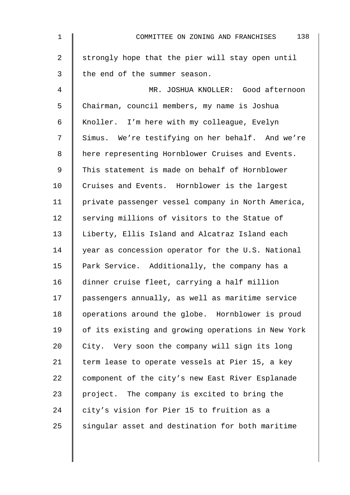| $\mathbf{1}$   | 138<br>COMMITTEE ON ZONING AND FRANCHISES          |
|----------------|----------------------------------------------------|
| $\overline{a}$ | strongly hope that the pier will stay open until   |
| $\mathfrak{Z}$ | the end of the summer season.                      |
| 4              | MR. JOSHUA KNOLLER: Good afternoon                 |
| 5              | Chairman, council members, my name is Joshua       |
| 6              | Knoller. I'm here with my colleague, Evelyn        |
| 7              | Simus. We're testifying on her behalf. And we're   |
| 8              | here representing Hornblower Cruises and Events.   |
| 9              | This statement is made on behalf of Hornblower     |
| 10             | Cruises and Events. Hornblower is the largest      |
| 11             | private passenger vessel company in North America, |
| 12             | serving millions of visitors to the Statue of      |
| 13             | Liberty, Ellis Island and Alcatraz Island each     |
| 14             | year as concession operator for the U.S. National  |
| 15             | Park Service. Additionally, the company has a      |
| 16             | dinner cruise fleet, carrying a half million       |
| 17             | passengers annually, as well as maritime service   |
| 18             | operations around the globe. Hornblower is proud   |
| 19             | of its existing and growing operations in New York |
| 20             | City. Very soon the company will sign its long     |
| 21             | term lease to operate vessels at Pier 15, a key    |
| 22             | component of the city's new East River Esplanade   |
| 23             | project. The company is excited to bring the       |
| 24             | city's vision for Pier 15 to fruition as a         |
| 25             | singular asset and destination for both maritime   |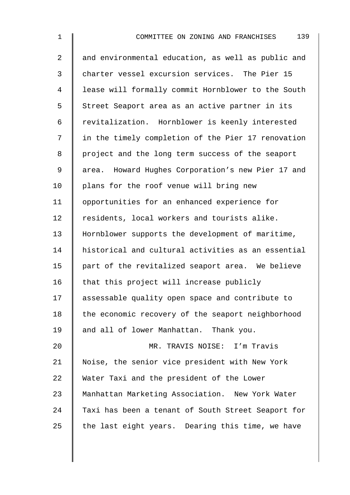| $\mathbf 1$ | 139<br>COMMITTEE ON ZONING AND FRANCHISES          |
|-------------|----------------------------------------------------|
| 2           | and environmental education, as well as public and |
| 3           | charter vessel excursion services. The Pier 15     |
| 4           | lease will formally commit Hornblower to the South |
| 5           | Street Seaport area as an active partner in its    |
| 6           | revitalization. Hornblower is keenly interested    |
| 7           | in the timely completion of the Pier 17 renovation |
| 8           | project and the long term success of the seaport   |
| 9           | area. Howard Hughes Corporation's new Pier 17 and  |
| 10          | plans for the roof venue will bring new            |
| 11          | opportunities for an enhanced experience for       |
| 12          | residents, local workers and tourists alike.       |
| 13          | Hornblower supports the development of maritime,   |
| 14          | historical and cultural activities as an essential |
| 15          | part of the revitalized seaport area. We believe   |
| 16          | that this project will increase publicly           |
| 17          | assessable quality open space and contribute to    |
| 18          | the economic recovery of the seaport neighborhood  |
| 19          | and all of lower Manhattan. Thank you.             |
| 20          | MR. TRAVIS NOISE: I'm Travis                       |
| 21          | Noise, the senior vice president with New York     |
| 22          | Water Taxi and the president of the Lower          |
| 23          | Manhattan Marketing Association. New York Water    |
| 24          | Taxi has been a tenant of South Street Seaport for |

25 the last eight years. Dearing this time, we have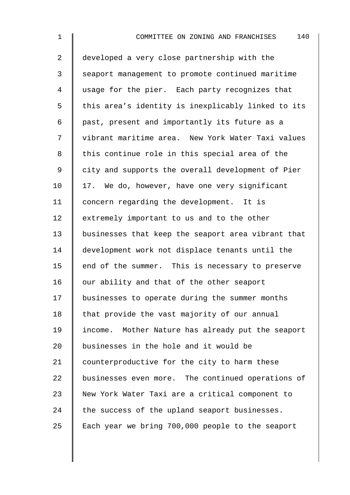| 1              | 140<br>COMMITTEE ON ZONING AND FRANCHISES          |
|----------------|----------------------------------------------------|
| $\overline{2}$ | developed a very close partnership with the        |
| $\mathsf{3}$   | seaport management to promote continued maritime   |
| 4              | usage for the pier. Each party recognizes that     |
| 5              | this area's identity is inexplicably linked to its |
| 6              | past, present and importantly its future as a      |
| 7              | vibrant maritime area. New York Water Taxi values  |
| 8              | this continue role in this special area of the     |
| 9              | city and supports the overall development of Pier  |
| 10             | 17. We do, however, have one very significant      |
| 11             | concern regarding the development. It is           |
| 12             | extremely important to us and to the other         |
| 13             | businesses that keep the seaport area vibrant that |
| 14             | development work not displace tenants until the    |
| 15             | end of the summer. This is necessary to preserve   |
| 16             | our ability and that of the other seaport          |
| 17             | businesses to operate during the summer months     |
| 18             | that provide the vast majority of our annual       |
| 19             | income. Mother Nature has already put the seaport  |
| 20             | businesses in the hole and it would be             |
| 21             | counterproductive for the city to harm these       |
| 22             | businesses even more. The continued operations of  |
| 23             | New York Water Taxi are a critical component to    |
| 24             | the success of the upland seaport businesses.      |
| 25             | Each year we bring 700,000 people to the seaport   |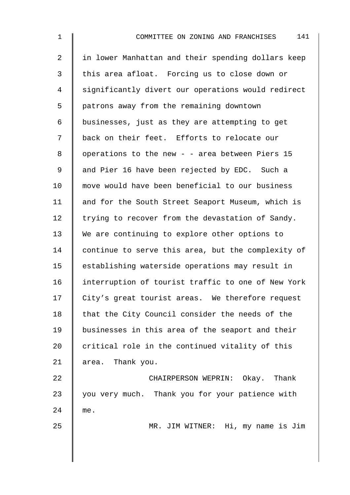2 || in lower Manhattan and their spending dollars keep  $3$   $\parallel$  this area afloat. Forcing us to close down or 4 significantly divert our operations would redirect 5 patrons away from the remaining downtown 6 | businesses, just as they are attempting to get 7 | back on their feet. Efforts to relocate our 8 | operations to the new - - area between Piers 15 9 and Pier 16 have been rejected by EDC. Such a 10  $\parallel$  move would have been beneficial to our business 11 | and for the South Street Seaport Museum, which is 12  $\parallel$  trying to recover from the devastation of Sandy. 13 We are continuing to explore other options to 14 continue to serve this area, but the complexity of 15 | establishing waterside operations may result in 16 interruption of tourist traffic to one of New York 17 City's great tourist areas. We therefore request  $18$  | that the City Council consider the needs of the 19 businesses in this area of the seaport and their  $20$  critical role in the continued vitality of this 21 area. Thank you. 22 **CHAIRPERSON WEPRIN:** Okay. Thank

23 you very much. Thank you for your patience with 24 me.

25 | MR. JIM WITNER: Hi, my name is Jim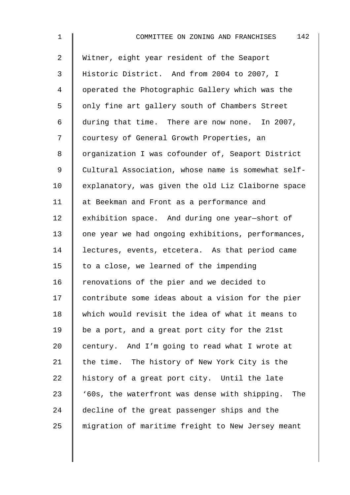| $\mathbf 1$    | 142<br>COMMITTEE ON ZONING AND FRANCHISES            |
|----------------|------------------------------------------------------|
| $\overline{a}$ | Witner, eight year resident of the Seaport           |
| 3              | Historic District. And from 2004 to 2007, I          |
| 4              | operated the Photographic Gallery which was the      |
| 5              | only fine art gallery south of Chambers Street       |
| 6              | during that time. There are now none. In 2007,       |
| 7              | courtesy of General Growth Properties, an            |
| 8              | organization I was cofounder of, Seaport District    |
| $\mathsf 9$    | Cultural Association, whose name is somewhat self-   |
| 10             | explanatory, was given the old Liz Claiborne space   |
| 11             | at Beekman and Front as a performance and            |
| 12             | exhibition space. And during one year-short of       |
| 13             | one year we had ongoing exhibitions, performances,   |
| 14             | lectures, events, etcetera. As that period came      |
| 15             | to a close, we learned of the impending              |
| 16             | renovations of the pier and we decided to            |
| 17             | contribute some ideas about a vision for the pier    |
| 18             | which would revisit the idea of what it means to     |
| 19             | be a port, and a great port city for the 21st        |
| 20             | century. And I'm going to read what I wrote at       |
| 21             | the time. The history of New York City is the        |
| 22             | history of a great port city. Until the late         |
| 23             | '60s, the waterfront was dense with shipping.<br>The |
| 24             | decline of the great passenger ships and the         |
| 25             | migration of maritime freight to New Jersey meant    |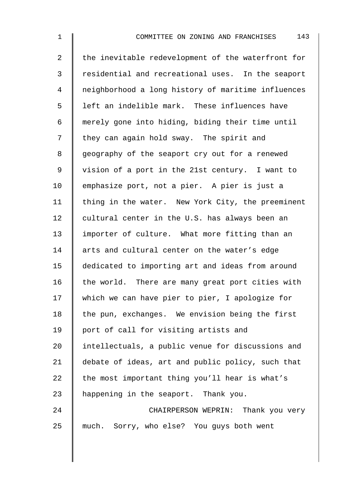2 the inevitable redevelopment of the waterfront for 3 Tesidential and recreational uses. In the seaport 4 neighborhood a long history of maritime influences  $5 \parallel$  left an indelible mark. These influences have 6 merely gone into hiding, biding their time until 7 I they can again hold sway. The spirit and 8 | geography of the seaport cry out for a renewed 9 | vision of a port in the 21st century. I want to 10 emphasize port, not a pier. A pier is just a 11 | thing in the water. New York City, the preeminent 12  $\parallel$  cultural center in the U.S. has always been an 13 | importer of culture. What more fitting than an 14 arts and cultural center on the water's edge 15 dedicated to importing art and ideas from around 16  $\parallel$  the world. There are many great port cities with 17 | which we can have pier to pier, I apologize for  $18$  the pun, exchanges. We envision being the first 19 port of call for visiting artists and 20 I intellectuals, a public venue for discussions and 21 debate of ideas, art and public policy, such that 22  $\parallel$  the most important thing you'll hear is what's 23 A happening in the seaport. Thank you. 24 CHAIRPERSON WEPRIN: Thank you very 25 much. Sorry, who else? You guys both went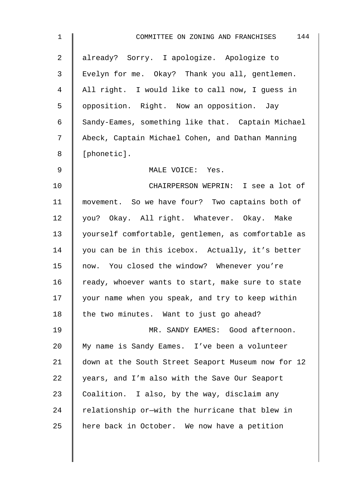| $\mathbf 1$    | 144<br>COMMITTEE ON ZONING AND FRANCHISES          |
|----------------|----------------------------------------------------|
| $\overline{a}$ | already? Sorry. I apologize. Apologize to          |
| $\mathfrak{Z}$ | Evelyn for me. Okay? Thank you all, gentlemen.     |
| 4              | All right. I would like to call now, I guess in    |
| 5              | opposition. Right. Now an opposition. Jay          |
| 6              | Sandy-Eames, something like that. Captain Michael  |
| 7              | Abeck, Captain Michael Cohen, and Dathan Manning   |
| 8              | [phonetic].                                        |
| 9              | MALE VOICE: Yes.                                   |
| 10             | CHAIRPERSON WEPRIN: I see a lot of                 |
| 11             | movement. So we have four? Two captains both of    |
| 12             | you? Okay. All right. Whatever. Okay. Make         |
| 13             | yourself comfortable, gentlemen, as comfortable as |
| 14             | you can be in this icebox. Actually, it's better   |
| 15             | now. You closed the window? Whenever you're        |
| 16             | ready, whoever wants to start, make sure to state  |
| 17             | your name when you speak, and try to keep within   |
| 18             | the two minutes. Want to just go ahead?            |
| 19             | MR. SANDY EAMES: Good afternoon.                   |
| 20             | My name is Sandy Eames. I've been a volunteer      |
| 21             | down at the South Street Seaport Museum now for 12 |
| 22             | years, and I'm also with the Save Our Seaport      |
| 23             | Coalition. I also, by the way, disclaim any        |
| 24             | relationship or-with the hurricane that blew in    |
| 25             | here back in October. We now have a petition       |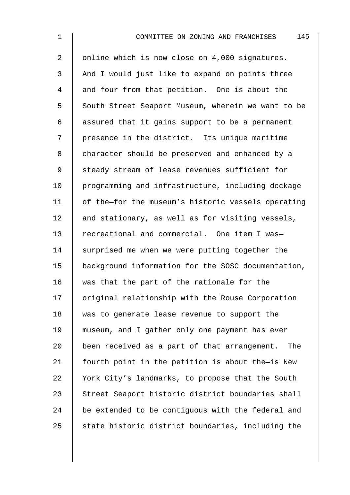2 | online which is now close on 4,000 signatures. 3 And I would just like to expand on points three 4 and four from that petition. One is about the 5 South Street Seaport Museum, wherein we want to be  $6 \parallel$  assured that it gains support to be a permanent 7 | presence in the district. Its unique maritime 8 character should be preserved and enhanced by a 9 Steady stream of lease revenues sufficient for 10 | programming and infrastructure, including dockage 11 | of the-for the museum's historic vessels operating 12  $\parallel$  and stationary, as well as for visiting vessels, 13 Tecreational and commercial. One item I was-14  $\parallel$  surprised me when we were putting together the 15 background information for the SOSC documentation, 16 was that the part of the rationale for the 17 | original relationship with the Rouse Corporation 18 was to generate lease revenue to support the 19 museum, and I gather only one payment has ever 20 been received as a part of that arrangement. The 21  $\parallel$  fourth point in the petition is about the-is New 22 Vork City's landmarks, to propose that the South 23 Street Seaport historic district boundaries shall 24 be extended to be contiguous with the federal and 25  $\parallel$  state historic district boundaries, including the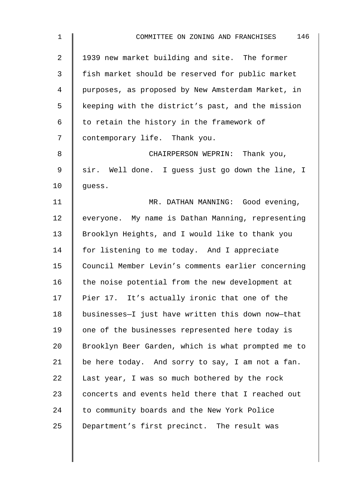| $\mathbf 1$ | 146<br>COMMITTEE ON ZONING AND FRANCHISES          |
|-------------|----------------------------------------------------|
| 2           | 1939 new market building and site. The former      |
| 3           | fish market should be reserved for public market   |
| 4           | purposes, as proposed by New Amsterdam Market, in  |
| 5           | keeping with the district's past, and the mission  |
| 6           | to retain the history in the framework of          |
| 7           | contemporary life. Thank you.                      |
| 8           | CHAIRPERSON WEPRIN: Thank you,                     |
| $\mathsf 9$ | sir. Well done. I guess just go down the line, I   |
| 10          | guess.                                             |
| 11          | MR. DATHAN MANNING: Good evening,                  |
| 12          | everyone. My name is Dathan Manning, representing  |
| 13          | Brooklyn Heights, and I would like to thank you    |
| 14          | for listening to me today. And I appreciate        |
| 15          | Council Member Levin's comments earlier concerning |
| 16          | the noise potential from the new development at    |
| 17          | Pier 17. It's actually ironic that one of the      |
| 18          | businesses-I just have written this down now-that  |
| 19          | one of the businesses represented here today is    |
| 20          | Brooklyn Beer Garden, which is what prompted me to |
| 21          | be here today. And sorry to say, I am not a fan.   |
| 22          | Last year, I was so much bothered by the rock      |
| 23          | concerts and events held there that I reached out  |
| 24          | to community boards and the New York Police        |
| 25          | Department's first precinct. The result was        |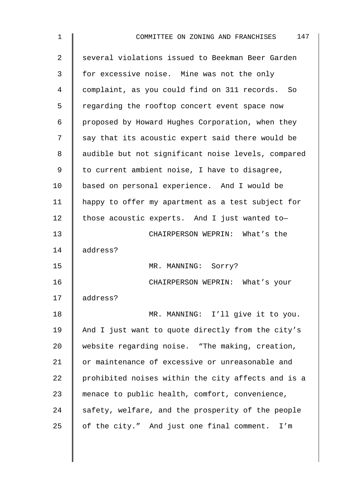| $\mathbf 1$ | 147<br>COMMITTEE ON ZONING AND FRANCHISES          |
|-------------|----------------------------------------------------|
| 2           | several violations issued to Beekman Beer Garden   |
| 3           | for excessive noise. Mine was not the only         |
| 4           | complaint, as you could find on 311 records. So    |
| 5           | regarding the rooftop concert event space now      |
| 6           | proposed by Howard Hughes Corporation, when they   |
| 7           | say that its acoustic expert said there would be   |
| 8           | audible but not significant noise levels, compared |
| 9           | to current ambient noise, I have to disagree,      |
| 10          | based on personal experience. And I would be       |
| 11          | happy to offer my apartment as a test subject for  |
| 12          | those acoustic experts. And I just wanted to-      |
| 13          | CHAIRPERSON WEPRIN: What's the                     |
| 14          | address?                                           |
| 15          | MR. MANNING: Sorry?                                |
| 16          | CHAIRPERSON WEPRIN: What's your                    |
| 17          | address?                                           |
| 18          | MR. MANNING: I'll give it to you.                  |
| 19          | And I just want to quote directly from the city's  |
| 20          | website regarding noise. "The making, creation,    |
| 21          | or maintenance of excessive or unreasonable and    |
| 22          | prohibited noises within the city affects and is a |
| 23          | menace to public health, comfort, convenience,     |
| 24          | safety, welfare, and the prosperity of the people  |
| 25          | of the city." And just one final comment. I'm      |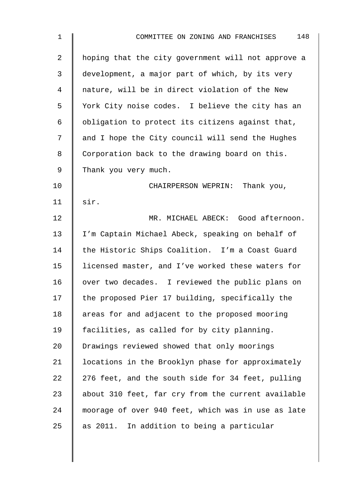| $\mathbf 1$    | 148<br>COMMITTEE ON ZONING AND FRANCHISES          |
|----------------|----------------------------------------------------|
| 2              | hoping that the city government will not approve a |
| 3              | development, a major part of which, by its very    |
| $\overline{4}$ | nature, will be in direct violation of the New     |
| 5              | York City noise codes. I believe the city has an   |
| 6              | obligation to protect its citizens against that,   |
| 7              | and I hope the City council will send the Hughes   |
| 8              | Corporation back to the drawing board on this.     |
| $\mathsf 9$    | Thank you very much.                               |
| 10             | CHAIRPERSON WEPRIN: Thank you,                     |
| 11             | sir.                                               |
| 12             | MR. MICHAEL ABECK: Good afternoon.                 |
| 13             | I'm Captain Michael Abeck, speaking on behalf of   |
| 14             | the Historic Ships Coalition. I'm a Coast Guard    |
| 15             | licensed master, and I've worked these waters for  |
| 16             | over two decades. I reviewed the public plans on   |
| 17             | the proposed Pier 17 building, specifically the    |
| 18             | areas for and adjacent to the proposed mooring     |
| 19             | facilities, as called for by city planning.        |
| 20             | Drawings reviewed showed that only moorings        |
| 21             | locations in the Brooklyn phase for approximately  |
| 22             | 276 feet, and the south side for 34 feet, pulling  |
| 23             | about 310 feet, far cry from the current available |
| 24             | moorage of over 940 feet, which was in use as late |
| 25             | as 2011. In addition to being a particular         |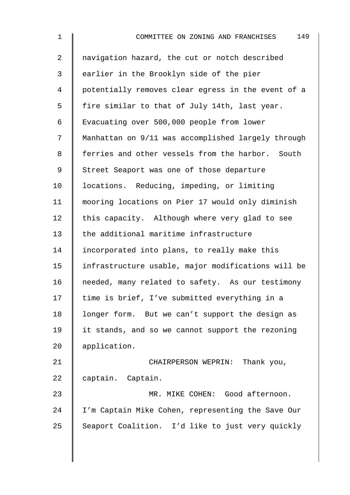| $\mathbf{1}$   | 149<br>COMMITTEE ON ZONING AND FRANCHISES          |
|----------------|----------------------------------------------------|
| $\overline{2}$ | navigation hazard, the cut or notch described      |
| 3              | earlier in the Brooklyn side of the pier           |
| $\overline{4}$ | potentially removes clear egress in the event of a |
| 5              | fire similar to that of July 14th, last year.      |
| 6              | Evacuating over 500,000 people from lower          |
| 7              | Manhattan on 9/11 was accomplished largely through |
| 8              | ferries and other vessels from the harbor. South   |
| 9              | Street Seaport was one of those departure          |
| 10             | locations. Reducing, impeding, or limiting         |
| 11             | mooring locations on Pier 17 would only diminish   |
| 12             | this capacity. Although where very glad to see     |
| 13             | the additional maritime infrastructure             |
| 14             | incorporated into plans, to really make this       |
| 15             | infrastructure usable, major modifications will be |
| 16             | needed, many related to safety. As our testimony   |
| 17             | time is brief, I've submitted everything in a      |
| 18             | longer form. But we can't support the design as    |
| 19             | it stands, and so we cannot support the rezoning   |
| 20             | application.                                       |
| 21             | CHAIRPERSON WEPRIN: Thank you,                     |
| 22             | captain. Captain.                                  |
| 23             | MR. MIKE COHEN: Good afternoon.                    |
| 24             | I'm Captain Mike Cohen, representing the Save Our  |
| 25             | Seaport Coalition. I'd like to just very quickly   |
|                |                                                    |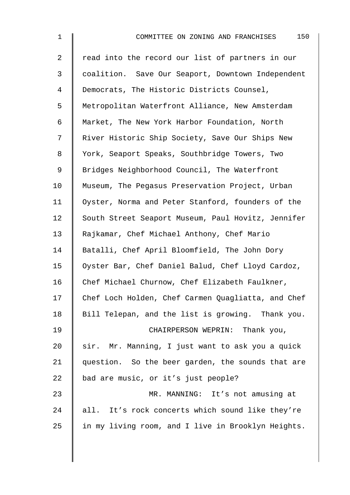| $\mathbf{1}$   | 150<br>COMMITTEE ON ZONING AND FRANCHISES          |
|----------------|----------------------------------------------------|
| $\overline{2}$ | read into the record our list of partners in our   |
| $\mathfrak{Z}$ | coalition. Save Our Seaport, Downtown Independent  |
| 4              | Democrats, The Historic Districts Counsel,         |
| 5              | Metropolitan Waterfront Alliance, New Amsterdam    |
| 6              | Market, The New York Harbor Foundation, North      |
| 7              | River Historic Ship Society, Save Our Ships New    |
| 8              | York, Seaport Speaks, Southbridge Towers, Two      |
| 9              | Bridges Neighborhood Council, The Waterfront       |
| 10             | Museum, The Pegasus Preservation Project, Urban    |
| 11             | Oyster, Norma and Peter Stanford, founders of the  |
| 12             | South Street Seaport Museum, Paul Hovitz, Jennifer |
| 13             | Rajkamar, Chef Michael Anthony, Chef Mario         |
| 14             | Batalli, Chef April Bloomfield, The John Dory      |
| 15             | Oyster Bar, Chef Daniel Balud, Chef Lloyd Cardoz,  |
| 16             | Chef Michael Churnow, Chef Elizabeth Faulkner,     |
| 17             | Chef Loch Holden, Chef Carmen Quagliatta, and Chef |
| 18             | Bill Telepan, and the list is growing. Thank you.  |
| 19             | CHAIRPERSON WEPRIN: Thank you,                     |
| 20             | sir. Mr. Manning, I just want to ask you a quick   |
| 21             | question. So the beer garden, the sounds that are  |
| 22             | bad are music, or it's just people?                |
| 23             | MR. MANNING: It's not amusing at                   |
| 24             | all. It's rock concerts which sound like they're   |
| 25             | in my living room, and I live in Brooklyn Heights. |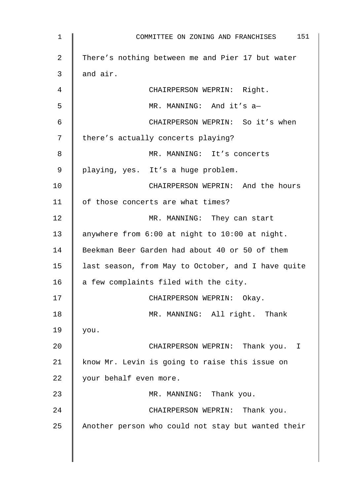| $\mathbf 1$ | 151<br>COMMITTEE ON ZONING AND FRANCHISES          |
|-------------|----------------------------------------------------|
| 2           | There's nothing between me and Pier 17 but water   |
| 3           | and air.                                           |
| 4           | CHAIRPERSON WEPRIN: Right.                         |
| 5           | MR. MANNING: And it's a-                           |
| 6           | CHAIRPERSON WEPRIN: So it's when                   |
| 7           | there's actually concerts playing?                 |
| 8           | MR. MANNING: It's concerts                         |
| 9           | playing, yes. It's a huge problem.                 |
| 10          | CHAIRPERSON WEPRIN: And the hours                  |
| 11          | of those concerts are what times?                  |
| 12          | MR. MANNING: They can start                        |
| 13          | anywhere from 6:00 at night to 10:00 at night.     |
| 14          | Beekman Beer Garden had about 40 or 50 of them     |
| 15          | last season, from May to October, and I have quite |
| 16          | a few complaints filed with the city.              |
| 17          | CHAIRPERSON WEPRIN: Okay.                          |
| 18          | MR. MANNING: All right. Thank                      |
| 19          | you.                                               |
| 20          | CHAIRPERSON WEPRIN: Thank you. I                   |
| 21          | know Mr. Levin is going to raise this issue on     |
| 22          | your behalf even more.                             |
| 23          | MR. MANNING: Thank you.                            |
| 24          | CHAIRPERSON WEPRIN: Thank you.                     |
| 25          | Another person who could not stay but wanted their |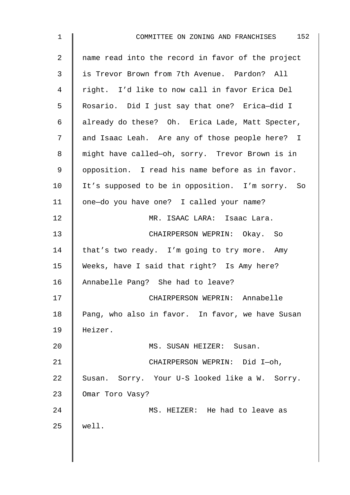| $\mathbf{1}$    | 152<br>COMMITTEE ON ZONING AND FRANCHISES         |
|-----------------|---------------------------------------------------|
| $\overline{2}$  | name read into the record in favor of the project |
| 3               | is Trevor Brown from 7th Avenue. Pardon? All      |
| 4               | right. I'd like to now call in favor Erica Del    |
| 5               | Rosario. Did I just say that one? Erica-did I     |
| 6               | already do these? Oh. Erica Lade, Matt Specter,   |
| 7               | and Isaac Leah. Are any of those people here? I   |
| 8               | might have called-oh, sorry. Trevor Brown is in   |
| 9               | opposition. I read his name before as in favor.   |
| 10 <sub>1</sub> | It's supposed to be in opposition. I'm sorry. So  |
| 11              | one-do you have one? I called your name?          |
| 12              | MR. ISAAC LARA: Isaac Lara.                       |
| 13              | CHAIRPERSON WEPRIN: Okay. So                      |
| 14              | that's two ready. I'm going to try more. Amy      |
| 15              | Weeks, have I said that right? Is Amy here?       |
| 16              | Annabelle Pang? She had to leave?                 |
| 17              | CHAIRPERSON WEPRIN: Annabelle                     |
| 18              | Pang, who also in favor. In favor, we have Susan  |
| 19              | Heizer.                                           |
| 20              | MS. SUSAN HEIZER: Susan.                          |
| 21              | CHAIRPERSON WEPRIN: Did I-oh,                     |
| 22              | Susan. Sorry. Your U-S looked like a W. Sorry.    |
| 23              | Omar Toro Vasy?                                   |
| 24              | MS. HEIZER: He had to leave as                    |
| 25              | well.                                             |
|                 |                                                   |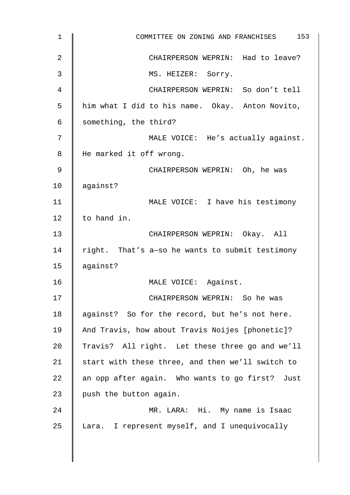| $\mathbf{1}$   | 153<br>COMMITTEE ON ZONING AND FRANCHISES        |
|----------------|--------------------------------------------------|
| $\overline{2}$ | CHAIRPERSON WEPRIN: Had to leave?                |
| 3              | MS. HEIZER: Sorry.                               |
| 4              | CHAIRPERSON WEPRIN: So don't tell                |
| 5              | him what I did to his name. Okay. Anton Novito,  |
| 6              | something, the third?                            |
| 7              | MALE VOICE: He's actually against.               |
| 8              | He marked it off wrong.                          |
| 9              | CHAIRPERSON WEPRIN: Oh, he was                   |
| 10             | against?                                         |
| 11             | MALE VOICE: I have his testimony                 |
| 12             | to hand in.                                      |
| 13             | CHAIRPERSON WEPRIN: Okay. All                    |
| 14             | right. That's a-so he wants to submit testimony  |
| 15             | against?                                         |
| 16             | MALE VOICE: Against.                             |
| 17             | CHAIRPERSON WEPRIN: So he was                    |
| 18             | against? So for the record, but he's not here.   |
| 19             | And Travis, how about Travis Noijes [phonetic]?  |
| 20             | Travis? All right. Let these three go and we'll  |
| 21             | start with these three, and then we'll switch to |
| 22             | an opp after again. Who wants to go first? Just  |
| 23             | push the button again.                           |
| 24             | MR. LARA: Hi. My name is Isaac                   |
| 25             | Lara. I represent myself, and I unequivocally    |
|                |                                                  |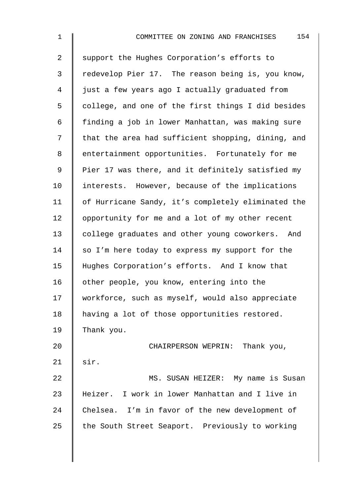| 1              | 154<br>COMMITTEE ON ZONING AND FRANCHISES          |
|----------------|----------------------------------------------------|
| $\overline{a}$ | support the Hughes Corporation's efforts to        |
| 3              | redevelop Pier 17. The reason being is, you know,  |
| 4              | just a few years ago I actually graduated from     |
| 5              | college, and one of the first things I did besides |
| 6              | finding a job in lower Manhattan, was making sure  |
| 7              | that the area had sufficient shopping, dining, and |
| 8              | entertainment opportunities. Fortunately for me    |
| 9              | Pier 17 was there, and it definitely satisfied my  |
| 10             | interests. However, because of the implications    |
| 11             | of Hurricane Sandy, it's completely eliminated the |
| 12             | opportunity for me and a lot of my other recent    |
| 13             | college graduates and other young coworkers. And   |
| 14             | so I'm here today to express my support for the    |
| 15             | Hughes Corporation's efforts. And I know that      |
| 16             | other people, you know, entering into the          |
| 17             | workforce, such as myself, would also appreciate   |
| 18             | having a lot of those opportunities restored.      |
| 19             | Thank you.                                         |
| 20             | CHAIRPERSON WEPRIN: Thank you,                     |
| 21             | sir.                                               |
| 22             | MS. SUSAN HEIZER: My name is Susan                 |
| 23             | Heizer. I work in lower Manhattan and I live in    |
| 24             | Chelsea. I'm in favor of the new development of    |
| 25             | the South Street Seaport. Previously to working    |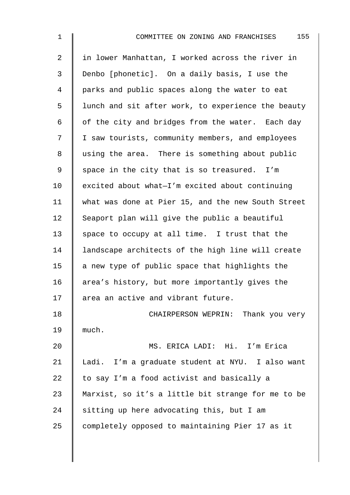| $\mathbf{1}$   | 155<br>COMMITTEE ON ZONING AND FRANCHISES          |
|----------------|----------------------------------------------------|
| $\overline{a}$ | in lower Manhattan, I worked across the river in   |
| 3              | Denbo [phonetic]. On a daily basis, I use the      |
| 4              | parks and public spaces along the water to eat     |
| 5              | lunch and sit after work, to experience the beauty |
| 6              | of the city and bridges from the water. Each day   |
| 7              | I saw tourists, community members, and employees   |
| 8              | using the area. There is something about public    |
| 9              | space in the city that is so treasured. I'm        |
| 10             | excited about what-I'm excited about continuing    |
| 11             | what was done at Pier 15, and the new South Street |
| 12             | Seaport plan will give the public a beautiful      |
| 13             | space to occupy at all time. I trust that the      |
| 14             | landscape architects of the high line will create  |
| 15             | a new type of public space that highlights the     |
| 16             | area's history, but more importantly gives the     |
| 17             | area an active and vibrant future.                 |
| 18             | CHAIRPERSON WEPRIN: Thank you very                 |
| 19             | much.                                              |
| 20             | MS. ERICA LADI: Hi. I'm Erica                      |
| 21             | Ladi. I'm a graduate student at NYU. I also want   |
| 22             | to say I'm a food activist and basically a         |
| 23             | Marxist, so it's a little bit strange for me to be |
| 24             | sitting up here advocating this, but I am          |
| 25             | completely opposed to maintaining Pier 17 as it    |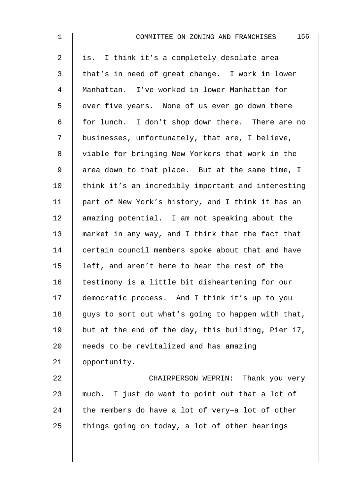| $\mathbf{1}$   | 156<br>COMMITTEE ON ZONING AND FRANCHISES          |
|----------------|----------------------------------------------------|
| 2              | is. I think it's a completely desolate area        |
| 3              | that's in need of great change. I work in lower    |
| $\overline{4}$ | Manhattan. I've worked in lower Manhattan for      |
| 5              | over five years. None of us ever go down there     |
| 6              | for lunch. I don't shop down there. There are no   |
| 7              | businesses, unfortunately, that are, I believe,    |
| 8              | viable for bringing New Yorkers that work in the   |
| $\mathsf 9$    | area down to that place. But at the same time, I   |
| 10             | think it's an incredibly important and interesting |
| 11             | part of New York's history, and I think it has an  |
| 12             | amazing potential. I am not speaking about the     |
| 13             | market in any way, and I think that the fact that  |
| 14             | certain council members spoke about that and have  |
| 15             | left, and aren't here to hear the rest of the      |
| 16             | testimony is a little bit disheartening for our    |
| 17             | democratic process. And I think it's up to you     |
| 18             | guys to sort out what's going to happen with that, |
| 19             | but at the end of the day, this building, Pier 17, |
| 20             | needs to be revitalized and has amazing            |
| 21             | opportunity.                                       |
| 22             | CHAIRPERSON WEPRIN: Thank you very                 |
| 23             | much. I just do want to point out that a lot of    |
| 24             | the members do have a lot of very-a lot of other   |
| 25             | things going on today, a lot of other hearings     |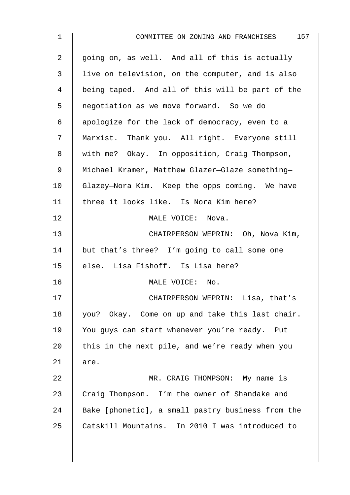| $\mathbf{1}$   | COMMITTEE ON ZONING AND FRANCHISES 157            |
|----------------|---------------------------------------------------|
| $\overline{a}$ | going on, as well. And all of this is actually    |
| 3              | live on television, on the computer, and is also  |
| 4              | being taped. And all of this will be part of the  |
| 5              | negotiation as we move forward. So we do          |
| 6              | apologize for the lack of democracy, even to a    |
| 7              | Marxist. Thank you. All right. Everyone still     |
| 8              | with me? Okay. In opposition, Craig Thompson,     |
| 9              | Michael Kramer, Matthew Glazer-Glaze something-   |
| $10 \,$        | Glazey-Nora Kim. Keep the opps coming. We have    |
| 11             | three it looks like. Is Nora Kim here?            |
| 12             | MALE VOICE: Nova.                                 |
| 13             | CHAIRPERSON WEPRIN: Oh, Nova Kim,                 |
| 14             | but that's three? I'm going to call some one      |
| 15             | else. Lisa Fishoff. Is Lisa here?                 |
| 16             | MALE VOICE: No.                                   |
| 17             | CHAIRPERSON WEPRIN: Lisa, that's                  |
| 18             | you? Okay. Come on up and take this last chair.   |
| 19             | You guys can start whenever you're ready. Put     |
| 20             | this in the next pile, and we're ready when you   |
| 21             | are.                                              |
| 22             | MR. CRAIG THOMPSON: My name is                    |
| 23             | Craig Thompson. I'm the owner of Shandake and     |
| 24             | Bake [phonetic], a small pastry business from the |
| 25             | Catskill Mountains. In 2010 I was introduced to   |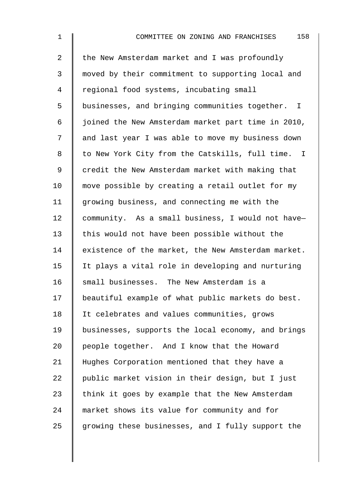| $\mathbf 1$    | 158<br>COMMITTEE ON ZONING AND FRANCHISES          |
|----------------|----------------------------------------------------|
| $\overline{2}$ | the New Amsterdam market and I was profoundly      |
| 3              | moved by their commitment to supporting local and  |
| 4              | regional food systems, incubating small            |
| 5              | businesses, and bringing communities together. I   |
| 6              | joined the New Amsterdam market part time in 2010, |
| 7              | and last year I was able to move my business down  |
| 8              | to New York City from the Catskills, full time. I  |
| $\mathsf 9$    | credit the New Amsterdam market with making that   |
| 10             | move possible by creating a retail outlet for my   |
| 11             | growing business, and connecting me with the       |
| 12             | community. As a small business, I would not have-  |
| 13             | this would not have been possible without the      |
| 14             | existence of the market, the New Amsterdam market. |
| 15             | It plays a vital role in developing and nurturing  |
| 16             | small businesses. The New Amsterdam is a           |
| 17             | beautiful example of what public markets do best.  |
| 18             | It celebrates and values communities, grows        |
| 19             | businesses, supports the local economy, and brings |
| 20             | people together. And I know that the Howard        |
| 21             | Hughes Corporation mentioned that they have a      |
| 22             | public market vision in their design, but I just   |
| 23             | think it goes by example that the New Amsterdam    |
| 24             | market shows its value for community and for       |
| 25             | growing these businesses, and I fully support the  |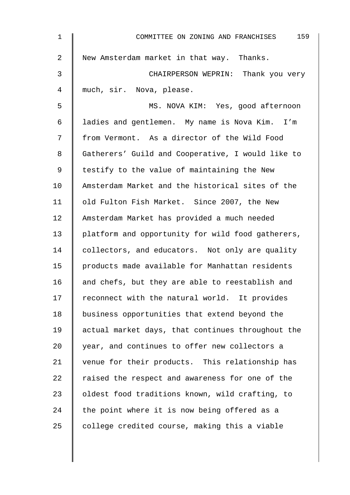| $\mathbf{1}$ | 159<br>COMMITTEE ON ZONING AND FRANCHISES         |
|--------------|---------------------------------------------------|
| 2            | New Amsterdam market in that way. Thanks.         |
| 3            | CHAIRPERSON WEPRIN: Thank you very                |
| 4            | much, sir. Nova, please.                          |
| 5            | MS. NOVA KIM: Yes, good afternoon                 |
| 6            | ladies and gentlemen. My name is Nova Kim. I'm    |
| 7            | from Vermont. As a director of the Wild Food      |
| 8            | Gatherers' Guild and Cooperative, I would like to |
| 9            | testify to the value of maintaining the New       |
| 10           | Amsterdam Market and the historical sites of the  |
| 11           | old Fulton Fish Market. Since 2007, the New       |
| 12           | Amsterdam Market has provided a much needed       |
| 13           | platform and opportunity for wild food gatherers, |
| 14           | collectors, and educators. Not only are quality   |
| 15           | products made available for Manhattan residents   |
| 16           | and chefs, but they are able to reestablish and   |
| 17           | reconnect with the natural world. It provides     |
| 18           | business opportunities that extend beyond the     |
| 19           | actual market days, that continues throughout the |
| 20           | year, and continues to offer new collectors a     |
| 21           | venue for their products. This relationship has   |
| 22           | raised the respect and awareness for one of the   |
| 23           | oldest food traditions known, wild crafting, to   |
| 24           | the point where it is now being offered as a      |
| 25           | college credited course, making this a viable     |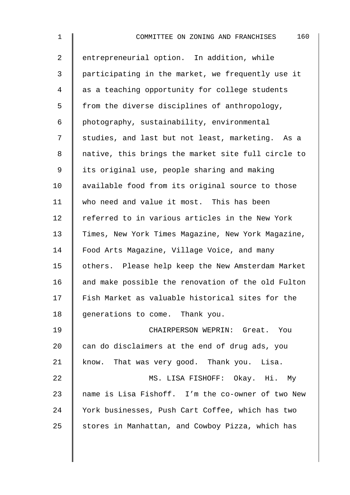| $\mathbf 1$    | 160<br>COMMITTEE ON ZONING AND FRANCHISES          |
|----------------|----------------------------------------------------|
| $\overline{2}$ | entrepreneurial option. In addition, while         |
| 3              | participating in the market, we frequently use it  |
| 4              | as a teaching opportunity for college students     |
| 5              | from the diverse disciplines of anthropology,      |
| 6              | photography, sustainability, environmental         |
| 7              | studies, and last but not least, marketing. As a   |
| 8              | native, this brings the market site full circle to |
| 9              | its original use, people sharing and making        |
| 10             | available food from its original source to those   |
| 11             | who need and value it most. This has been          |
| 12             | referred to in various articles in the New York    |
| 13             | Times, New York Times Magazine, New York Magazine, |
| 14             | Food Arts Magazine, Village Voice, and many        |
| 15             | others. Please help keep the New Amsterdam Market  |
| 16             | and make possible the renovation of the old Fulton |
| 17             | Fish Market as valuable historical sites for the   |
| 18             | generations to come. Thank you.                    |
| 19             | CHAIRPERSON WEPRIN: Great. You                     |
| 20             | can do disclaimers at the end of drug ads, you     |
| 21             | know. That was very good. Thank you. Lisa.         |
| 22             | MS. LISA FISHOFF: Okay. Hi. My                     |
| 23             | name is Lisa Fishoff. I'm the co-owner of two New  |
| 24             | York businesses, Push Cart Coffee, which has two   |
| 25             | stores in Manhattan, and Cowboy Pizza, which has   |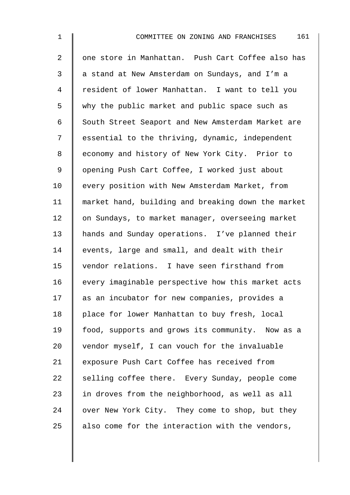2 || one store in Manhattan. Push Cart Coffee also has 3 a stand at New Amsterdam on Sundays, and I'm a 4 | resident of lower Manhattan. I want to tell you 5 why the public market and public space such as 6 South Street Seaport and New Amsterdam Market are 7 Solut sessential to the thriving, dynamic, independent 8 | economy and history of New York City. Prior to 9 || opening Push Cart Coffee, I worked just about 10 | every position with New Amsterdam Market, from 11 market hand, building and breaking down the market 12 | on Sundays, to market manager, overseeing market 13 | hands and Sunday operations. I've planned their 14 events, large and small, and dealt with their 15 vendor relations. I have seen firsthand from 16 | every imaginable perspective how this market acts 17 | as an incubator for new companies, provides a 18 | place for lower Manhattan to buy fresh, local 19 | food, supports and grows its community. Now as a 20  $\parallel$  vendor myself, I can vouch for the invaluable 21 | exposure Push Cart Coffee has received from 22  $\parallel$  selling coffee there. Every Sunday, people come 23  $\parallel$  in droves from the neighborhood, as well as all 24 over New York City. They come to shop, but they 25  $\parallel$  also come for the interaction with the vendors,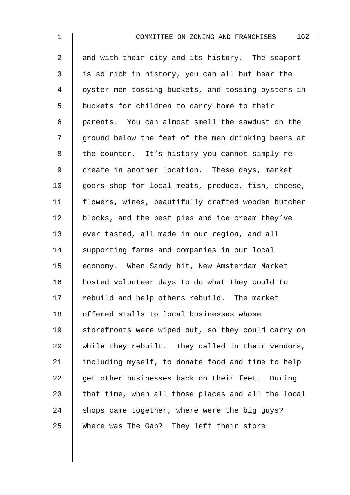2 | and with their city and its history. The seaport  $3 \parallel$  is so rich in history, you can all but hear the 4 | oyster men tossing buckets, and tossing oysters in 5 | buckets for children to carry home to their 6 parents. You can almost smell the sawdust on the 7 | ground below the feet of the men drinking beers at  $8 \parallel$  the counter. It's history you cannot simply re-9 | create in another location. These days, market 10 | goers shop for local meats, produce, fish, cheese, 11 flowers, wines, beautifully crafted wooden butcher 12 | blocks, and the best pies and ice cream they've 13 ever tasted, all made in our region, and all 14 Supporting farms and companies in our local 15 | economy. When Sandy hit, New Amsterdam Market 16 hosted volunteer days to do what they could to 17 rebuild and help others rebuild. The market 18 | offered stalls to local businesses whose 19 Storefronts were wiped out, so they could carry on 20 while they rebuilt. They called in their vendors, 21  $\parallel$  including myself, to donate food and time to help  $22$  get other businesses back on their feet. During 23  $\parallel$  that time, when all those places and all the local 24 shops came together, where were the big guys? 25 Where was The Gap? They left their store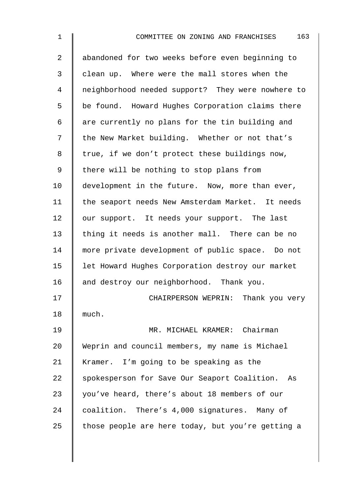| $\overline{a}$ | abandoned for two weeks before even beginning to  |
|----------------|---------------------------------------------------|
| 3              | clean up. Where were the mall stores when the     |
| 4              | neighborhood needed support? They were nowhere to |
| 5              | be found. Howard Hughes Corporation claims there  |
| 6              | are currently no plans for the tin building and   |
| 7              | the New Market building. Whether or not that's    |
| 8              | true, if we don't protect these buildings now,    |
| 9              | there will be nothing to stop plans from          |
| 10             | development in the future. Now, more than ever,   |
| 11             | the seaport needs New Amsterdam Market. It needs  |
| 12             | our support. It needs your support. The last      |
| 13             | thing it needs is another mall. There can be no   |
| 14             | more private development of public space. Do not  |
| 15             | let Howard Hughes Corporation destroy our market  |
| 16             | and destroy our neighborhood. Thank you.          |
| 17             | CHAIRPERSON WEPRIN: Thank you very                |
| 18             | much.                                             |
| 19             | MR. MICHAEL KRAMER: Chairman                      |
| 20             | Weprin and council members, my name is Michael    |
| 21             | Kramer. I'm going to be speaking as the           |
| 22             | spokesperson for Save Our Seaport Coalition. As   |
| 23             | you've heard, there's about 18 members of our     |
| 24             | coalition. There's 4,000 signatures. Many of      |
| 25             | those people are here today, but you're getting a |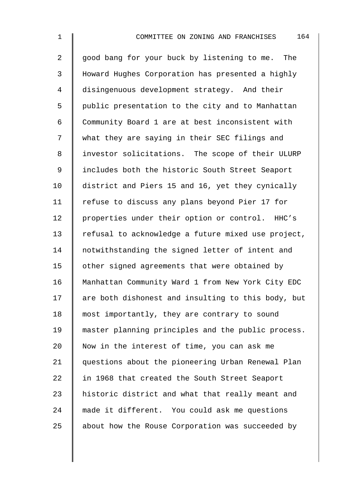2 good bang for your buck by listening to me. The 3 Howard Hughes Corporation has presented a highly 4 disingenuous development strategy. And their 5 | public presentation to the city and to Manhattan 6 Community Board 1 are at best inconsistent with 7 | what they are saying in their SEC filings and 8 | investor solicitations. The scope of their ULURP 9 | includes both the historic South Street Seaport 10 district and Piers 15 and 16, yet they cynically 11 | refuse to discuss any plans beyond Pier 17 for 12 | properties under their option or control. HHC's 13 Tefusal to acknowledge a future mixed use project, 14 | notwithstanding the signed letter of intent and 15 | other signed agreements that were obtained by 16 Manhattan Community Ward 1 from New York City EDC  $17$  are both dishonest and insulting to this body, but 18 most importantly, they are contrary to sound 19 master planning principles and the public process. 20  $\parallel$  Now in the interest of time, you can ask me 21 questions about the pioneering Urban Renewal Plan 22 | in 1968 that created the South Street Seaport 23 | historic district and what that really meant and 24 made it different. You could ask me questions 25 about how the Rouse Corporation was succeeded by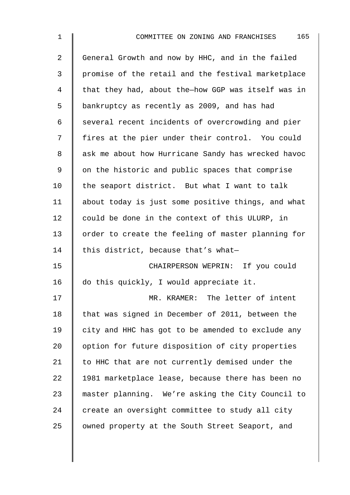| $\overline{a}$ | General Growth and now by HHC, and in the failed   |
|----------------|----------------------------------------------------|
| 3              | promise of the retail and the festival marketplace |
| 4              | that they had, about the-how GGP was itself was in |
| 5              | bankruptcy as recently as 2009, and has had        |
| 6              | several recent incidents of overcrowding and pier  |
| 7              | fires at the pier under their control. You could   |
| 8              | ask me about how Hurricane Sandy has wrecked havoc |
| $\mathsf 9$    | on the historic and public spaces that comprise    |
| 10             | the seaport district. But what I want to talk      |
| 11             | about today is just some positive things, and what |
| 12             | could be done in the context of this ULURP, in     |
| 13             | order to create the feeling of master planning for |
| 14             | this district, because that's what-                |
| 15             | CHAIRPERSON WEPRIN: If you could                   |
| 16             | do this quickly, I would appreciate it.            |
| 17             | MR. KRAMER: The letter of intent                   |
| 18             | that was signed in December of 2011, between the   |
| 19             | city and HHC has got to be amended to exclude any  |
| 20             | option for future disposition of city properties   |
| 21             | to HHC that are not currently demised under the    |
| 22             | 1981 marketplace lease, because there has been no  |
| 23             | master planning. We're asking the City Council to  |
| 24             | create an oversight committee to study all city    |
| 25             | owned property at the South Street Seaport, and    |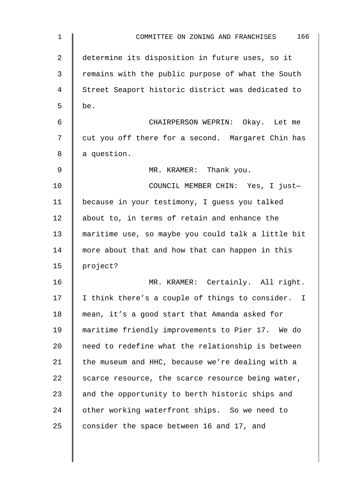| $\mathbf 1$ | 166<br>COMMITTEE ON ZONING AND FRANCHISES          |
|-------------|----------------------------------------------------|
| 2           | determine its disposition in future uses, so it    |
| 3           | remains with the public purpose of what the South  |
| 4           | Street Seaport historic district was dedicated to  |
| 5           | be.                                                |
| 6           | CHAIRPERSON WEPRIN: Okay. Let me                   |
| 7           | cut you off there for a second. Margaret Chin has  |
| 8           | a question.                                        |
| 9           | MR. KRAMER: Thank you.                             |
| 10          | COUNCIL MEMBER CHIN: Yes, I just-                  |
| 11          | because in your testimony, I guess you talked      |
| 12          | about to, in terms of retain and enhance the       |
| 13          | maritime use, so maybe you could talk a little bit |
| 14          | more about that and how that can happen in this    |
| 15          | project?                                           |
| 16          | MR. KRAMER: Certainly. All right.                  |
| 17          | I think there's a couple of things to consider. I  |
| 18          | mean, it's a good start that Amanda asked for      |
| 19          | maritime friendly improvements to Pier 17. We do   |
| 20          | need to redefine what the relationship is between  |
| 21          | the museum and HHC, because we're dealing with a   |
| 22          | scarce resource, the scarce resource being water,  |
| 23          | and the opportunity to berth historic ships and    |
| 24          | other working waterfront ships. So we need to      |
| 25          | consider the space between 16 and 17, and          |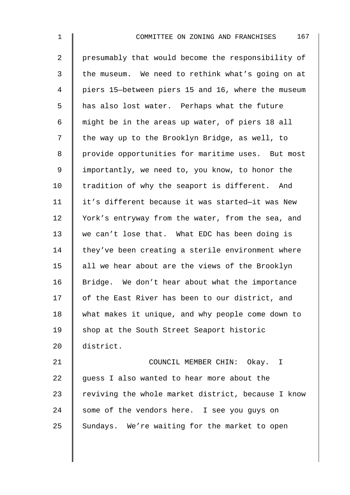2 | presumably that would become the responsibility of 3 the museum. We need to rethink what's going on at 4 piers 15—between piers 15 and 16, where the museum 5 | has also lost water. Perhaps what the future 6 might be in the areas up water, of piers 18 all 7 | the way up to the Brooklyn Bridge, as well, to 8 | provide opportunities for maritime uses. But most 9 | importantly, we need to, you know, to honor the 10 I tradition of why the seaport is different. And 11 | it's different because it was started-it was New 12 | York's entryway from the water, from the sea, and 13 we can't lose that. What EDC has been doing is  $14$  they've been creating a sterile environment where 15  $\parallel$  all we hear about are the views of the Brooklyn 16 | Bridge. We don't hear about what the importance 17 | of the East River has been to our district, and 18 what makes it unique, and why people come down to 19 Shop at the South Street Seaport historic 20 district. 21 | COUNCIL MEMBER CHIN: Okay. I

22  $\parallel$  guess I also wanted to hear more about the 23  $\parallel$  reviving the whole market district, because I know 24 some of the vendors here. I see you guys on 25 Sundays. We're waiting for the market to open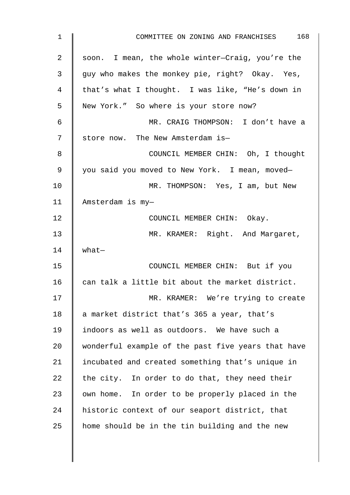| $\mathbf 1$ | 168<br>COMMITTEE ON ZONING AND FRANCHISES          |
|-------------|----------------------------------------------------|
| 2           | soon. I mean, the whole winter-Craig, you're the   |
| 3           | guy who makes the monkey pie, right? Okay. Yes,    |
| 4           | that's what I thought. I was like, "He's down in   |
| 5           | New York." So where is your store now?             |
| 6           | MR. CRAIG THOMPSON: I don't have a                 |
| 7           | store now. The New Amsterdam is-                   |
| 8           | COUNCIL MEMBER CHIN: Oh, I thought                 |
| $\mathsf 9$ | you said you moved to New York. I mean, moved-     |
| 10          | MR. THOMPSON: Yes, I am, but New                   |
| 11          | Amsterdam is my-                                   |
| 12          | COUNCIL MEMBER CHIN: Okay.                         |
| 13          | MR. KRAMER: Right. And Margaret,                   |
| 14          | what                                               |
| 15          | COUNCIL MEMBER CHIN: But if you                    |
| 16          | can talk a little bit about the market district.   |
| 17          | MR. KRAMER: We're trying to create                 |
| 18          | a market district that's 365 a year, that's        |
| 19          | indoors as well as outdoors. We have such a        |
| 20          | wonderful example of the past five years that have |
| 21          | incubated and created something that's unique in   |
| 22          | the city. In order to do that, they need their     |
| 23          | own home. In order to be properly placed in the    |
| 24          | historic context of our seaport district, that     |
| 25          | home should be in the tin building and the new     |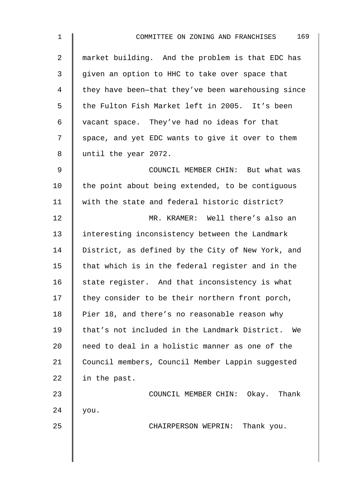| $\mathbf 1$ | 169<br>COMMITTEE ON ZONING AND FRANCHISES          |
|-------------|----------------------------------------------------|
| 2           | market building. And the problem is that EDC has   |
| 3           | given an option to HHC to take over space that     |
| 4           | they have been-that they've been warehousing since |
| 5           | the Fulton Fish Market left in 2005. It's been     |
| 6           | vacant space. They've had no ideas for that        |
| 7           | space, and yet EDC wants to give it over to them   |
| 8           | until the year 2072.                               |
| 9           | COUNCIL MEMBER CHIN: But what was                  |
| 10          | the point about being extended, to be contiguous   |
| 11          | with the state and federal historic district?      |
| 12          | MR. KRAMER: Well there's also an                   |
| 13          | interesting inconsistency between the Landmark     |
| 14          | District, as defined by the City of New York, and  |
| 15          | that which is in the federal register and in the   |
| 16          | state register. And that inconsistency is what     |
| 17          | they consider to be their northern front porch,    |
| 18          | Pier 18, and there's no reasonable reason why      |
| 19          | that's not included in the Landmark District. We   |
| 20          | need to deal in a holistic manner as one of the    |
| 21          | Council members, Council Member Lappin suggested   |
| 22          | in the past.                                       |
| 23          | COUNCIL MEMBER CHIN: Okay.<br>Thank                |
| 24          | you.                                               |
| 25          | CHAIRPERSON WEPRIN: Thank you.                     |
|             |                                                    |
|             |                                                    |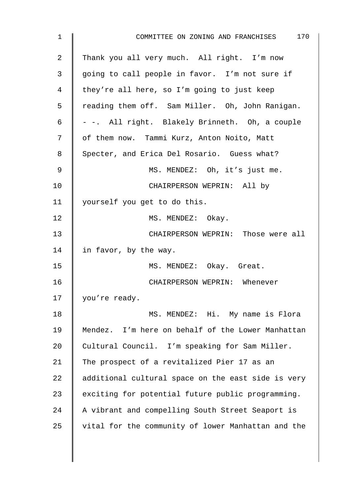| 1              | COMMITTEE ON ZONING AND FRANCHISES 170             |
|----------------|----------------------------------------------------|
| $\overline{a}$ | Thank you all very much. All right. I'm now        |
| 3              | going to call people in favor. I'm not sure if     |
| 4              | they're all here, so I'm going to just keep        |
| 5              | reading them off. Sam Miller. Oh, John Ranigan.    |
| 6              | - -. All right. Blakely Brinneth. Oh, a couple     |
| 7              | of them now. Tammi Kurz, Anton Noito, Matt         |
| 8              | Specter, and Erica Del Rosario. Guess what?        |
| 9              | MS. MENDEZ: Oh, it's just me.                      |
| 10             | CHAIRPERSON WEPRIN: All by                         |
| 11             | yourself you get to do this.                       |
| 12             | MS. MENDEZ: Okay.                                  |
| 13             | CHAIRPERSON WEPRIN: Those were all                 |
| 14             | in favor, by the way.                              |
| 15             | MS. MENDEZ: Okay. Great.                           |
| 16             | CHAIRPERSON WEPRIN: Whenever                       |
| 17             | you're ready.                                      |
| 18             | MS. MENDEZ: Hi. My name is Flora                   |
| 19             | Mendez. I'm here on behalf of the Lower Manhattan  |
| 20             | Cultural Council. I'm speaking for Sam Miller.     |
| 21             | The prospect of a revitalized Pier 17 as an        |
| 22             | additional cultural space on the east side is very |
| 23             | exciting for potential future public programming.  |
| 24             | A vibrant and compelling South Street Seaport is   |
| 25             | vital for the community of lower Manhattan and the |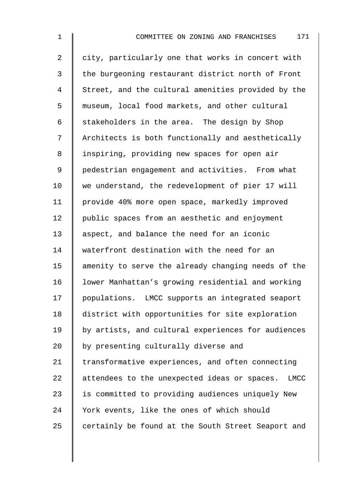2 | city, particularly one that works in concert with 3 the burgeoning restaurant district north of Front 4 Street, and the cultural amenities provided by the 5  $\parallel$  museum, local food markets, and other cultural 6 | stakeholders in the area. The design by Shop 7 | Architects is both functionally and aesthetically 8 | inspiring, providing new spaces for open air 9 | pedestrian engagement and activities. From what 10 we understand, the redevelopment of pier 17 will 11 | provide 40% more open space, markedly improved 12 | public spaces from an aesthetic and enjoyment 13 aspect, and balance the need for an iconic 14 waterfront destination with the need for an 15  $\parallel$  amenity to serve the already changing needs of the 16 | lower Manhattan's growing residential and working 17 | populations. LMCC supports an integrated seaport 18 district with opportunities for site exploration 19 by artists, and cultural experiences for audiences  $20$   $\parallel$  by presenting culturally diverse and 21 Transformative experiences, and often connecting 22 attendees to the unexpected ideas or spaces. LMCC 23 | is committed to providing audiences uniquely New 24 Vork events, like the ones of which should 25  $\parallel$  certainly be found at the South Street Seaport and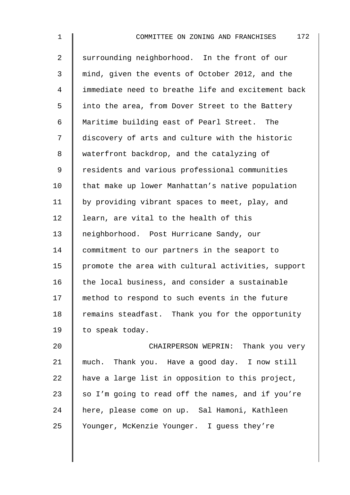| $\mathbf 1$    | 172<br>COMMITTEE ON ZONING AND FRANCHISES          |
|----------------|----------------------------------------------------|
| $\overline{2}$ | surrounding neighborhood. In the front of our      |
| 3              | mind, given the events of October 2012, and the    |
| 4              | immediate need to breathe life and excitement back |
| 5              | into the area, from Dover Street to the Battery    |
| 6              | Maritime building east of Pearl Street. The        |
| 7              | discovery of arts and culture with the historic    |
| 8              | waterfront backdrop, and the catalyzing of         |
| 9              | residents and various professional communities     |
| 10             | that make up lower Manhattan's native population   |
| 11             | by providing vibrant spaces to meet, play, and     |
| 12             | learn, are vital to the health of this             |
| 13             | neighborhood. Post Hurricane Sandy, our            |
| 14             | commitment to our partners in the seaport to       |
| 15             | promote the area with cultural activities, support |
| 16             | the local business, and consider a sustainable     |
| 17             | method to respond to such events in the future     |
| 18             | remains steadfast. Thank you for the opportunity   |
| 19             | to speak today.                                    |
| 20             | CHAIRPERSON WEPRIN: Thank you very                 |
|                |                                                    |

21 much. Thank you. Have a good day. I now still 22  $\parallel$  have a large list in opposition to this project, 23  $\parallel$  so I'm going to read off the names, and if you're 24 here, please come on up. Sal Hamoni, Kathleen 25 | Younger, McKenzie Younger. I guess they're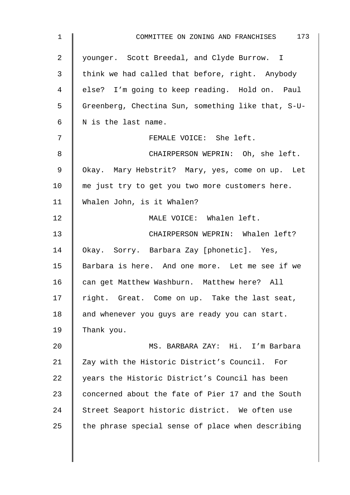| $\mathbf 1$ | COMMITTEE ON ZONING AND FRANCHISES 173             |
|-------------|----------------------------------------------------|
| 2           | younger. Scott Breedal, and Clyde Burrow. I        |
| 3           | think we had called that before, right. Anybody    |
| 4           | else? I'm going to keep reading. Hold on. Paul     |
| 5           | Greenberg, Chectina Sun, something like that, S-U- |
| 6           | N is the last name.                                |
| 7           | FEMALE VOICE: She left.                            |
| 8           | CHAIRPERSON WEPRIN: Oh, she left.                  |
| 9           | Okay. Mary Hebstrit? Mary, yes, come on up. Let    |
| 10          | me just try to get you two more customers here.    |
| 11          | Whalen John, is it Whalen?                         |
| 12          | MALE VOICE: Whalen left.                           |
| 13          | CHAIRPERSON WEPRIN: Whalen left?                   |
| 14          | Okay. Sorry. Barbara Zay [phonetic]. Yes,          |
| 15          | Barbara is here. And one more. Let me see if we    |
| 16          | can get Matthew Washburn. Matthew here? All        |
| 17          | right. Great. Come on up. Take the last seat,      |
| 18          | and whenever you guys are ready you can start.     |
| 19          | Thank you.                                         |
| 20          | MS. BARBARA ZAY: Hi. I'm Barbara                   |
| 21          | Zay with the Historic District's Council.<br>For   |
| 22          | years the Historic District's Council has been     |
| 23          | concerned about the fate of Pier 17 and the South  |
| 24          | Street Seaport historic district. We often use     |
| 25          | the phrase special sense of place when describing  |
|             |                                                    |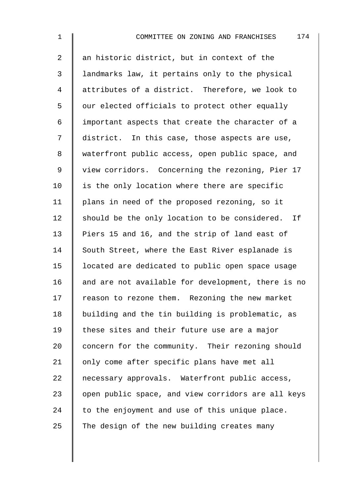2 an historic district, but in context of the 3 | landmarks law, it pertains only to the physical 4 attributes of a district. Therefore, we look to  $5 \parallel$  our elected officials to protect other equally 6 important aspects that create the character of a 7 district. In this case, those aspects are use, 8 waterfront public access, open public space, and 9 | view corridors. Concerning the rezoning, Pier 17  $10$  | is the only location where there are specific 11 | plans in need of the proposed rezoning, so it  $12$  should be the only location to be considered. If 13 Piers 15 and 16, and the strip of land east of 14 South Street, where the East River esplanade is 15 located are dedicated to public open space usage 16  $\parallel$  and are not available for development, there is no 17 Treason to rezone them. Rezoning the new market 18 building and the tin building is problematic, as 19 These sites and their future use are a major 20 concern for the community. Their rezoning should 21 | only come after specific plans have met all 22 mecessary approvals. Waterfront public access, 23  $\parallel$  open public space, and view corridors are all keys 24  $\parallel$  to the enjoyment and use of this unique place. 25 The design of the new building creates many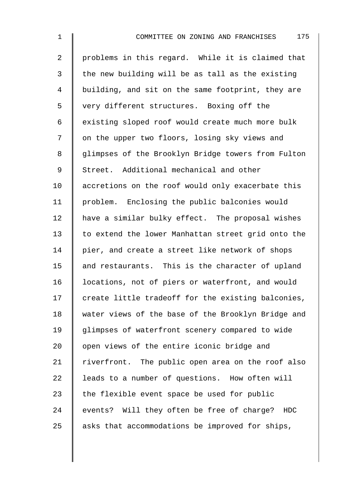2 | problems in this regard. While it is claimed that  $3 \parallel$  the new building will be as tall as the existing 4 | building, and sit on the same footprint, they are 5 very different structures. Boxing off the 6 existing sloped roof would create much more bulk 7 | on the upper two floors, losing sky views and 8 | glimpses of the Brooklyn Bridge towers from Fulton 9 Street. Additional mechanical and other 10 accretions on the roof would only exacerbate this 11 | problem. Enclosing the public balconies would 12 | have a similar bulky effect. The proposal wishes 13 to extend the lower Manhattan street grid onto the 14 | pier, and create a street like network of shops  $15$  and restaurants. This is the character of upland 16 | locations, not of piers or waterfront, and would 17  $\parallel$  create little tradeoff for the existing balconies, 18 | water views of the base of the Brooklyn Bridge and 19 glimpses of waterfront scenery compared to wide  $20$   $\parallel$  open views of the entire iconic bridge and  $21$  riverfront. The public open area on the roof also  $22$  | leads to a number of questions. How often will 23  $\parallel$  the flexible event space be used for public 24 events? Will they often be free of charge? HDC 25  $\parallel$  asks that accommodations be improved for ships,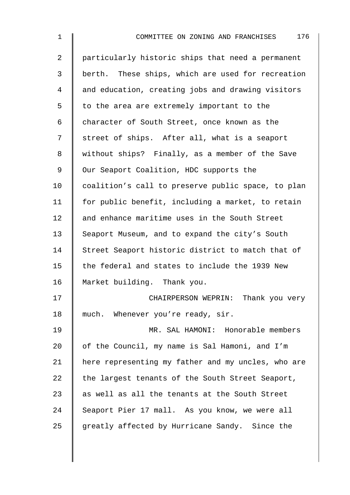2 particularly historic ships that need a permanent 3 | berth. These ships, which are used for recreation 4 and education, creating jobs and drawing visitors  $5 \parallel$  to the area are extremely important to the 6 character of South Street, once known as the 7 | street of ships. After all, what is a seaport 8 | without ships? Finally, as a member of the Save 9 | Our Seaport Coalition, HDC supports the 10 coalition's call to preserve public space, to plan 11  $\parallel$  for public benefit, including a market, to retain 12 and enhance maritime uses in the South Street 13 Seaport Museum, and to expand the city's South 14 Street Seaport historic district to match that of  $15$  the federal and states to include the 1939 New 16 Market building. Thank you. 17 **CHAIRPERSON WEPRIN:** Thank you very 18 much. Whenever you're ready, sir. 19 MR. SAL HAMONI: Honorable members 20  $\parallel$  of the Council, my name is Sal Hamoni, and I'm 21 | here representing my father and my uncles, who are 22  $\parallel$  the largest tenants of the South Street Seaport, 23  $\parallel$  as well as all the tenants at the South Street 24 Seaport Pier 17 mall. As you know, we were all 25  $\parallel$  greatly affected by Hurricane Sandy. Since the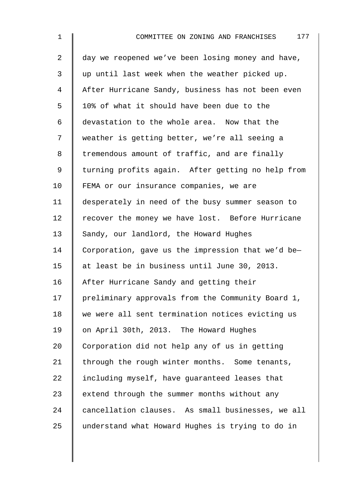| $\mathbf 1$    | 177<br>COMMITTEE ON ZONING AND FRANCHISES         |
|----------------|---------------------------------------------------|
| $\overline{a}$ | day we reopened we've been losing money and have, |
| 3              | up until last week when the weather picked up.    |
| 4              | After Hurricane Sandy, business has not been even |
| 5              | 10% of what it should have been due to the        |
| 6              | devastation to the whole area. Now that the       |
| 7              | weather is getting better, we're all seeing a     |
| 8              | tremendous amount of traffic, and are finally     |
| $\mathsf 9$    | turning profits again. After getting no help from |
| 10             | FEMA or our insurance companies, we are           |
| 11             | desperately in need of the busy summer season to  |
| 12             | recover the money we have lost. Before Hurricane  |
| 13             | Sandy, our landlord, the Howard Hughes            |
| 14             | Corporation, gave us the impression that we'd be- |
| 15             | at least be in business until June 30, 2013.      |
| 16             | After Hurricane Sandy and getting their           |
| 17             | preliminary approvals from the Community Board 1, |
| 18             | we were all sent termination notices evicting us  |
| 19             | on April 30th, 2013. The Howard Hughes            |
| 20             | Corporation did not help any of us in getting     |
| 21             | through the rough winter months. Some tenants,    |
| 22             | including myself, have guaranteed leases that     |
| 23             | extend through the summer months without any      |
| 24             | cancellation clauses. As small businesses, we all |
| 25             | understand what Howard Hughes is trying to do in  |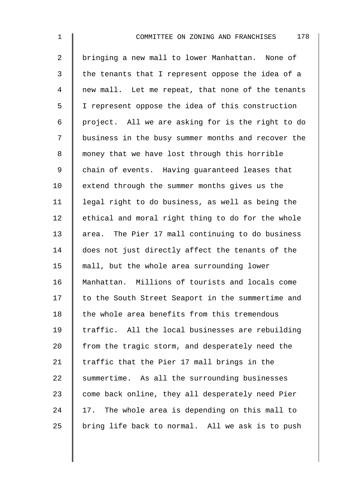2 bringing a new mall to lower Manhattan. None of  $3 \parallel$  the tenants that I represent oppose the idea of a 4 mew mall. Let me repeat, that none of the tenants 5 I represent oppose the idea of this construction 6 | project. All we are asking for is the right to do 7 | business in the busy summer months and recover the 8 || money that we have lost through this horrible 9 chain of events. Having guaranteed leases that 10 | extend through the summer months gives us the 11 legal right to do business, as well as being the  $12$  | ethical and moral right thing to do for the whole 13 area. The Pier 17 mall continuing to do business 14 does not just directly affect the tenants of the 15 mall, but the whole area surrounding lower 16 Manhattan. Millions of tourists and locals come 17 to the South Street Seaport in the summertime and  $18$  the whole area benefits from this tremendous 19  $\parallel$  traffic. All the local businesses are rebuilding 20  $\parallel$  from the tragic storm, and desperately need the 21  $\parallel$  traffic that the Pier 17 mall brings in the  $22$  summertime. As all the surrounding businesses  $23$  come back online, they all desperately need Pier  $24$  | 17. The whole area is depending on this mall to 25  $\parallel$  bring life back to normal. All we ask is to push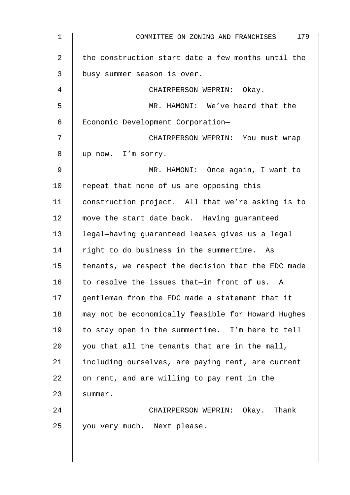| 1  | 179<br>COMMITTEE ON ZONING AND FRANCHISES          |
|----|----------------------------------------------------|
| 2  | the construction start date a few months until the |
| 3  | busy summer season is over.                        |
| 4  | CHAIRPERSON WEPRIN: Okay.                          |
| 5  | MR. HAMONI: We've heard that the                   |
| 6  | Economic Development Corporation-                  |
| 7  | CHAIRPERSON WEPRIN: You must wrap                  |
| 8  | up now. I'm sorry.                                 |
| 9  | MR. HAMONI: Once again, I want to                  |
| 10 | repeat that none of us are opposing this           |
| 11 | construction project. All that we're asking is to  |
| 12 | move the start date back. Having guaranteed        |
| 13 | legal-having guaranteed leases gives us a legal    |
| 14 | right to do business in the summertime. As         |
| 15 | tenants, we respect the decision that the EDC made |
| 16 | to resolve the issues that-in front of us. A       |
| 17 | gentleman from the EDC made a statement that it    |
| 18 | may not be economically feasible for Howard Hughes |
| 19 | to stay open in the summertime. I'm here to tell   |
| 20 | you that all the tenants that are in the mall,     |
| 21 | including ourselves, are paying rent, are current  |
| 22 | on rent, and are willing to pay rent in the        |
| 23 | summer.                                            |
| 24 | CHAIRPERSON WEPRIN: Okay. Thank                    |
| 25 | you very much. Next please.                        |
|    |                                                    |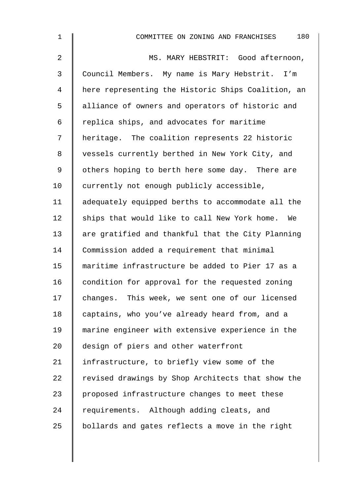| $\mathbf 1$    | 180<br>COMMITTEE ON ZONING AND FRANCHISES          |
|----------------|----------------------------------------------------|
| $\overline{a}$ | MS. MARY HEBSTRIT: Good afternoon,                 |
| 3              | Council Members. My name is Mary Hebstrit. I'm     |
| 4              | here representing the Historic Ships Coalition, an |
| 5              | alliance of owners and operators of historic and   |
| 6              | replica ships, and advocates for maritime          |
| 7              | heritage. The coalition represents 22 historic     |
| 8              | vessels currently berthed in New York City, and    |
| 9              | others hoping to berth here some day. There are    |
| 10             | currently not enough publicly accessible,          |
| 11             | adequately equipped berths to accommodate all the  |
| 12             | ships that would like to call New York home. We    |
| 13             | are gratified and thankful that the City Planning  |
| 14             | Commission added a requirement that minimal        |
| 15             | maritime infrastructure be added to Pier 17 as a   |
| 16             | condition for approval for the requested zoning    |
| 17             | changes. This week, we sent one of our licensed    |
| 18             | captains, who you've already heard from, and a     |
| 19             | marine engineer with extensive experience in the   |
| 20             | design of piers and other waterfront               |
| 21             | infrastructure, to briefly view some of the        |
| 22             | revised drawings by Shop Architects that show the  |
| 23             | proposed infrastructure changes to meet these      |
| 24             | requirements. Although adding cleats, and          |
| 25             | bollards and gates reflects a move in the right    |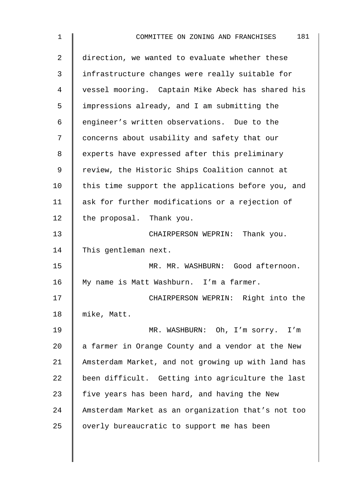| 1  | 181<br>COMMITTEE ON ZONING AND FRANCHISES          |
|----|----------------------------------------------------|
| 2  | direction, we wanted to evaluate whether these     |
| 3  | infrastructure changes were really suitable for    |
| 4  | vessel mooring. Captain Mike Abeck has shared his  |
| 5  | impressions already, and I am submitting the       |
| 6  | engineer's written observations. Due to the        |
| 7  | concerns about usability and safety that our       |
| 8  | experts have expressed after this preliminary      |
| 9  | review, the Historic Ships Coalition cannot at     |
| 10 | this time support the applications before you, and |
| 11 | ask for further modifications or a rejection of    |
| 12 | the proposal. Thank you.                           |
| 13 | CHAIRPERSON WEPRIN: Thank you.                     |
| 14 | This gentleman next.                               |
| 15 | MR. MR. WASHBURN: Good afternoon.                  |
| 16 | My name is Matt Washburn. I'm a farmer.            |
| 17 | CHAIRPERSON WEPRIN: Right into the                 |
| 18 | mike, Matt.                                        |
| 19 | MR. WASHBURN: Oh, I'm sorry.<br>I'm                |
| 20 | a farmer in Orange County and a vendor at the New  |
| 21 | Amsterdam Market, and not growing up with land has |
| 22 | been difficult. Getting into agriculture the last  |
| 23 | five years has been hard, and having the New       |
| 24 | Amsterdam Market as an organization that's not too |
| 25 | overly bureaucratic to support me has been         |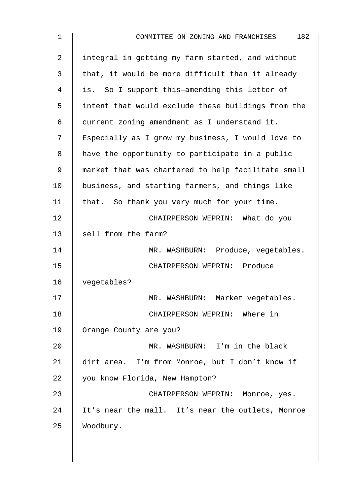| 182<br>COMMITTEE ON ZONING AND FRANCHISES          |
|----------------------------------------------------|
| integral in getting my farm started, and without   |
| that, it would be more difficult than it already   |
| is. So I support this-amending this letter of      |
| intent that would exclude these buildings from the |
| current zoning amendment as I understand it.       |
| Especially as I grow my business, I would love to  |
| have the opportunity to participate in a public    |
| market that was chartered to help facilitate small |
| business, and starting farmers, and things like    |
| that. So thank you very much for your time.        |
| CHAIRPERSON WEPRIN: What do you                    |
| sell from the farm?                                |
| MR. WASHBURN: Produce, vegetables.                 |
| CHAIRPERSON WEPRIN: Produce                        |
| vegetables?                                        |
| MR. WASHBURN: Market vegetables.                   |
| CHAIRPERSON WEPRIN: Where in                       |
| Orange County are you?                             |
| MR. WASHBURN: I'm in the black                     |
| dirt area. I'm from Monroe, but I don't know if    |
| you know Florida, New Hampton?                     |
| CHAIRPERSON WEPRIN: Monroe, yes.                   |
| It's near the mall. It's near the outlets, Monroe  |
| Woodbury.                                          |
|                                                    |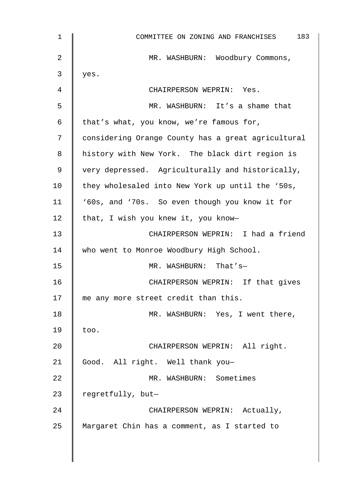| $\mathbf 1$ | 183<br>COMMITTEE ON ZONING AND FRANCHISES          |
|-------------|----------------------------------------------------|
| 2           | MR. WASHBURN: Woodbury Commons,                    |
| 3           | yes.                                               |
| 4           | CHAIRPERSON WEPRIN: Yes.                           |
| 5           | MR. WASHBURN: It's a shame that                    |
| 6           | that's what, you know, we're famous for,           |
| 7           | considering Orange County has a great agricultural |
| 8           | history with New York. The black dirt region is    |
| 9           | very depressed. Agriculturally and historically,   |
| 10          | they wholesaled into New York up until the '50s,   |
| 11          | '60s, and '70s. So even though you know it for     |
| 12          | that, I wish you knew it, you know-                |
| 13          | CHAIRPERSON WEPRIN: I had a friend                 |
| 14          | who went to Monroe Woodbury High School.           |
| 15          | MR. WASHBURN: That's-                              |
| 16          | CHAIRPERSON WEPRIN: If that gives                  |
| 17          | me any more street credit than this.               |
| 18          | MR. WASHBURN: Yes, I went there,                   |
| 19          | too.                                               |
| 20          | CHAIRPERSON WEPRIN: All right.                     |
| 21          | Good. All right. Well thank you-                   |
| 22          | MR. WASHBURN: Sometimes                            |
| 23          | regretfully, but-                                  |
| 24          | CHAIRPERSON WEPRIN: Actually,                      |
| 25          | Margaret Chin has a comment, as I started to       |
|             |                                                    |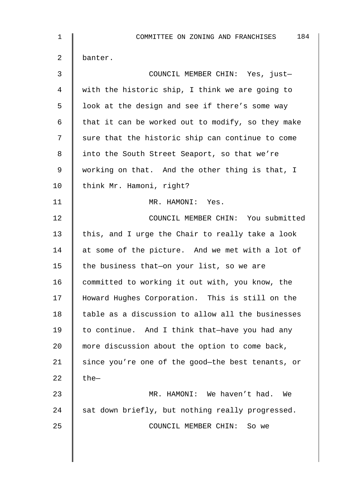| $\mathbf{1}$   | 184<br>COMMITTEE ON ZONING AND FRANCHISES         |
|----------------|---------------------------------------------------|
| $\overline{2}$ | banter.                                           |
| 3              | COUNCIL MEMBER CHIN: Yes, just-                   |
| 4              | with the historic ship, I think we are going to   |
| 5              | look at the design and see if there's some way    |
| 6              | that it can be worked out to modify, so they make |
| 7              | sure that the historic ship can continue to come  |
| 8              | into the South Street Seaport, so that we're      |
| 9              | working on that. And the other thing is that, I   |
| 10             | think Mr. Hamoni, right?                          |
| 11             | MR. HAMONI: Yes.                                  |
| 12             | COUNCIL MEMBER CHIN: You submitted                |
| 13             | this, and I urge the Chair to really take a look  |
| 14             | at some of the picture. And we met with a lot of  |
| 15             | the business that-on your list, so we are         |
| 16             | committed to working it out with, you know, the   |
| 17             | Howard Hughes Corporation. This is still on the   |
| 18             | table as a discussion to allow all the businesses |
| 19             | to continue. And I think that-have you had any    |
| 20             | more discussion about the option to come back,    |
| 21             | since you're one of the good-the best tenants, or |
| 22             | $the-$                                            |
| 23             | MR. HAMONI: We haven't had.<br>We                 |
| 24             | sat down briefly, but nothing really progressed.  |
| 25             | COUNCIL MEMBER CHIN:<br>So we                     |
|                |                                                   |
|                |                                                   |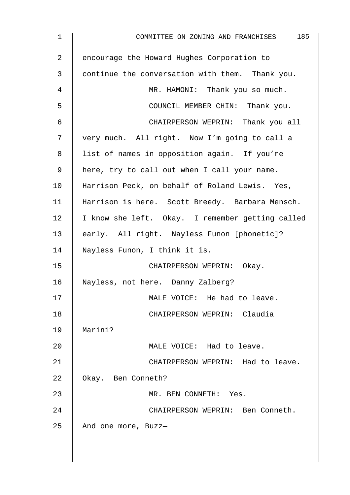| $\mathbf 1$     | 185<br>COMMITTEE ON ZONING AND FRANCHISES        |
|-----------------|--------------------------------------------------|
| $\overline{a}$  | encourage the Howard Hughes Corporation to       |
| 3               | continue the conversation with them. Thank you.  |
| 4               | MR. HAMONI: Thank you so much.                   |
| 5               | COUNCIL MEMBER CHIN: Thank you.                  |
| 6               | CHAIRPERSON WEPRIN: Thank you all                |
| 7               | very much. All right. Now I'm going to call a    |
| 8               | list of names in opposition again. If you're     |
| 9               | here, try to call out when I call your name.     |
| 10 <sub>1</sub> | Harrison Peck, on behalf of Roland Lewis. Yes,   |
| 11              | Harrison is here. Scott Breedy. Barbara Mensch.  |
| 12              | I know she left. Okay. I remember getting called |
| 13              | early. All right. Nayless Funon [phonetic]?      |
| 14              | Nayless Funon, I think it is.                    |
| 15              | CHAIRPERSON WEPRIN: Okay.                        |
| 16              | Nayless, not here. Danny Zalberg?                |
| 17              | MALE VOICE: He had to leave.                     |
| 18              | CHAIRPERSON WEPRIN: Claudia                      |
| 19              | Marini?                                          |
| 20              | MALE VOICE: Had to leave.                        |
| 21              | CHAIRPERSON WEPRIN: Had to leave.                |
| 22              | Okay. Ben Conneth?                               |
| 23              | MR. BEN CONNETH: Yes.                            |
| 24              | CHAIRPERSON WEPRIN: Ben Conneth.                 |
| 25              | And one more, Buzz-                              |
|                 |                                                  |
|                 |                                                  |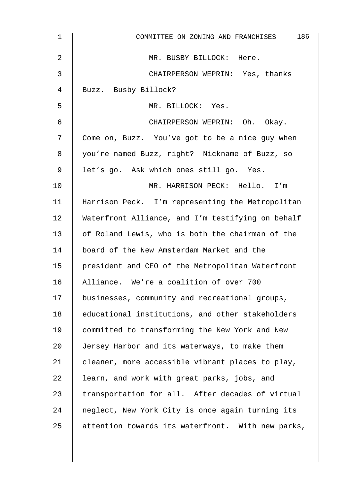| 1  | 186<br>COMMITTEE ON ZONING AND FRANCHISES         |
|----|---------------------------------------------------|
| 2  | MR. BUSBY BILLOCK: Here.                          |
| 3  | CHAIRPERSON WEPRIN: Yes, thanks                   |
| 4  | Buzz. Busby Billock?                              |
| 5  | MR. BILLOCK: Yes.                                 |
| 6  | CHAIRPERSON WEPRIN: Oh. Okay.                     |
| 7  | Come on, Buzz. You've got to be a nice guy when   |
| 8  | you're named Buzz, right? Nickname of Buzz, so    |
| 9  | let's go. Ask which ones still go. Yes.           |
| 10 | MR. HARRISON PECK: Hello. I'm                     |
| 11 | Harrison Peck. I'm representing the Metropolitan  |
| 12 | Waterfront Alliance, and I'm testifying on behalf |
| 13 | of Roland Lewis, who is both the chairman of the  |
| 14 | board of the New Amsterdam Market and the         |
| 15 | president and CEO of the Metropolitan Waterfront  |
| 16 | Alliance. We're a coalition of over 700           |
| 17 | businesses, community and recreational groups,    |
| 18 | educational institutions, and other stakeholders  |
| 19 | committed to transforming the New York and New    |
| 20 | Jersey Harbor and its waterways, to make them     |
| 21 | cleaner, more accessible vibrant places to play,  |
| 22 | learn, and work with great parks, jobs, and       |
| 23 | transportation for all. After decades of virtual  |
| 24 | neglect, New York City is once again turning its  |
| 25 | attention towards its waterfront. With new parks, |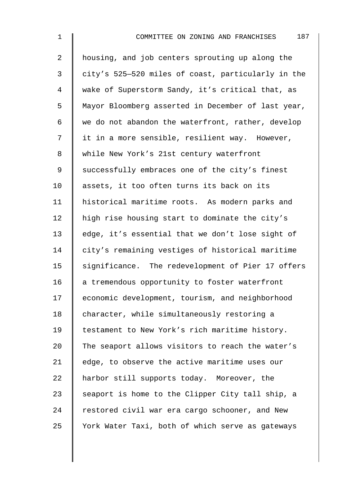2 housing, and job centers sprouting up along the 3 city's 525—520 miles of coast, particularly in the 4 wake of Superstorm Sandy, it's critical that, as 5 | Mayor Bloomberg asserted in December of last year, 6 we do not abandon the waterfront, rather, develop 7 | it in a more sensible, resilient way. However, 8 While New York's 21st century waterfront 9 Successfully embraces one of the city's finest 10 || assets, it too often turns its back on its 11 | historical maritime roots. As modern parks and 12  $\parallel$  high rise housing start to dominate the city's 13 edge, it's essential that we don't lose sight of 14 city's remaining vestiges of historical maritime 15 | significance. The redevelopment of Pier 17 offers 16  $\parallel$  a tremendous opportunity to foster waterfront 17 economic development, tourism, and neighborhood 18 | character, while simultaneously restoring a 19 | testament to New York's rich maritime history. 20 The seaport allows visitors to reach the water's 21 | edge, to observe the active maritime uses our 22 A harbor still supports today. Moreover, the 23 Seaport is home to the Clipper City tall ship, a  $24$  restored civil war era cargo schooner, and New 25 Vork Water Taxi, both of which serve as gateways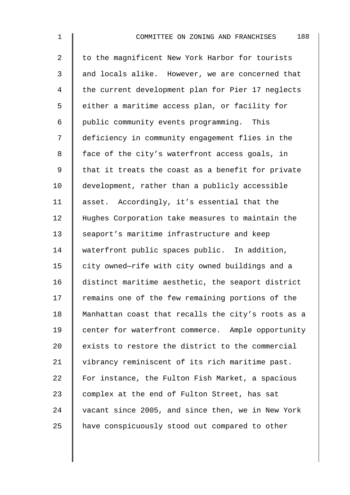| $\mathbf 1$ | 188<br>COMMITTEE ON ZONING AND FRANCHISES          |
|-------------|----------------------------------------------------|
| 2           | to the magnificent New York Harbor for tourists    |
| 3           | and locals alike. However, we are concerned that   |
| 4           | the current development plan for Pier 17 neglects  |
| 5           | either a maritime access plan, or facility for     |
| 6           | public community events programming. This          |
| 7           | deficiency in community engagement flies in the    |
| 8           | face of the city's waterfront access goals, in     |
| 9           | that it treats the coast as a benefit for private  |
| 10          | development, rather than a publicly accessible     |
| 11          | asset. Accordingly, it's essential that the        |
| 12          | Hughes Corporation take measures to maintain the   |
| 13          | seaport's maritime infrastructure and keep         |
| 14          | waterfront public spaces public. In addition,      |
| 15          | city owned-rife with city owned buildings and a    |
| 16          | distinct maritime aesthetic, the seaport district  |
| 17          | remains one of the few remaining portions of the   |
| 18          | Manhattan coast that recalls the city's roots as a |
| 19          | center for waterfront commerce. Ample opportunity  |
| 20          | exists to restore the district to the commercial   |
| 21          | vibrancy reminiscent of its rich maritime past.    |
| 22          | For instance, the Fulton Fish Market, a spacious   |
| 23          | complex at the end of Fulton Street, has sat       |
| 24          | vacant since 2005, and since then, we in New York  |
| 25          | have conspicuously stood out compared to other     |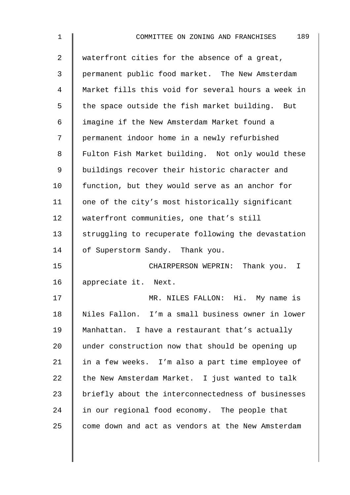| $\mathbf 1$    | 189<br>COMMITTEE ON ZONING AND FRANCHISES          |
|----------------|----------------------------------------------------|
| $\overline{2}$ | waterfront cities for the absence of a great,      |
| 3              | permanent public food market. The New Amsterdam    |
| 4              | Market fills this void for several hours a week in |
| 5              | the space outside the fish market building. But    |
| 6              | imagine if the New Amsterdam Market found a        |
| 7              | permanent indoor home in a newly refurbished       |
| 8              | Fulton Fish Market building. Not only would these  |
| $\mathsf 9$    | buildings recover their historic character and     |
| 10             | function, but they would serve as an anchor for    |
| 11             | one of the city's most historically significant    |
| 12             | waterfront communities, one that's still           |
| 13             | struggling to recuperate following the devastation |
| 14             | of Superstorm Sandy. Thank you.                    |
| 15             | CHAIRPERSON WEPRIN: Thank you. I                   |
| 16             | appreciate it. Next.                               |
| 17             | MR. NILES FALLON: Hi. My name is                   |
| 18             | Niles Fallon. I'm a small business owner in lower  |
| 19             | Manhattan. I have a restaurant that's actually     |
| 20             | under construction now that should be opening up   |
| 21             | in a few weeks. I'm also a part time employee of   |
| 22             | the New Amsterdam Market. I just wanted to talk    |
| 23             | briefly about the interconnectedness of businesses |
| 24             | in our regional food economy. The people that      |
| 25             | come down and act as vendors at the New Amsterdam  |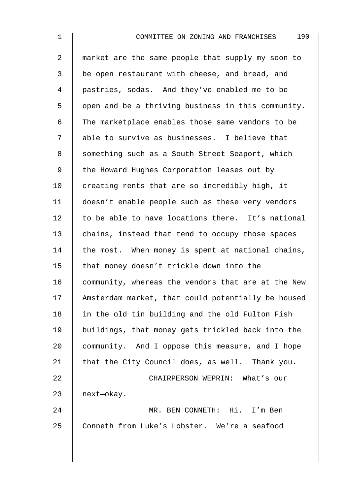2 | market are the same people that supply my soon to 3 | be open restaurant with cheese, and bread, and 4 pastries, sodas. And they've enabled me to be 5 | open and be a thriving business in this community. 6 The marketplace enables those same vendors to be 7 || able to survive as businesses. I believe that 8 Something such as a South Street Seaport, which 9 | the Howard Hughes Corporation leases out by  $10$  creating rents that are so incredibly high, it 11 doesn't enable people such as these very vendors  $12$  to be able to have locations there. It's national 13 chains, instead that tend to occupy those spaces 14 the most. When money is spent at national chains, 15 | that money doesn't trickle down into the 16  $\parallel$  community, whereas the vendors that are at the New 17 Amsterdam market, that could potentially be housed 18 | in the old tin building and the old Fulton Fish 19 buildings, that money gets trickled back into the 20 community. And I oppose this measure, and I hope 21  $\parallel$  that the City Council does, as well. Thank you. 22 **CHAIRPERSON WEPRIN:** What's our 23 | next-okay. 24 MR. BEN CONNETH: Hi. I'm Ben 25 Conneth from Luke's Lobster. We're a seafood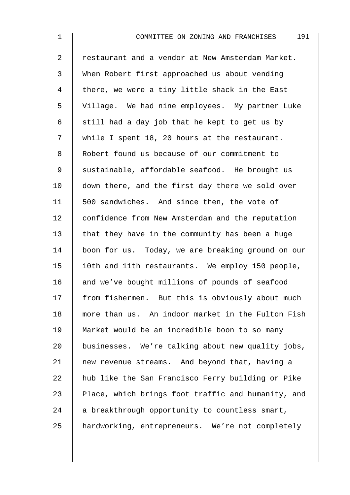| $\mathbf 1$    | 191<br>COMMITTEE ON ZONING AND FRANCHISES          |
|----------------|----------------------------------------------------|
| $\overline{2}$ | restaurant and a vendor at New Amsterdam Market.   |
| 3              | When Robert first approached us about vending      |
| 4              | there, we were a tiny little shack in the East     |
| 5              | Village. We had nine employees. My partner Luke    |
| 6              | still had a day job that he kept to get us by      |
| 7              | while I spent 18, 20 hours at the restaurant.      |
| 8              | Robert found us because of our commitment to       |
| 9              | sustainable, affordable seafood. He brought us     |
| 10             | down there, and the first day there we sold over   |
| 11             | 500 sandwiches. And since then, the vote of        |
| 12             | confidence from New Amsterdam and the reputation   |
| 13             | that they have in the community has been a huge    |
| 14             | boon for us. Today, we are breaking ground on our  |
| 15             | 10th and 11th restaurants. We employ 150 people,   |
| 16             | and we've bought millions of pounds of seafood     |
| 17             | from fishermen. But this is obviously about much   |
| 18             | more than us. An indoor market in the Fulton Fish  |
| 19             | Market would be an incredible boon to so many      |
| 20             | businesses. We're talking about new quality jobs,  |
| 21             | new revenue streams. And beyond that, having a     |
| 22             | hub like the San Francisco Ferry building or Pike  |
| 23             | Place, which brings foot traffic and humanity, and |
| 24             | a breakthrough opportunity to countless smart,     |
| 25             | hardworking, entrepreneurs. We're not completely   |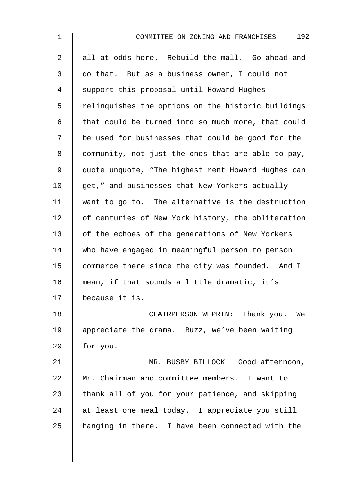| $\mathbf 1$    | 192<br>COMMITTEE ON ZONING AND FRANCHISES          |
|----------------|----------------------------------------------------|
| $\overline{a}$ | all at odds here. Rebuild the mall. Go ahead and   |
| 3              | do that. But as a business owner, I could not      |
| 4              | support this proposal until Howard Hughes          |
| 5              | relinquishes the options on the historic buildings |
| 6              | that could be turned into so much more, that could |
| 7              | be used for businesses that could be good for the  |
| 8              | community, not just the ones that are able to pay, |
| 9              | quote unquote, "The highest rent Howard Hughes can |
| 10             | get," and businesses that New Yorkers actually     |
| 11             | want to go to. The alternative is the destruction  |
| 12             | of centuries of New York history, the obliteration |
| 13             | of the echoes of the generations of New Yorkers    |
| 14             | who have engaged in meaningful person to person    |
| 15             | commerce there since the city was founded. And I   |
| 16             | mean, if that sounds a little dramatic, it's       |
| 17             | because it is.                                     |
| 18             | CHAIRPERSON WEPRIN: Thank you. We                  |
| 19             | appreciate the drama. Buzz, we've been waiting     |
| 20             | for you.                                           |
| 21             | MR. BUSBY BILLOCK: Good afternoon,                 |
| 22             | Mr. Chairman and committee members. I want to      |
| 23             | thank all of you for your patience, and skipping   |
| 24             | at least one meal today. I appreciate you still    |
| 25             | hanging in there. I have been connected with the   |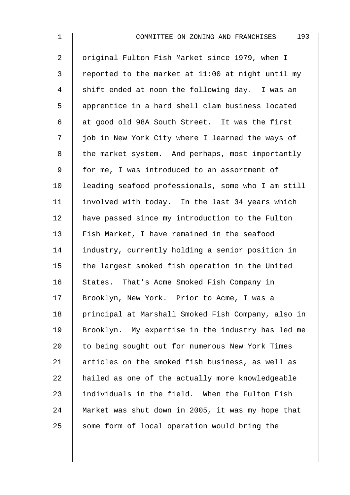2 | original Fulton Fish Market since 1979, when I 3 | reported to the market at 11:00 at night until my 4 shift ended at noon the following day. I was an 5 | apprentice in a hard shell clam business located 6  $\parallel$  at good old 98A South Street. It was the first 7 | job in New York City where I learned the ways of 8 the market system. And perhaps, most importantly 9 | for me, I was introduced to an assortment of 10 | leading seafood professionals, some who I am still 11 | involved with today. In the last 34 years which 12 | have passed since my introduction to the Fulton 13 | Fish Market, I have remained in the seafood 14 Industry, currently holding a senior position in 15  $\parallel$  the largest smoked fish operation in the United 16 States. That's Acme Smoked Fish Company in 17 | Brooklyn, New York. Prior to Acme, I was a 18 | principal at Marshall Smoked Fish Company, also in 19 Brooklyn. My expertise in the industry has led me 20 to being sought out for numerous New York Times 21 | articles on the smoked fish business, as well as  $22$  | hailed as one of the actually more knowledgeable  $23$  | individuals in the field. When the Fulton Fish 24 | Market was shut down in 2005, it was my hope that 25  $\parallel$  some form of local operation would bring the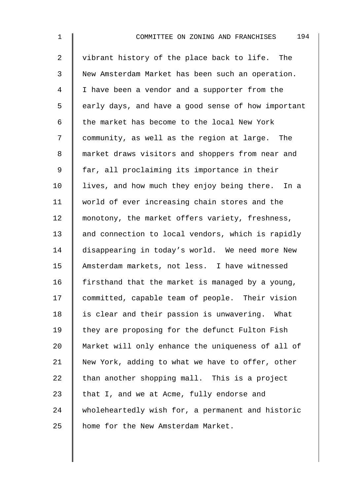2 | vibrant history of the place back to life. The 3 New Amsterdam Market has been such an operation. 4 I I have been a vendor and a supporter from the 5 | early days, and have a good sense of how important 6  $\parallel$  the market has become to the local New York 7 community, as well as the region at large. The 8 | market draws visitors and shoppers from near and 9 | far, all proclaiming its importance in their  $10$  | lives, and how much they enjoy being there. In a 11 world of ever increasing chain stores and the 12 monotony, the market offers variety, freshness, 13 || and connection to local vendors, which is rapidly 14 disappearing in today's world. We need more New 15 Amsterdam markets, not less. I have witnessed 16 firsthand that the market is managed by a young, 17 committed, capable team of people. Their vision 18 | is clear and their passion is unwavering. What 19  $\parallel$  they are proposing for the defunct Fulton Fish 20 Market will only enhance the uniqueness of all of 21 New York, adding to what we have to offer, other 22  $\parallel$  than another shopping mall. This is a project 23  $\parallel$  that I, and we at Acme, fully endorse and 24 wholeheartedly wish for, a permanent and historic 25 | home for the New Amsterdam Market.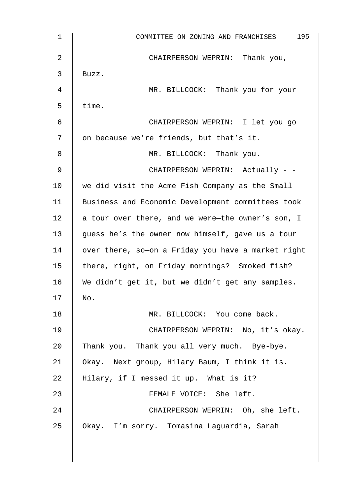| $\mathbf 1$ | 195<br>COMMITTEE ON ZONING AND FRANCHISES          |
|-------------|----------------------------------------------------|
| 2           | CHAIRPERSON WEPRIN: Thank you,                     |
| 3           | Buzz.                                              |
| 4           | MR. BILLCOCK: Thank you for your                   |
| 5           | time.                                              |
| 6           | CHAIRPERSON WEPRIN: I let you go                   |
| 7           | on because we're friends, but that's it.           |
| 8           | MR. BILLCOCK: Thank you.                           |
| 9           | CHAIRPERSON WEPRIN: Actually - -                   |
| 10          | we did visit the Acme Fish Company as the Small    |
| 11          | Business and Economic Development committees took  |
| 12          | a tour over there, and we were-the owner's son, I  |
| 13          | guess he's the owner now himself, gave us a tour   |
| 14          | over there, so-on a Friday you have a market right |
| 15          | there, right, on Friday mornings? Smoked fish?     |
| 16          | We didn't get it, but we didn't get any samples.   |
| 17          | No.                                                |
| 18          | MR. BILLCOCK: You come back.                       |
| 19          | CHAIRPERSON WEPRIN: No, it's okay.                 |
| 20          | Thank you. Thank you all very much. Bye-bye.       |
| 21          | Okay. Next group, Hilary Baum, I think it is.      |
| 22          | Hilary, if I messed it up. What is it?             |
| 23          | FEMALE VOICE: She left.                            |
| 24          | CHAIRPERSON WEPRIN: Oh, she left.                  |
| 25          | Okay. I'm sorry. Tomasina Laguardia, Sarah         |
|             |                                                    |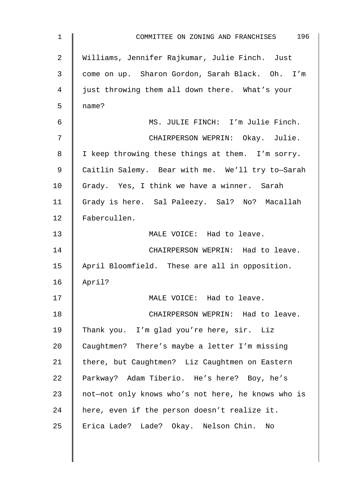| $\mathbf{1}$   | COMMITTEE ON ZONING AND FRANCHISES 196             |
|----------------|----------------------------------------------------|
| 2              | Williams, Jennifer Rajkumar, Julie Finch. Just     |
| $\mathsf{3}$   | come on up. Sharon Gordon, Sarah Black. Oh. I'm    |
| $\overline{4}$ | just throwing them all down there. What's your     |
| 5              | name?                                              |
| 6              | MS. JULIE FINCH: I'm Julie Finch.                  |
| 7              | CHAIRPERSON WEPRIN: Okay. Julie.                   |
| 8              | I keep throwing these things at them. I'm sorry.   |
| 9              | Caitlin Salemy. Bear with me. We'll try to-Sarah   |
| 10             | Grady. Yes, I think we have a winner. Sarah        |
| 11             | Grady is here. Sal Paleezy. Sal? No? Macallah      |
| 12             | Fabercullen.                                       |
| 13             | MALE VOICE: Had to leave.                          |
| 14             | CHAIRPERSON WEPRIN: Had to leave.                  |
| 15             | April Bloomfield. These are all in opposition.     |
| 16             | April?                                             |
| 17             | MALE VOICE: Had to leave.                          |
| 18             | CHAIRPERSON WEPRIN: Had to leave.                  |
| 19             | Thank you. I'm glad you're here, sir. Liz          |
| 20             | Caughtmen? There's maybe a letter I'm missing      |
| 21             | there, but Caughtmen? Liz Caughtmen on Eastern     |
| 22             | Parkway? Adam Tiberio. He's here? Boy, he's        |
| 23             | not-not only knows who's not here, he knows who is |
| 24             | here, even if the person doesn't realize it.       |
| 25             | Erica Lade? Lade? Okay. Nelson Chin.<br>No         |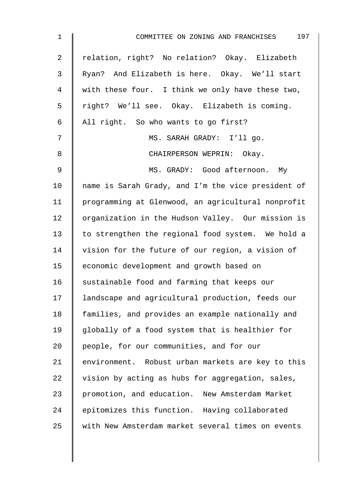| $\mathbf 1$    | 197<br>COMMITTEE ON ZONING AND FRANCHISES          |
|----------------|----------------------------------------------------|
| $\overline{a}$ | relation, right? No relation? Okay. Elizabeth      |
| 3              | Ryan? And Elizabeth is here. Okay. We'll start     |
| 4              | with these four. I think we only have these two,   |
| 5              | right? We'll see. Okay. Elizabeth is coming.       |
| 6              | All right. So who wants to go first?               |
| 7              | MS. SARAH GRADY: I'll go.                          |
| 8              | CHAIRPERSON WEPRIN: Okay.                          |
| 9              | MS. GRADY: Good afternoon. My                      |
| 10             | name is Sarah Grady, and I'm the vice president of |
| 11             | programming at Glenwood, an agricultural nonprofit |
| 12             | organization in the Hudson Valley. Our mission is  |
| 13             | to strengthen the regional food system. We hold a  |
| 14             | vision for the future of our region, a vision of   |
| 15             | economic development and growth based on           |
| 16             | sustainable food and farming that keeps our        |
| 17             | landscape and agricultural production, feeds our   |
| 18             | families, and provides an example nationally and   |
| 19             | globally of a food system that is healthier for    |
| 20             | people, for our communities, and for our           |
| 21             | environment. Robust urban markets are key to this  |
| 22             | vision by acting as hubs for aggregation, sales,   |
| 23             | promotion, and education. New Amsterdam Market     |
| 24             | epitomizes this function. Having collaborated      |
| 25             | with New Amsterdam market several times on events  |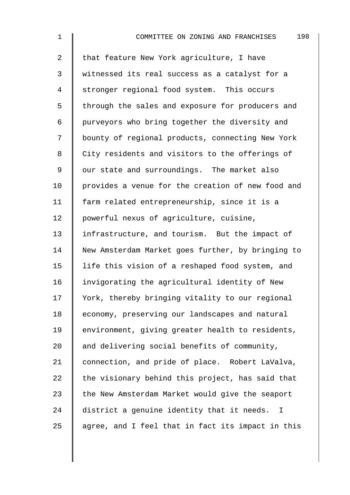| $\mathbf 1$    | 198<br>COMMITTEE ON ZONING AND FRANCHISES         |
|----------------|---------------------------------------------------|
| $\overline{a}$ | that feature New York agriculture, I have         |
| 3              | witnessed its real success as a catalyst for a    |
| 4              | stronger regional food system. This occurs        |
| 5              | through the sales and exposure for producers and  |
| 6              | purveyors who bring together the diversity and    |
| 7              | bounty of regional products, connecting New York  |
| 8              | City residents and visitors to the offerings of   |
| 9              | our state and surroundings. The market also       |
| 10             | provides a venue for the creation of new food and |
| 11             | farm related entrepreneurship, since it is a      |
| 12             | powerful nexus of agriculture, cuisine,           |
| 13             | infrastructure, and tourism. But the impact of    |
| 14             | New Amsterdam Market goes further, by bringing to |
| 15             | life this vision of a reshaped food system, and   |
| 16             | invigorating the agricultural identity of New     |
| 17             | York, thereby bringing vitality to our regional   |
| 18             | economy, preserving our landscapes and natural    |
| 19             | environment, giving greater health to residents,  |
| 20             | and delivering social benefits of community,      |
| 21             | connection, and pride of place. Robert LaValva,   |
| 22             | the visionary behind this project, has said that  |
| 23             | the New Amsterdam Market would give the seaport   |
| 24             | district a genuine identity that it needs. I      |
| 25             | agree, and I feel that in fact its impact in this |
|                |                                                   |
|                |                                                   |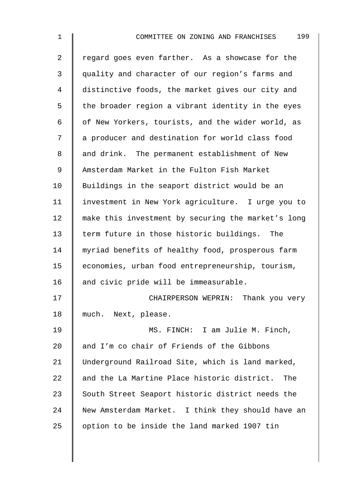| $\mathbf 1$ | 199<br>COMMITTEE ON ZONING AND FRANCHISES          |
|-------------|----------------------------------------------------|
| 2           | regard goes even farther. As a showcase for the    |
| 3           | quality and character of our region's farms and    |
| 4           | distinctive foods, the market gives our city and   |
| 5           | the broader region a vibrant identity in the eyes  |
| 6           | of New Yorkers, tourists, and the wider world, as  |
| 7           | a producer and destination for world class food    |
| 8           | and drink. The permanent establishment of New      |
| 9           | Amsterdam Market in the Fulton Fish Market         |
| 10          | Buildings in the seaport district would be an      |
| 11          | investment in New York agriculture. I urge you to  |
| 12          | make this investment by securing the market's long |
| 13          | term future in those historic buildings. The       |
| 14          | myriad benefits of healthy food, prosperous farm   |
| 15          | economies, urban food entrepreneurship, tourism,   |
| 16          | and civic pride will be immeasurable.              |
| 17          | CHAIRPERSON WEPRIN: Thank you very                 |
| 18          | much. Next, please.                                |
| 19          | MS. FINCH: I am Julie M. Finch,                    |
| 20          | and I'm co chair of Friends of the Gibbons         |
| 21          | Underground Railroad Site, which is land marked,   |
| 22          | and the La Martine Place historic district. The    |
| 23          | South Street Seaport historic district needs the   |
| 24          | New Amsterdam Market. I think they should have an  |
| 25          | option to be inside the land marked 1907 tin       |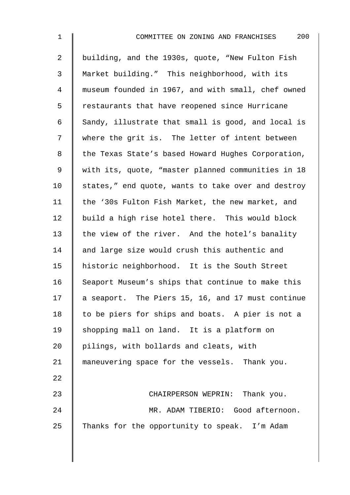| $\mathbf 1$    | 200<br>COMMITTEE ON ZONING AND FRANCHISES          |
|----------------|----------------------------------------------------|
| $\overline{a}$ | building, and the 1930s, quote, "New Fulton Fish   |
| 3              | Market building." This neighborhood, with its      |
| 4              | museum founded in 1967, and with small, chef owned |
| 5              | restaurants that have reopened since Hurricane     |
| 6              | Sandy, illustrate that small is good, and local is |
| 7              | where the grit is. The letter of intent between    |
| 8              | the Texas State's based Howard Hughes Corporation, |
| 9              | with its, quote, "master planned communities in 18 |
| 10             | states," end quote, wants to take over and destroy |
| 11             | the '30s Fulton Fish Market, the new market, and   |
| 12             | build a high rise hotel there. This would block    |
| 13             | the view of the river. And the hotel's banality    |
| 14             | and large size would crush this authentic and      |
| 15             | historic neighborhood. It is the South Street      |
| 16             | Seaport Museum's ships that continue to make this  |
| 17             | a seaport. The Piers 15, 16, and 17 must continue  |
| 18             | to be piers for ships and boats. A pier is not a   |
| 19             | shopping mall on land. It is a platform on         |
| 20             | pilings, with bollards and cleats, with            |
| 21             | maneuvering space for the vessels. Thank you.      |
| 22             |                                                    |
| 23             | CHAIRPERSON WEPRIN: Thank you.                     |
| 24             | MR. ADAM TIBERIO: Good afternoon.                  |
| 25             | Thanks for the opportunity to speak. I'm Adam      |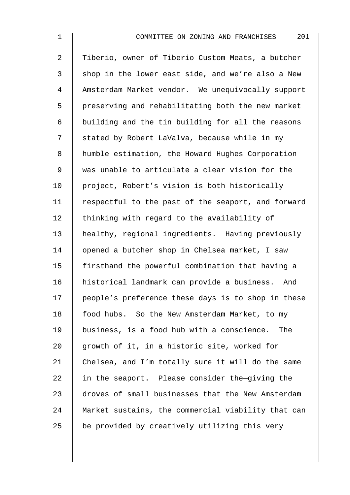2 Tiberio, owner of Tiberio Custom Meats, a butcher  $3 \parallel$  shop in the lower east side, and we're also a New 4 Amsterdam Market vendor. We unequivocally support 5 | preserving and rehabilitating both the new market 6 building and the tin building for all the reasons 7 | stated by Robert LaValva, because while in my 8 | humble estimation, the Howard Hughes Corporation 9 was unable to articulate a clear vision for the 10 | project, Robert's vision is both historically 11 | respectful to the past of the seaport, and forward 12  $\parallel$  thinking with regard to the availability of 13 healthy, regional ingredients. Having previously 14 | opened a butcher shop in Chelsea market, I saw 15 | firsthand the powerful combination that having a 16 historical landmark can provide a business. And 17 | people's preference these days is to shop in these 18 | food hubs. So the New Amsterdam Market, to my 19 business, is a food hub with a conscience. The 20  $\parallel$  growth of it, in a historic site, worked for 21 Chelsea, and I'm totally sure it will do the same 22  $\parallel$  in the seaport. Please consider the-qiving the 23 droves of small businesses that the New Amsterdam 24 Market sustains, the commercial viability that can 25  $\parallel$  be provided by creatively utilizing this very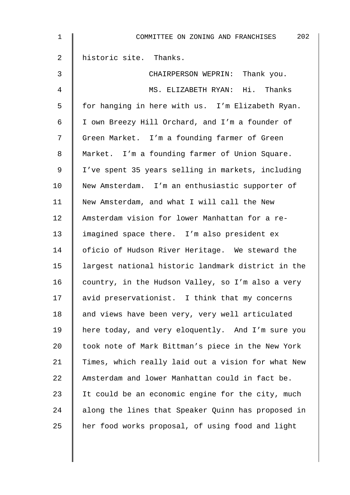| $\mathbf{1}$   | 202<br>COMMITTEE ON ZONING AND FRANCHISES          |
|----------------|----------------------------------------------------|
| $\overline{2}$ | historic site. Thanks.                             |
| 3              | CHAIRPERSON WEPRIN: Thank you.                     |
| 4              | MS. ELIZABETH RYAN: Hi. Thanks                     |
| 5              | for hanging in here with us. I'm Elizabeth Ryan.   |
| 6              | I own Breezy Hill Orchard, and I'm a founder of    |
| 7              | Green Market. I'm a founding farmer of Green       |
| 8              | Market. I'm a founding farmer of Union Square.     |
| $\mathsf 9$    | I've spent 35 years selling in markets, including  |
| 10             | New Amsterdam. I'm an enthusiastic supporter of    |
| 11             | New Amsterdam, and what I will call the New        |
| 12             | Amsterdam vision for lower Manhattan for a re-     |
| 13             | imagined space there. I'm also president ex        |
| 14             | oficio of Hudson River Heritage. We steward the    |
| 15             | largest national historic landmark district in the |
| 16             | country, in the Hudson Valley, so I'm also a very  |
| 17             | avid preservationist. I think that my concerns     |
| 18             | and views have been very, very well articulated    |
| 19             | here today, and very eloquently. And I'm sure you  |
| 20             | took note of Mark Bittman's piece in the New York  |
| 21             | Times, which really laid out a vision for what New |
| 22             | Amsterdam and lower Manhattan could in fact be.    |
| 23             | It could be an economic engine for the city, much  |
| 24             | along the lines that Speaker Quinn has proposed in |
| 25             | her food works proposal, of using food and light   |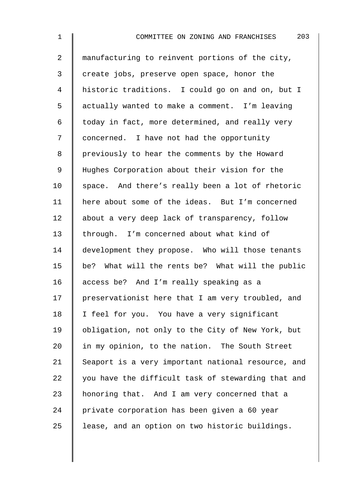| $\mathbf 1$    | 203<br>COMMITTEE ON ZONING AND FRANCHISES          |
|----------------|----------------------------------------------------|
| $\overline{a}$ | manufacturing to reinvent portions of the city,    |
| $\mathsf{3}$   | create jobs, preserve open space, honor the        |
| 4              | historic traditions. I could go on and on, but I   |
| 5              | actually wanted to make a comment. I'm leaving     |
| 6              | today in fact, more determined, and really very    |
| 7              | concerned. I have not had the opportunity          |
| 8              | previously to hear the comments by the Howard      |
| 9              | Hughes Corporation about their vision for the      |
| 10             | space. And there's really been a lot of rhetoric   |
| 11             | here about some of the ideas. But I'm concerned    |
| 12             | about a very deep lack of transparency, follow     |
| 13             | through. I'm concerned about what kind of          |
| 14             | development they propose. Who will those tenants   |
| 15             | be? What will the rents be? What will the public   |
| 16             | access be? And I'm really speaking as a            |
| 17             | preservationist here that I am very troubled, and  |
| 18             | I feel for you. You have a very significant        |
| 19             | obligation, not only to the City of New York, but  |
| 20             | in my opinion, to the nation. The South Street     |
| 21             | Seaport is a very important national resource, and |
| 22             | you have the difficult task of stewarding that and |
| 23             | honoring that. And I am very concerned that a      |
| 24             | private corporation has been given a 60 year       |
| 25             | lease, and an option on two historic buildings.    |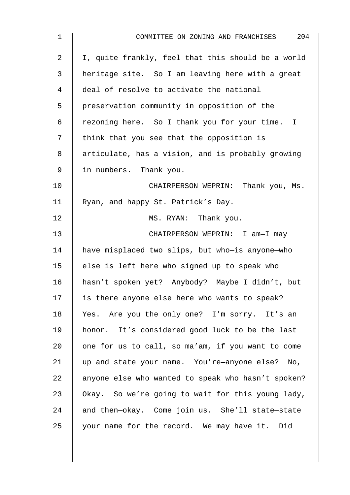| $\mathbf 1$ | 204<br>COMMITTEE ON ZONING AND FRANCHISES          |
|-------------|----------------------------------------------------|
| 2           | I, quite frankly, feel that this should be a world |
| 3           | heritage site. So I am leaving here with a great   |
| 4           | deal of resolve to activate the national           |
| 5           | preservation community in opposition of the        |
| 6           | rezoning here. So I thank you for your time. I     |
| 7           | think that you see that the opposition is          |
| 8           | articulate, has a vision, and is probably growing  |
| 9           | in numbers. Thank you.                             |
| 10          | CHAIRPERSON WEPRIN: Thank you, Ms.                 |
| 11          | Ryan, and happy St. Patrick's Day.                 |
| 12          | MS. RYAN: Thank you.                               |
| 13          | CHAIRPERSON WEPRIN: I am-I may                     |
| 14          | have misplaced two slips, but who-is anyone-who    |
| 15          | else is left here who signed up to speak who       |
| 16          | hasn't spoken yet? Anybody? Maybe I didn't, but    |
| 17          | is there anyone else here who wants to speak?      |
| 18          | Yes. Are you the only one? I'm sorry. It's an      |
| 19          | honor. It's considered good luck to be the last    |
| 20          | one for us to call, so ma'am, if you want to come  |
| 21          | up and state your name. You're-anyone else? No,    |
| 22          | anyone else who wanted to speak who hasn't spoken? |
| 23          | Okay. So we're going to wait for this young lady,  |
| 24          | and then-okay. Come join us. She'll state-state    |
| 25          | your name for the record. We may have it. Did      |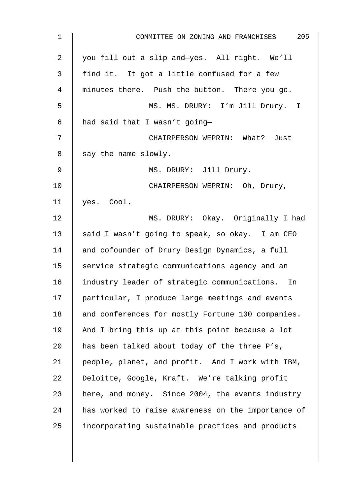| $1\,$          | 205<br>COMMITTEE ON ZONING AND FRANCHISES          |
|----------------|----------------------------------------------------|
| $\overline{2}$ | you fill out a slip and-yes. All right. We'll      |
| 3              | find it. It got a little confused for a few        |
| 4              | minutes there. Push the button. There you go.      |
| 5              | MS. MS. DRURY: I'm Jill Drury. I                   |
| 6              | had said that I wasn't going-                      |
| 7              | CHAIRPERSON WEPRIN: What? Just                     |
| 8              | say the name slowly.                               |
| 9              | MS. DRURY: Jill Drury.                             |
| 10             | CHAIRPERSON WEPRIN: Oh, Drury,                     |
| 11             | yes. Cool.                                         |
| 12             | MS. DRURY: Okay. Originally I had                  |
| 13             | said I wasn't going to speak, so okay. I am CEO    |
| 14             | and cofounder of Drury Design Dynamics, a full     |
| 15             | service strategic communications agency and an     |
| 16             | industry leader of strategic communications. In    |
| 17             | particular, I produce large meetings and events    |
| 18             | and conferences for mostly Fortune 100 companies.  |
| 19             | And I bring this up at this point because a lot    |
| 20             | has been talked about today of the three P's,      |
| 21             | people, planet, and profit. And I work with IBM,   |
| 22             | Deloitte, Google, Kraft. We're talking profit      |
| 23             | here, and money. Since 2004, the events industry   |
| 24             | has worked to raise awareness on the importance of |
| 25             | incorporating sustainable practices and products   |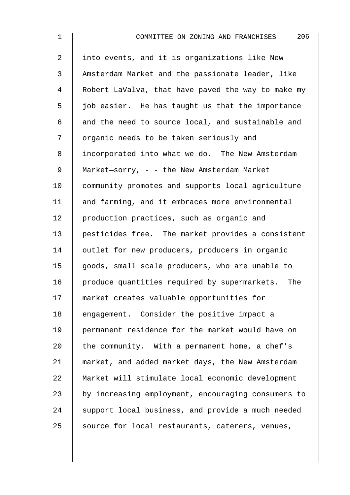| $\mathbf 1$    | 206<br>COMMITTEE ON ZONING AND FRANCHISES          |
|----------------|----------------------------------------------------|
| $\overline{2}$ | into events, and it is organizations like New      |
| $\mathfrak{Z}$ | Amsterdam Market and the passionate leader, like   |
| 4              | Robert LaValva, that have paved the way to make my |
| 5              | job easier. He has taught us that the importance   |
| 6              | and the need to source local, and sustainable and  |
| 7              | organic needs to be taken seriously and            |
| 8              | incorporated into what we do. The New Amsterdam    |
| 9              | Market-sorry, - - the New Amsterdam Market         |
| 10             | community promotes and supports local agriculture  |
| 11             | and farming, and it embraces more environmental    |
| 12             | production practices, such as organic and          |
| 13             | pesticides free. The market provides a consistent  |
| 14             | outlet for new producers, producers in organic     |
| 15             | goods, small scale producers, who are unable to    |
| 16             | produce quantities required by supermarkets. The   |
| 17             | market creates valuable opportunities for          |
| 18             | engagement. Consider the positive impact a         |
| 19             | permanent residence for the market would have on   |
| 20             | the community. With a permanent home, a chef's     |
| 21             | market, and added market days, the New Amsterdam   |
| 22             | Market will stimulate local economic development   |
| 23             | by increasing employment, encouraging consumers to |
| 24             | support local business, and provide a much needed  |
| 25             | source for local restaurants, caterers, venues,    |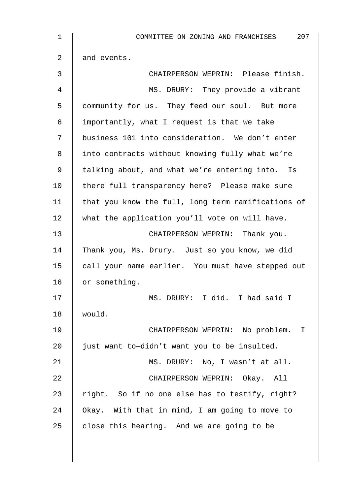| 207<br>COMMITTEE ON ZONING AND FRANCHISES          |
|----------------------------------------------------|
| and events.                                        |
| CHAIRPERSON WEPRIN: Please finish.                 |
| MS. DRURY: They provide a vibrant                  |
| community for us. They feed our soul. But more     |
| importantly, what I request is that we take        |
| business 101 into consideration. We don't enter    |
| into contracts without knowing fully what we're    |
| talking about, and what we're entering into. Is    |
| there full transparency here? Please make sure     |
| that you know the full, long term ramifications of |
| what the application you'll vote on will have.     |
| CHAIRPERSON WEPRIN: Thank you.                     |
| Thank you, Ms. Drury. Just so you know, we did     |
| call your name earlier. You must have stepped out  |
| or something.                                      |
| MS. DRURY: I did. I had said I                     |
| would.                                             |
| CHAIRPERSON WEPRIN: No problem. I                  |
| just want to-didn't want you to be insulted.       |
| MS. DRURY: No, I wasn't at all.                    |
| CHAIRPERSON WEPRIN: Okay. All                      |
| right. So if no one else has to testify, right?    |
| Okay. With that in mind, I am going to move to     |
| close this hearing. And we are going to be         |
|                                                    |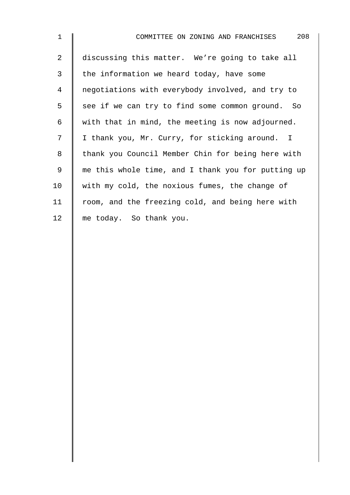| $\mathbf{1}$   | 208<br>COMMITTEE ON ZONING AND FRANCHISES          |
|----------------|----------------------------------------------------|
| $\overline{2}$ | discussing this matter. We're going to take all    |
| 3              | the information we heard today, have some          |
| 4              | negotiations with everybody involved, and try to   |
| 5              | see if we can try to find some common ground. So   |
| 6              | with that in mind, the meeting is now adjourned.   |
| 7              | I thank you, Mr. Curry, for sticking around. I     |
| 8              | thank you Council Member Chin for being here with  |
| 9              | me this whole time, and I thank you for putting up |
| 10             | with my cold, the noxious fumes, the change of     |
| 11             | room, and the freezing cold, and being here with   |
| 12             | me today. So thank you.                            |